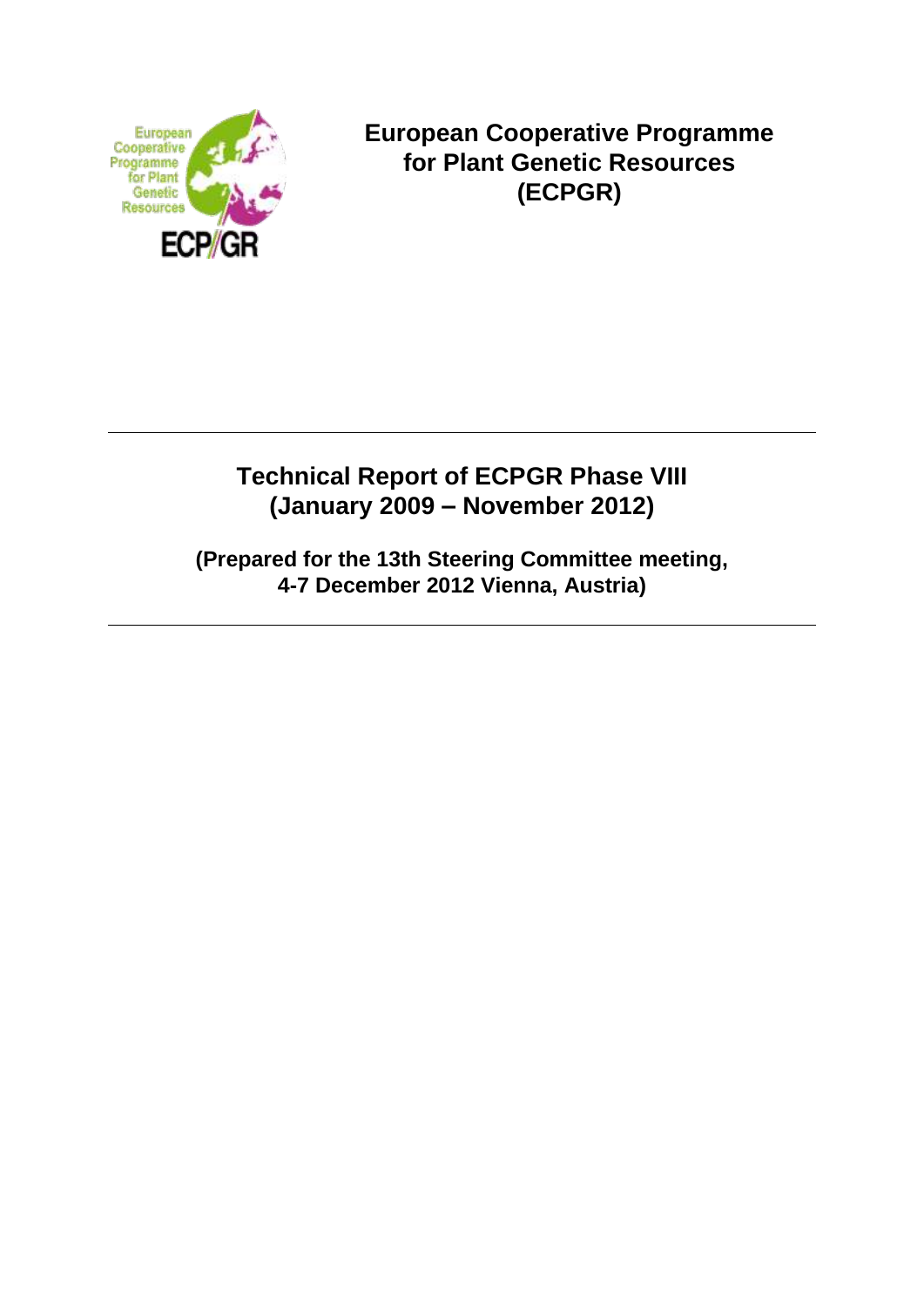

**European Cooperative Programme for Plant Genetic Resources (ECPGR)**

# **Technical Report of ECPGR Phase VIII (January 2009 – November 2012)**

**(Prepared for the 13th Steering Committee meeting, 4-7 December 2012 Vienna, Austria)**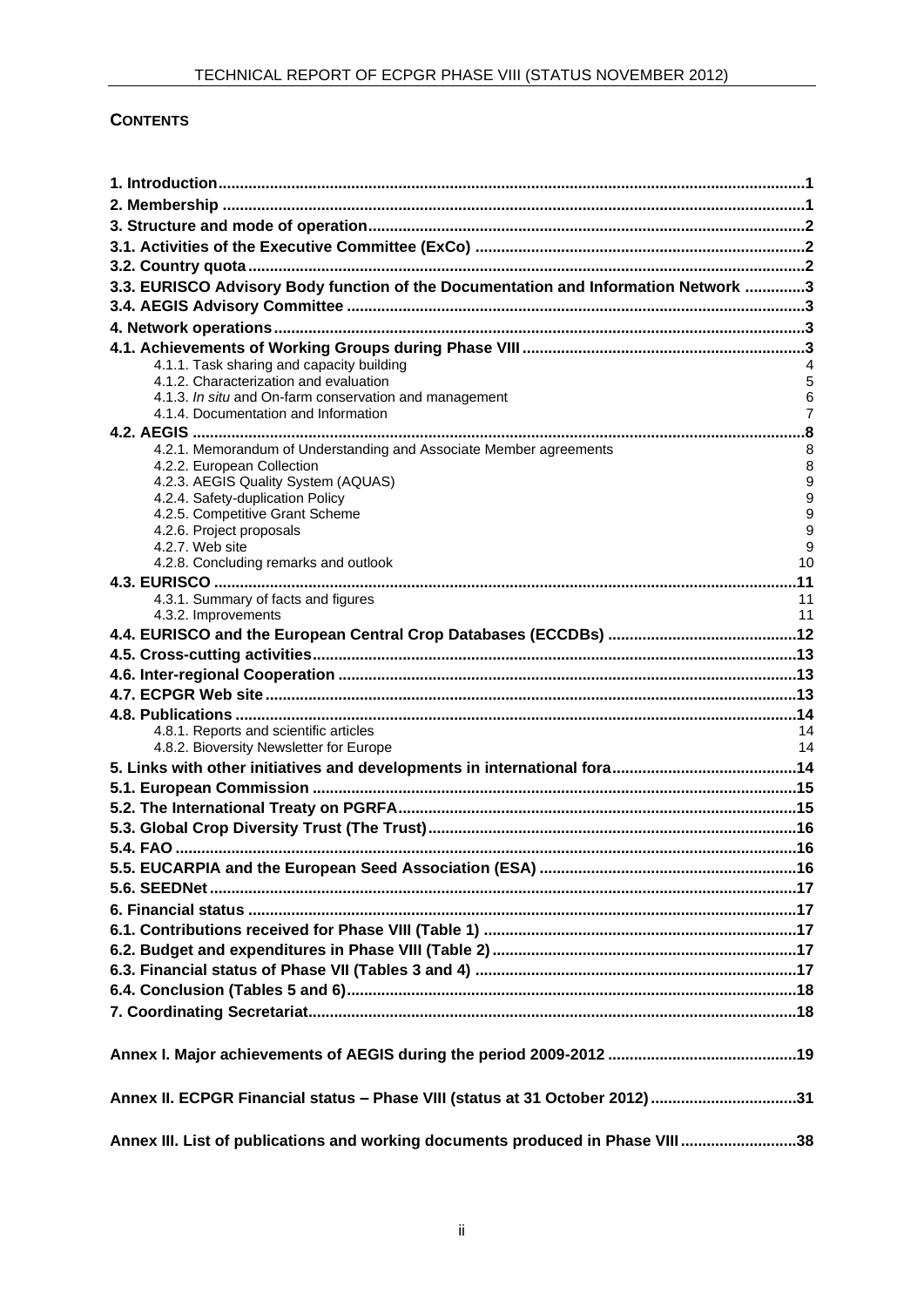# **CONTENTS**

| 3.3. EURISCO Advisory Body function of the Documentation and Information Network 3               |                |
|--------------------------------------------------------------------------------------------------|----------------|
|                                                                                                  |                |
|                                                                                                  |                |
|                                                                                                  |                |
| 4.1.1. Task sharing and capacity building                                                        |                |
| 4.1.2. Characterization and evaluation                                                           | 5              |
| 4.1.3. In situ and On-farm conservation and management                                           | 6              |
| 4.1.4. Documentation and Information                                                             | $\overline{7}$ |
|                                                                                                  |                |
| 4.2.1. Memorandum of Understanding and Associate Member agreements<br>4.2.2. European Collection | 8<br>8         |
| 4.2.3. AEGIS Quality System (AQUAS)                                                              | 9              |
| 4.2.4. Safety-duplication Policy                                                                 | 9              |
| 4.2.5. Competitive Grant Scheme                                                                  | 9              |
| 4.2.6. Project proposals                                                                         | 9              |
| 4.2.7. Web site<br>4.2.8. Concluding remarks and outlook                                         | 9<br>10        |
|                                                                                                  |                |
| 4.3.1. Summary of facts and figures                                                              | 11             |
| 4.3.2. Improvements                                                                              | 11             |
|                                                                                                  |                |
|                                                                                                  |                |
|                                                                                                  |                |
|                                                                                                  |                |
|                                                                                                  |                |
| 4.8.1. Reports and scientific articles                                                           | 14             |
| 4.8.2. Bioversity Newsletter for Europe                                                          | 14             |
|                                                                                                  |                |
|                                                                                                  |                |
|                                                                                                  |                |
|                                                                                                  |                |
|                                                                                                  |                |
|                                                                                                  |                |
|                                                                                                  |                |
|                                                                                                  |                |
|                                                                                                  |                |
|                                                                                                  |                |
|                                                                                                  |                |
|                                                                                                  |                |
|                                                                                                  |                |
|                                                                                                  |                |
|                                                                                                  |                |
| Annex II. ECPGR Financial status - Phase VIII (status at 31 October 2012)31                      |                |
| Annex III. List of publications and working documents produced in Phase VIII38                   |                |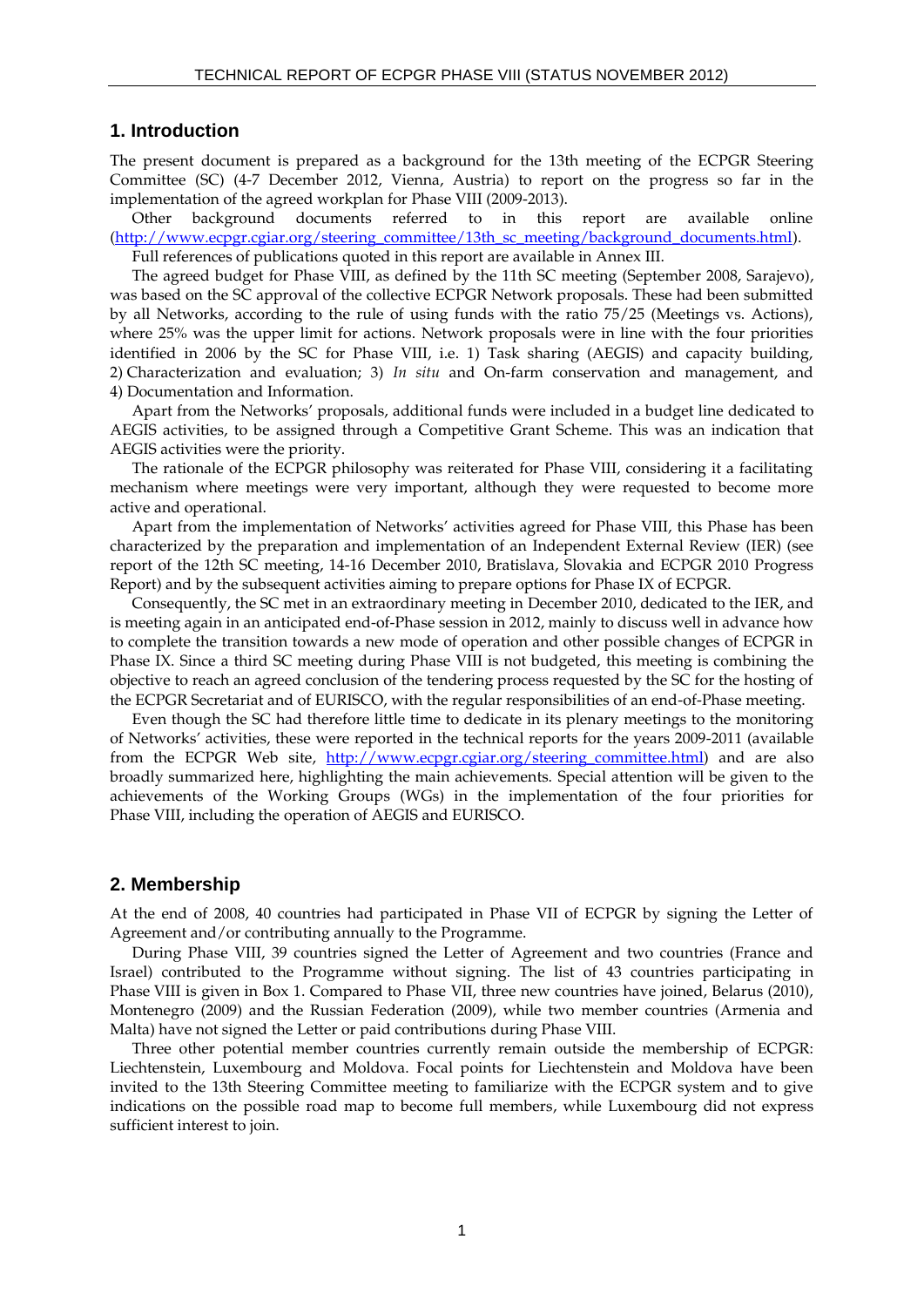#### **1. Introduction**

The present document is prepared as a background for the 13th meeting of the ECPGR Steering Committee (SC) (4-7 December 2012, Vienna, Austria) to report on the progress so far in the implementation of the agreed workplan for Phase VIII (2009-2013).

Other background documents referred to in this report are available online [\(http://www.ecpgr.cgiar.org/steering\\_committee/13th\\_sc\\_meeting/background\\_documents.html\)](http://www.ecpgr.cgiar.org/steering_committee/13th_sc_meeting/background_documents.html).

Full references of publications quoted in this report are available in Annex III.

The agreed budget for Phase VIII, as defined by the 11th SC meeting (September 2008, Sarajevo), was based on the SC approval of the collective ECPGR Network proposals. These had been submitted by all Networks, according to the rule of using funds with the ratio 75/25 (Meetings vs. Actions), where 25% was the upper limit for actions. Network proposals were in line with the four priorities identified in 2006 by the SC for Phase VIII, i.e. 1) Task sharing (AEGIS) and capacity building, 2) Characterization and evaluation; 3) *In situ* and On-farm conservation and management, and 4) Documentation and Information.

Apart from the Networks' proposals, additional funds were included in a budget line dedicated to AEGIS activities, to be assigned through a Competitive Grant Scheme. This was an indication that AEGIS activities were the priority.

The rationale of the ECPGR philosophy was reiterated for Phase VIII, considering it a facilitating mechanism where meetings were very important, although they were requested to become more active and operational.

Apart from the implementation of Networks' activities agreed for Phase VIII, this Phase has been characterized by the preparation and implementation of an Independent External Review (IER) (see report of the 12th SC meeting, 14-16 December 2010, Bratislava, Slovakia and ECPGR 2010 Progress Report) and by the subsequent activities aiming to prepare options for Phase IX of ECPGR.

Consequently, the SC met in an extraordinary meeting in December 2010, dedicated to the IER, and is meeting again in an anticipated end-of-Phase session in 2012, mainly to discuss well in advance how to complete the transition towards a new mode of operation and other possible changes of ECPGR in Phase IX. Since a third SC meeting during Phase VIII is not budgeted, this meeting is combining the objective to reach an agreed conclusion of the tendering process requested by the SC for the hosting of the ECPGR Secretariat and of EURISCO, with the regular responsibilities of an end-of-Phase meeting.

Even though the SC had therefore little time to dedicate in its plenary meetings to the monitoring of Networks' activities, these were reported in the technical reports for the years 2009-2011 (available from the ECPGR Web site, [http://www.ecpgr.cgiar.org/steering\\_committee.html\)](http://www.ecpgr.cgiar.org/steering_committee.html) and are also broadly summarized here, highlighting the main achievements. Special attention will be given to the achievements of the Working Groups (WGs) in the implementation of the four priorities for Phase VIII, including the operation of AEGIS and EURISCO.

#### **2. Membership**

At the end of 2008, 40 countries had participated in Phase VII of ECPGR by signing the Letter of Agreement and/or contributing annually to the Programme.

During Phase VIII, 39 countries signed the Letter of Agreement and two countries (France and Israel) contributed to the Programme without signing. The list of 43 countries participating in Phase VIII is given in Box 1. Compared to Phase VII, three new countries have joined, Belarus (2010), Montenegro (2009) and the Russian Federation (2009), while two member countries (Armenia and Malta) have not signed the Letter or paid contributions during Phase VIII.

Three other potential member countries currently remain outside the membership of ECPGR: Liechtenstein, Luxembourg and Moldova. Focal points for Liechtenstein and Moldova have been invited to the 13th Steering Committee meeting to familiarize with the ECPGR system and to give indications on the possible road map to become full members, while Luxembourg did not express sufficient interest to join.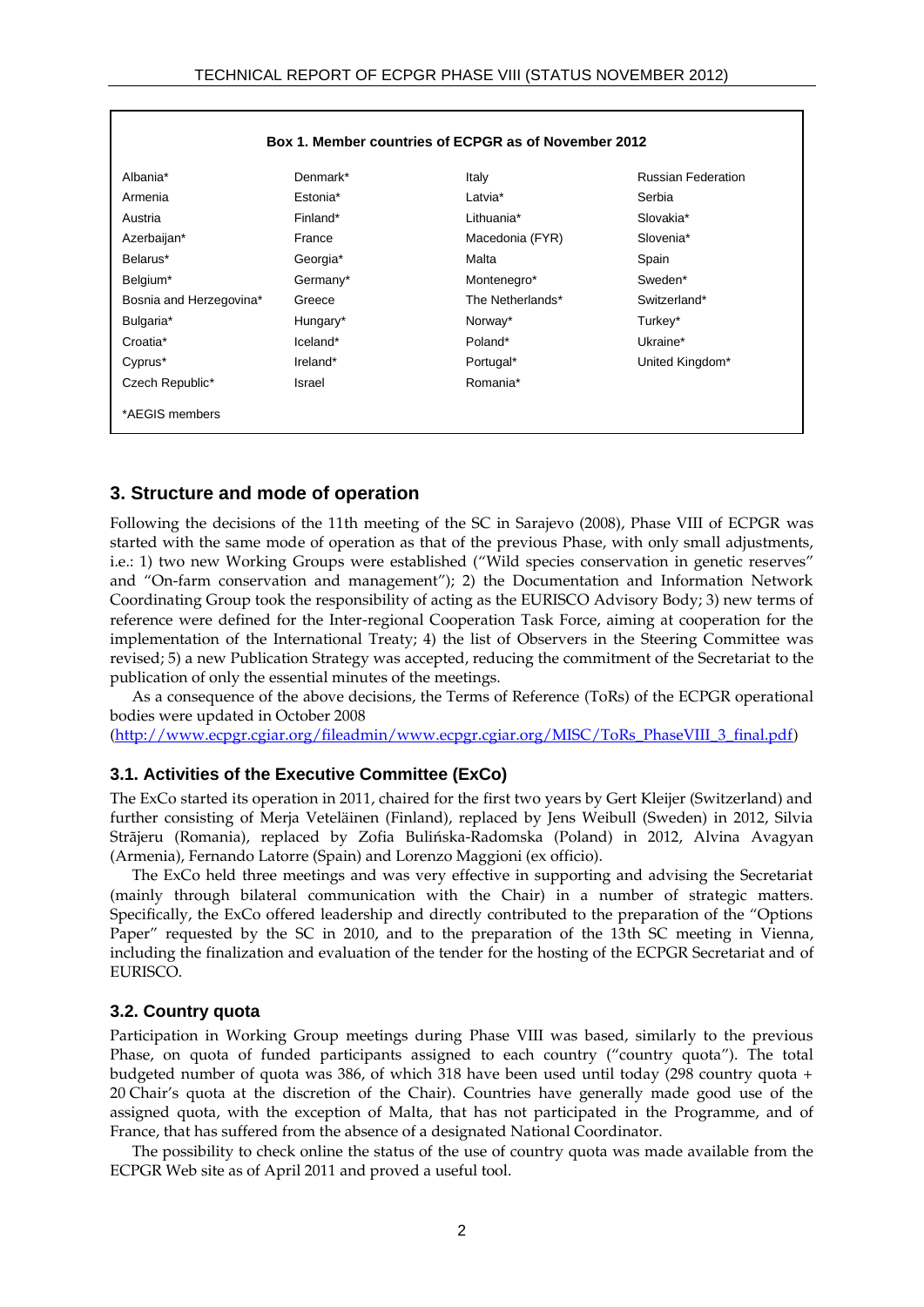| Box 1. Member countries of ECPGR as of November 2012 |          |                  |                           |  |  |  |  |  |  |
|------------------------------------------------------|----------|------------------|---------------------------|--|--|--|--|--|--|
| Albania*                                             | Denmark* | Italy            | <b>Russian Federation</b> |  |  |  |  |  |  |
| Armenia                                              | Estonia* | Latvia*          | Serbia                    |  |  |  |  |  |  |
| Austria                                              | Finland* | Lithuania*       | Slovakia*                 |  |  |  |  |  |  |
| Azerbaijan*                                          | France   | Macedonia (FYR)  | Slovenia*                 |  |  |  |  |  |  |
| Belarus*                                             | Georgia* | Malta            | Spain                     |  |  |  |  |  |  |
| Belgium*                                             | Germany* | Montenegro*      | Sweden*                   |  |  |  |  |  |  |
| Bosnia and Herzegovina*                              | Greece   | The Netherlands* | Switzerland*              |  |  |  |  |  |  |
| Bulgaria*                                            | Hungary* | Norway*          | Turkey*                   |  |  |  |  |  |  |
| Croatia*                                             | Iceland* | Poland*          | Ukraine*                  |  |  |  |  |  |  |
| Cyprus*                                              | Ireland* | Portugal*        | United Kingdom*           |  |  |  |  |  |  |
| Czech Republic*                                      | Israel   | Romania*         |                           |  |  |  |  |  |  |
| *AEGIS members                                       |          |                  |                           |  |  |  |  |  |  |

#### **3. Structure and mode of operation**

Following the decisions of the 11th meeting of the SC in Sarajevo (2008), Phase VIII of ECPGR was started with the same mode of operation as that of the previous Phase, with only small adjustments, i.e.: 1) two new Working Groups were established ("Wild species conservation in genetic reserves" and "On-farm conservation and management"); 2) the Documentation and Information Network Coordinating Group took the responsibility of acting as the EURISCO Advisory Body; 3) new terms of reference were defined for the Inter-regional Cooperation Task Force, aiming at cooperation for the implementation of the International Treaty; 4) the list of Observers in the Steering Committee was revised; 5) a new Publication Strategy was accepted, reducing the commitment of the Secretariat to the publication of only the essential minutes of the meetings.

As a consequence of the above decisions, the Terms of Reference (ToRs) of the ECPGR operational bodies were updated in October 2008

[\(http://www.ecpgr.cgiar.org/fileadmin/www.ecpgr.cgiar.org/MISC/ToRs\\_PhaseVIII\\_3\\_final.pdf\)](http://www.ecpgr.cgiar.org/fileadmin/www.ecpgr.cgiar.org/MISC/ToRs_PhaseVIII_3_final.pdf)

#### **3.1. Activities of the Executive Committee (ExCo)**

The ExCo started its operation in 2011, chaired for the first two years by Gert Kleijer (Switzerland) and further consisting of Merja Veteläinen (Finland), replaced by Jens Weibull (Sweden) in 2012, Silvia Strãjeru (Romania), replaced by Zofia Bulińska-Radomska (Poland) in 2012, Alvina Avagyan (Armenia), Fernando Latorre (Spain) and Lorenzo Maggioni (ex officio).

The ExCo held three meetings and was very effective in supporting and advising the Secretariat (mainly through bilateral communication with the Chair) in a number of strategic matters. Specifically, the ExCo offered leadership and directly contributed to the preparation of the "Options Paper" requested by the SC in 2010, and to the preparation of the 13th SC meeting in Vienna, including the finalization and evaluation of the tender for the hosting of the ECPGR Secretariat and of EURISCO.

#### **3.2. Country quota**

Participation in Working Group meetings during Phase VIII was based, similarly to the previous Phase, on quota of funded participants assigned to each country ("country quota"). The total budgeted number of quota was 386, of which 318 have been used until today (298 country quota + 20 Chair's quota at the discretion of the Chair). Countries have generally made good use of the assigned quota, with the exception of Malta, that has not participated in the Programme, and of France, that has suffered from the absence of a designated National Coordinator.

The possibility to check online the status of the use of country quota was made available from the ECPGR Web site as of April 2011 and proved a useful tool.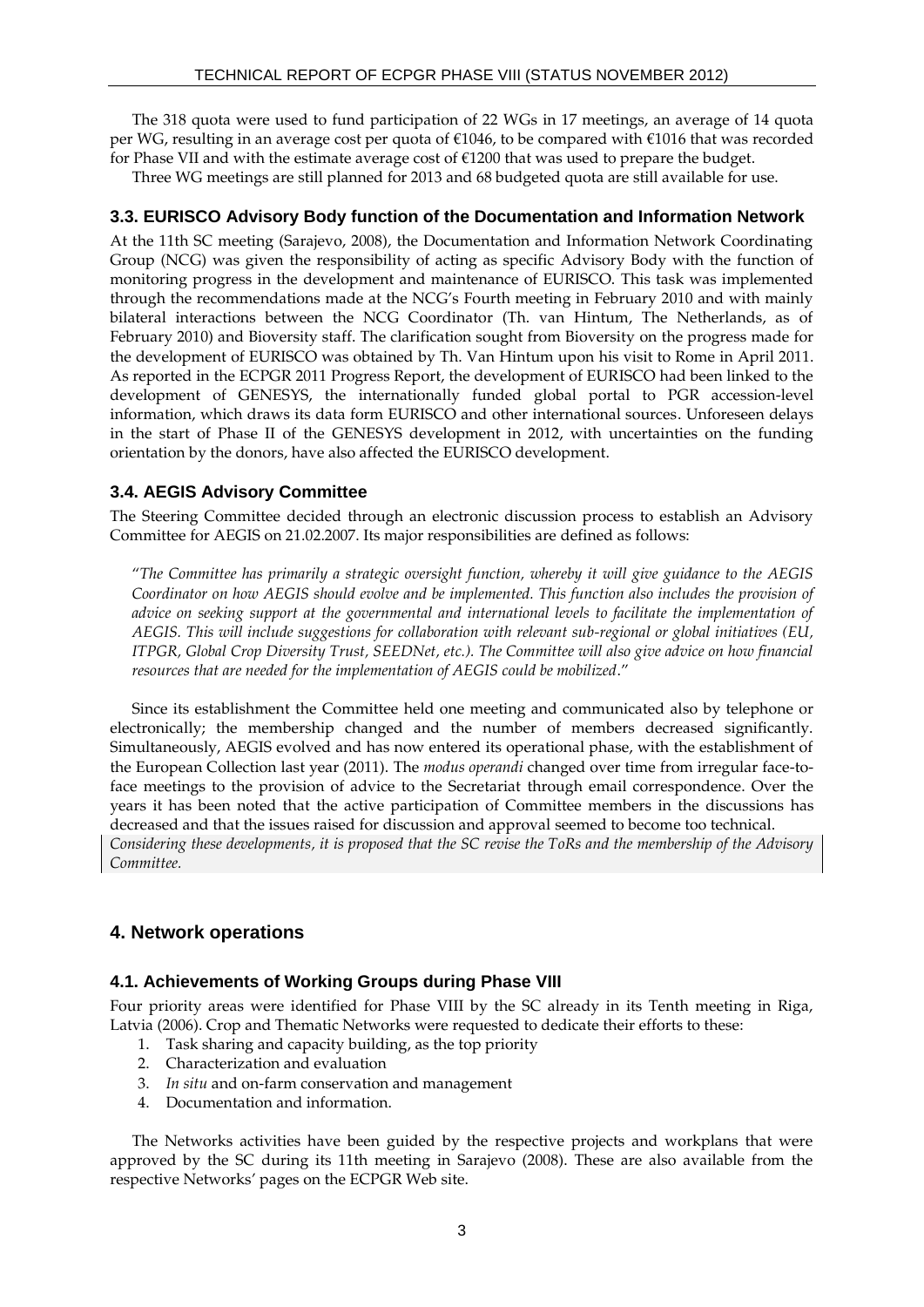The 318 quota were used to fund participation of 22 WGs in 17 meetings, an average of 14 quota per WG, resulting in an average cost per quota of €1046, to be compared with €1016 that was recorded for Phase VII and with the estimate average cost of €1200 that was used to prepare the budget.

Three WG meetings are still planned for 2013 and 68 budgeted quota are still available for use.

#### **3.3. EURISCO Advisory Body function of the Documentation and Information Network**

At the 11th SC meeting (Sarajevo, 2008), the Documentation and Information Network Coordinating Group (NCG) was given the responsibility of acting as specific Advisory Body with the function of monitoring progress in the development and maintenance of EURISCO. This task was implemented through the recommendations made at the NCG's Fourth meeting in February 2010 and with mainly bilateral interactions between the NCG Coordinator (Th. van Hintum, The Netherlands, as of February 2010) and Bioversity staff. The clarification sought from Bioversity on the progress made for the development of EURISCO was obtained by Th. Van Hintum upon his visit to Rome in April 2011. As reported in the ECPGR 2011 Progress Report, the development of EURISCO had been linked to the development of GENESYS, the internationally funded global portal to PGR accession-level information, which draws its data form EURISCO and other international sources. Unforeseen delays in the start of Phase II of the GENESYS development in 2012, with uncertainties on the funding orientation by the donors, have also affected the EURISCO development.

#### **3.4. AEGIS Advisory Committee**

The Steering Committee decided through an electronic discussion process to establish an Advisory Committee for AEGIS on 21.02.2007. Its major responsibilities are defined as follows:

"*The Committee has primarily a strategic oversight function, whereby it will give guidance to the AEGIS Coordinator on how AEGIS should evolve and be implemented. This function also includes the provision of advice on seeking support at the governmental and international levels to facilitate the implementation of AEGIS. This will include suggestions for collaboration with relevant sub-regional or global initiatives (EU, ITPGR, Global Crop Diversity Trust, SEEDNet, etc.). The Committee will also give advice on how financial resources that are needed for the implementation of AEGIS could be mobilized*."

Since its establishment the Committee held one meeting and communicated also by telephone or electronically; the membership changed and the number of members decreased significantly. Simultaneously, AEGIS evolved and has now entered its operational phase, with the establishment of the European Collection last year (2011). The *modus operandi* changed over time from irregular face-toface meetings to the provision of advice to the Secretariat through email correspondence. Over the years it has been noted that the active participation of Committee members in the discussions has decreased and that the issues raised for discussion and approval seemed to become too technical. *Considering these developments, it is proposed that the SC revise the ToRs and the membership of the Advisory Committee.*

# **4. Network operations**

#### **4.1. Achievements of Working Groups during Phase VIII**

Four priority areas were identified for Phase VIII by the SC already in its Tenth meeting in Riga, Latvia (2006). Crop and Thematic Networks were requested to dedicate their efforts to these:

- 1. Task sharing and capacity building, as the top priority
- 2. Characterization and evaluation
- 3. *In situ* and on-farm conservation and management
- 4. Documentation and information.

The Networks activities have been guided by the respective projects and workplans that were approved by the SC during its 11th meeting in Sarajevo (2008). These are also available from the respective Networks' pages on the ECPGR Web site.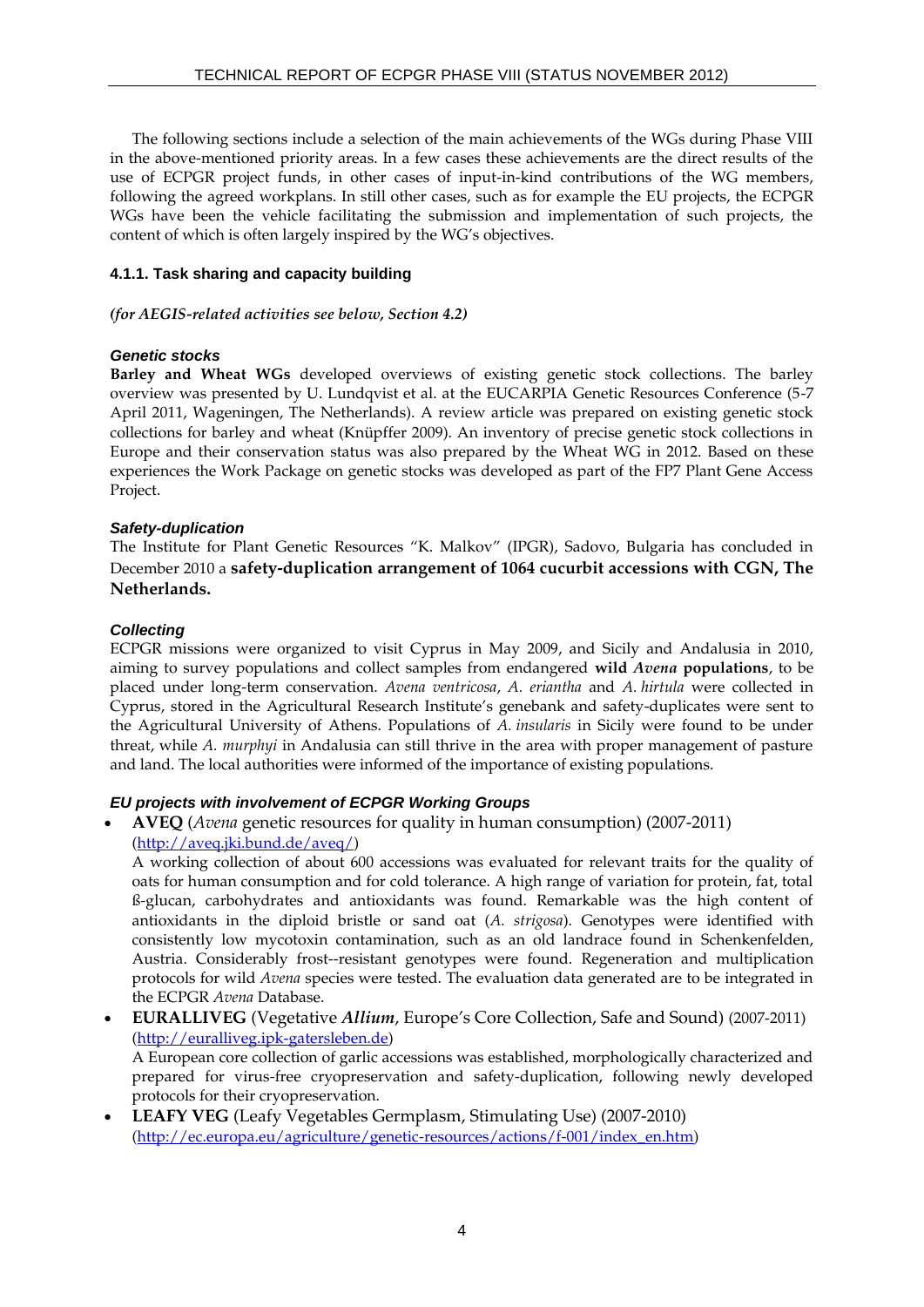The following sections include a selection of the main achievements of the WGs during Phase VIII in the above-mentioned priority areas. In a few cases these achievements are the direct results of the use of ECPGR project funds, in other cases of input-in-kind contributions of the WG members, following the agreed workplans. In still other cases, such as for example the EU projects, the ECPGR WGs have been the vehicle facilitating the submission and implementation of such projects, the content of which is often largely inspired by the WG's objectives.

#### **4.1.1. Task sharing and capacity building**

#### *(for AEGIS-related activities see below, Section 4.2)*

#### *Genetic stocks*

**Barley and Wheat WGs** developed overviews of existing genetic stock collections. The barley overview was presented by U. Lundqvist et al. at the EUCARPIA Genetic Resources Conference (5-7 April 2011, Wageningen, The Netherlands). A review article was prepared on existing genetic stock collections for barley and wheat (Knüpffer 2009). An inventory of precise genetic stock collections in Europe and their conservation status was also prepared by the Wheat WG in 2012. Based on these experiences the Work Package on genetic stocks was developed as part of the FP7 Plant Gene Access Project.

#### *Safety-duplication*

The Institute for Plant Genetic Resources "K. Malkov" (IPGR), Sadovo, Bulgaria has concluded in December 2010 a **safety-duplication arrangement of 1064 cucurbit accessions with CGN, The Netherlands.**

#### *Collecting*

ECPGR missions were organized to visit Cyprus in May 2009, and Sicily and Andalusia in 2010, aiming to survey populations and collect samples from endangered **wild** *Avena* **populations**, to be placed under long-term conservation. *Avena ventricosa*, *A. eriantha* and *A. hirtula* were collected in Cyprus, stored in the Agricultural Research Institute's genebank and safety-duplicates were sent to the Agricultural University of Athens. Populations of *A. insularis* in Sicily were found to be under threat, while *A. murphyi* in Andalusia can still thrive in the area with proper management of pasture and land. The local authorities were informed of the importance of existing populations.

# *EU projects with involvement of ECPGR Working Groups*

 **AVEQ** (*Avena* genetic resources for quality in human consumption) (2007-2011) [\(http://aveq.jki.bund.de/aveq/\)](http://aveq.jki.bund.de/aveq/)

A working collection of about 600 accessions was evaluated for relevant traits for the quality of oats for human consumption and for cold tolerance. A high range of variation for protein, fat, total ß-glucan, carbohydrates and antioxidants was found. Remarkable was the high content of antioxidants in the diploid bristle or sand oat (*A. strigosa*). Genotypes were identified with consistently low mycotoxin contamination, such as an old landrace found in Schenkenfelden, Austria. Considerably frost--resistant genotypes were found. Regeneration and multiplication protocols for wild *Avena* species were tested. The evaluation data generated are to be integrated in the ECPGR *Avena* Database.

- **EURALLIVEG** (Vegetative *Allium*, Europe's Core Collection, Safe and Sound) (2007-2011) [\(http://euralliveg.ipk-gatersleben.de\)](http://euralliveg.ipk-gatersleben.de/) A European core collection of garlic accessions was established, morphologically characterized and prepared for virus-free cryopreservation and safety-duplication, following newly developed protocols for their cryopreservation.
- **LEAFY VEG** (Leafy Vegetables Germplasm, Stimulating Use) (2007-2010) [\(http://ec.europa.eu/agriculture/genetic-resources/actions/f-001/index\\_en.htm\)](http://ec.europa.eu/agriculture/genetic-resources/actions/f-001/index_en.htm)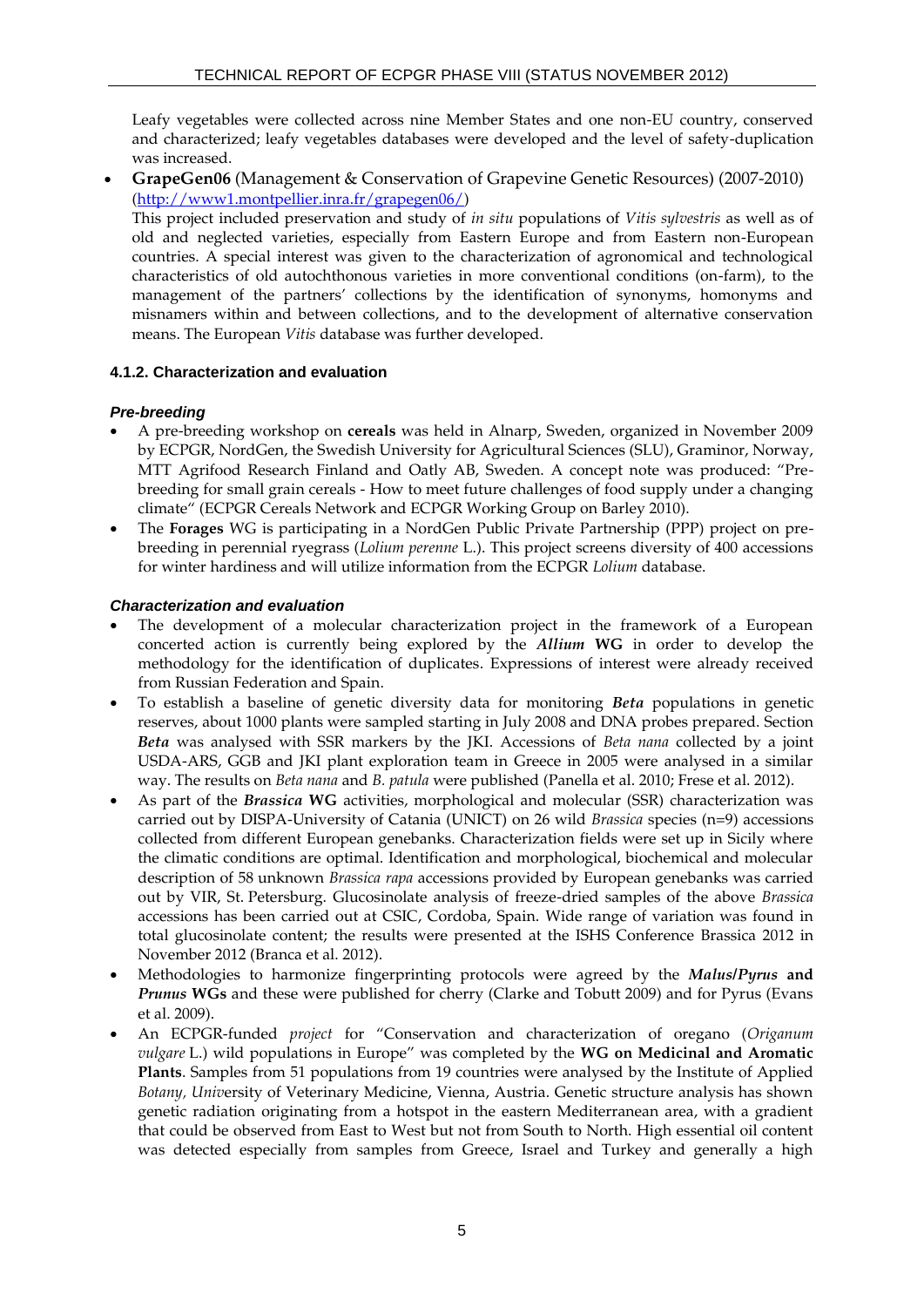Leafy vegetables were collected across nine Member States and one non-EU country, conserved and characterized; leafy vegetables databases were developed and the level of safety-duplication was increased.

 **GrapeGen06** (Management & Conservation of Grapevine Genetic Resources) (2007-2010) [\(http://www1.montpellier.inra.fr/grapegen06/\)](http://www1.montpellier.inra.fr/grapegen06/)

This project included preservation and study of *in situ* populations of *Vitis sylvestris* as well as of old and neglected varieties, especially from Eastern Europe and from Eastern non-European countries. A special interest was given to the characterization of agronomical and technological characteristics of old autochthonous varieties in more conventional conditions (on-farm), to the management of the partners' collections by the identification of synonyms, homonyms and misnamers within and between collections, and to the development of alternative conservation means. The European *Vitis* database was further developed.

# **4.1.2. Characterization and evaluation**

#### *Pre-breeding*

- A pre-breeding workshop on **cereals** was held in Alnarp, Sweden, organized in November 2009 by ECPGR, NordGen, the Swedish University for Agricultural Sciences (SLU), Graminor, Norway, MTT Agrifood Research Finland and Oatly AB, Sweden. A concept note was produced: "Prebreeding for small grain cereals - How to meet future challenges of food supply under a changing climate" (ECPGR Cereals Network and ECPGR Working Group on Barley 2010).
- The **Forages** WG is participating in a NordGen Public Private Partnership (PPP) project on prebreeding in perennial ryegrass (*Lolium perenne* L.). This project screens diversity of 400 accessions for winter hardiness and will utilize information from the ECPGR *Lolium* database.

#### *Characterization and evaluation*

- The development of a molecular characterization project in the framework of a European concerted action is currently being explored by the *Allium* **WG** in order to develop the methodology for the identification of duplicates. Expressions of interest were already received from Russian Federation and Spain.
- To establish a baseline of genetic diversity data for monitoring *Beta* populations in genetic reserves, about 1000 plants were sampled starting in July 2008 and DNA probes prepared. Section *Beta* was analysed with SSR markers by the JKI. Accessions of *Beta nana* collected by a joint USDA-ARS, GGB and JKI plant exploration team in Greece in 2005 were analysed in a similar way. The results on *Beta nana* and *B. patula* were published (Panella et al. 2010; Frese et al. 2012).
- As part of the *Brassica* **WG** activities, morphological and molecular (SSR) characterization was carried out by DISPA-University of Catania (UNICT) on 26 wild *Brassica* species (n=9) accessions collected from different European genebanks. Characterization fields were set up in Sicily where the climatic conditions are optimal. Identification and morphological, biochemical and molecular description of 58 unknown *Brassica rapa* accessions provided by European genebanks was carried out by VIR, St. Petersburg. Glucosinolate analysis of freeze-dried samples of the above *Brassica* accessions has been carried out at CSIC, Cordoba, Spain. Wide range of variation was found in total glucosinolate content; the results were presented at the ISHS Conference Brassica 2012 in November 2012 (Branca et al. 2012).
- Methodologies to harmonize fingerprinting protocols were agreed by the *Malus/Pyrus* **and**  *Prunus* **WGs** and these were published for cherry (Clarke and Tobutt 2009) and for Pyrus (Evans et al. 2009).
- An ECPGR-funded *project* for "Conservation and characterization of oregano (*Origanum vulgare* L.) wild populations in Europe" was completed by the **WG on Medicinal and Aromatic Plants**. Samples from 51 populations from 19 countries were analysed by the Institute of Applied *Botany, Univ*ersity of Veterinary Medicine, Vienna, Austria. Genetic structure analysis has shown genetic radiation originating from a hotspot in the eastern Mediterranean area, with a gradient that could be observed from East to West but not from South to North. High essential oil content was detected especially from samples from Greece, Israel and Turkey and generally a high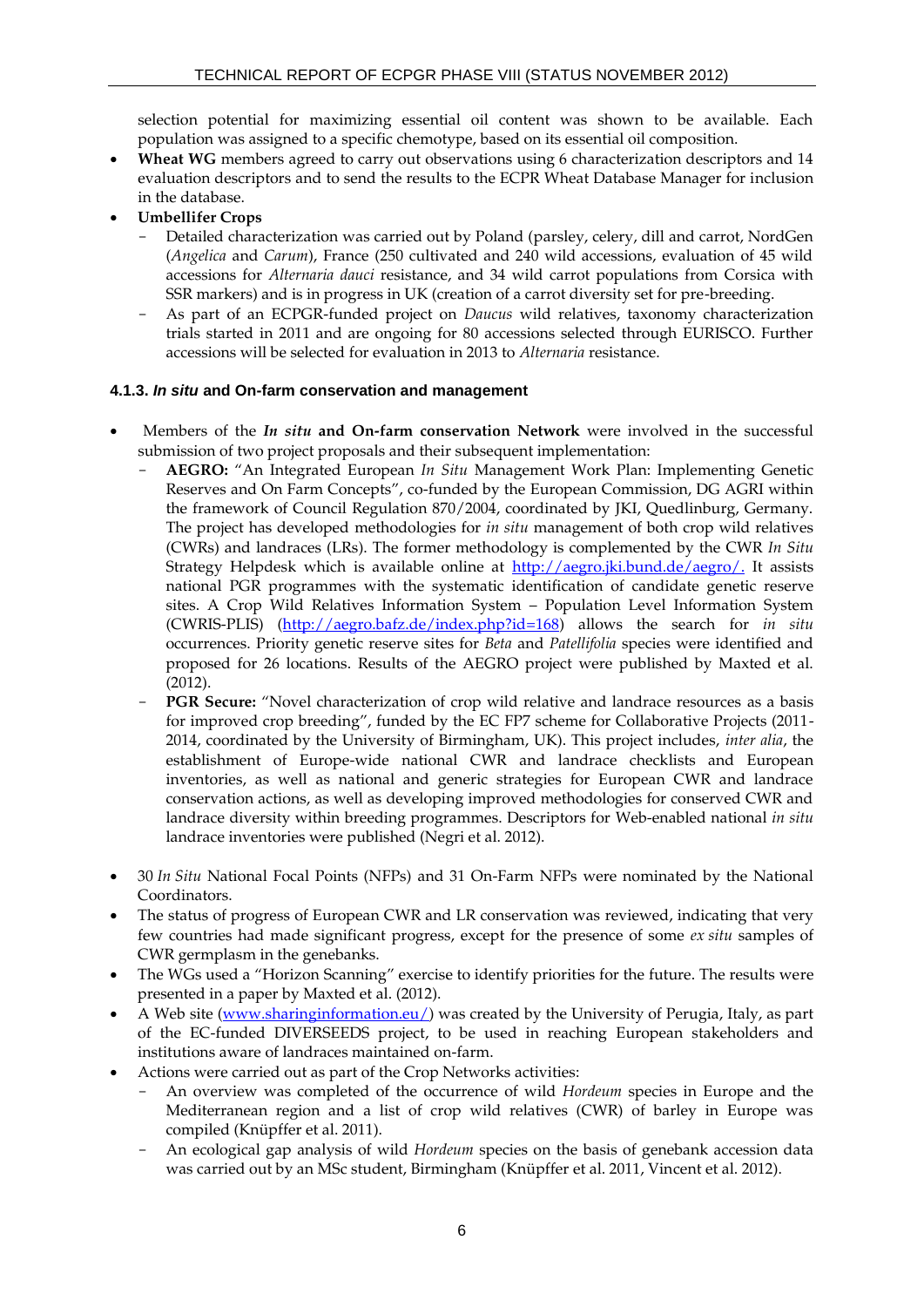selection potential for maximizing essential oil content was shown to be available. Each population was assigned to a specific chemotype, based on its essential oil composition.

- **Wheat WG** members agreed to carry out observations using 6 characterization descriptors and 14 evaluation descriptors and to send the results to the ECPR Wheat Database Manager for inclusion in the database.
- **Umbellifer Crops** 
	- Detailed characterization was carried out by Poland (parsley, celery, dill and carrot, NordGen (*Angelica* and *Carum*), France (250 cultivated and 240 wild accessions, evaluation of 45 wild accessions for *Alternaria dauci* resistance, and 34 wild carrot populations from Corsica with SSR markers) and is in progress in UK (creation of a carrot diversity set for pre-breeding.
	- As part of an ECPGR-funded project on *Daucus* wild relatives, taxonomy characterization trials started in 2011 and are ongoing for 80 accessions selected through EURISCO. Further accessions will be selected for evaluation in 2013 to *Alternaria* resistance.

# **4.1.3.** *In situ* **and On-farm conservation and management**

- Members of the *In situ* **and On-farm conservation Network** were involved in the successful submission of two project proposals and their subsequent implementation:
	- **AEGRO:** "An Integrated European *In Situ* Management Work Plan: Implementing Genetic Reserves and On Farm Concepts", co-funded by the European Commission, DG AGRI within the framework of Council Regulation 870/2004, coordinated by JKI, Quedlinburg, Germany. The project has developed methodologies for *in situ* management of both crop wild relatives (CWRs) and landraces (LRs). The former methodology is complemented by the CWR *In Situ* Strategy Helpdesk which is available online at [http://aegro.jki.bund.de/aegro/.](http://aegro.jki.bund.de/aegro/) It assists national PGR programmes with the systematic identification of candidate genetic reserve sites. A Crop Wild Relatives Information System – Population Level Information System (CWRIS-PLIS) [\(http://aegro.bafz.de/index.php?id=168\)](http://aegro.bafz.de/index.php?id=168) allows the search for *in situ* occurrences. Priority genetic reserve sites for *Beta* and *Patellifolia* species were identified and proposed for 26 locations. Results of the AEGRO project were published by Maxted et al. (2012).
	- PGR Secure: "Novel characterization of crop wild relative and landrace resources as a basis for improved crop breeding", funded by the EC FP7 scheme for Collaborative Projects (2011- 2014, coordinated by the University of Birmingham, UK). This project includes, *inter alia*, the establishment of Europe-wide national CWR and landrace checklists and European inventories, as well as national and generic strategies for European CWR and landrace conservation actions, as well as developing improved methodologies for conserved CWR and landrace diversity within breeding programmes. Descriptors for Web-enabled national *in situ* landrace inventories were published (Negri et al. 2012).
- 30 *In Situ* National Focal Points (NFPs) and 31 On-Farm NFPs were nominated by the National Coordinators.
- The status of progress of European CWR and LR conservation was reviewed, indicating that very few countries had made significant progress, except for the presence of some *ex situ* samples of CWR germplasm in the genebanks.
- The WGs used a "Horizon Scanning" exercise to identify priorities for the future. The results were presented in a paper by Maxted et al. (2012).
- A Web site [\(www.sharinginformation.eu/\)](http://www.sharinginformation.eu/) was created by the University of Perugia, Italy, as part of the EC-funded DIVERSEEDS project, to be used in reaching European stakeholders and institutions aware of landraces maintained on-farm.
- Actions were carried out as part of the Crop Networks activities:
	- An overview was completed of the occurrence of wild *Hordeum* species in Europe and the Mediterranean region and a list of crop wild relatives (CWR) of barley in Europe was compiled (Knüpffer et al. 2011).
	- An ecological gap analysis of wild *Hordeum* species on the basis of genebank accession data was carried out by an MSc student, Birmingham (Knüpffer et al. 2011, Vincent et al. 2012).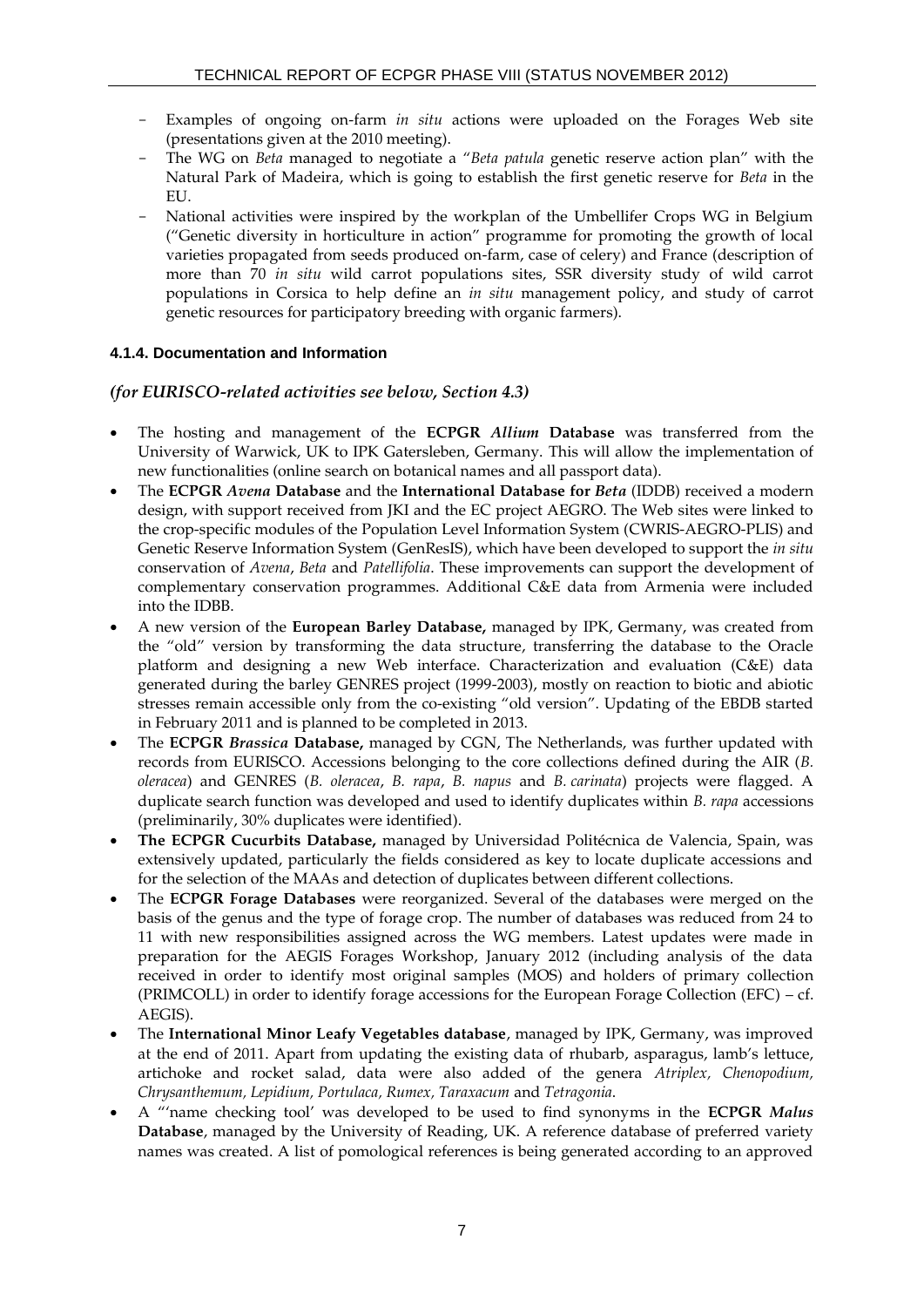- Examples of ongoing on-farm *in situ* actions were uploaded on the Forages Web site (presentations given at the 2010 meeting).
- The WG on *Beta* managed to negotiate a "*Beta patula* genetic reserve action plan" with the Natural Park of Madeira, which is going to establish the first genetic reserve for *Beta* in the EU.
- National activities were inspired by the workplan of the Umbellifer Crops WG in Belgium ("Genetic diversity in horticulture in action" programme for promoting the growth of local varieties propagated from seeds produced on-farm, case of celery) and France (description of more than 70 *in situ* wild carrot populations sites, SSR diversity study of wild carrot populations in Corsica to help define an *in situ* management policy, and study of carrot genetic resources for participatory breeding with organic farmers).

# **4.1.4. Documentation and Information**

# *(for EURISCO-related activities see below, Section 4.3)*

- The hosting and management of the **ECPGR** *Allium* **Database** was transferred from the University of Warwick, UK to IPK Gatersleben, Germany. This will allow the implementation of new functionalities (online search on botanical names and all passport data).
- The **ECPGR** *Avena* **Database** and the **International Database for** *Beta* (IDDB) received a modern design, with support received from JKI and the EC project AEGRO. The Web sites were linked to the crop-specific modules of the Population Level Information System [\(CWRIS-AEGRO-PLIS\)](http://aegro.jki.bund.de/aegro/index.php?id=168) and Genetic Reserve Information System [\(GenResIS\)](http://www.agrobiodiversidad.org/aegro/), which have been developed to support the *in situ* conservation of *Avena*, *Beta* and *Patellifolia*. These improvements can support the development of complementary conservation programmes. Additional C&E data from Armenia were included into the IDBB.
- A new version of the **European Barley Database,** managed by IPK, Germany, was created from the "old" version by transforming the data structure, transferring the database to the Oracle platform and designing a new Web interface. Characterization and evaluation (C&E) data generated during the barley GENRES project (1999-2003), mostly on reaction to biotic and abiotic stresses remain accessible only from the co-existing "old version". Updating of the EBDB started in February 2011 and is planned to be completed in 2013.
- The **ECPGR** *Brassica* **Database,** managed by CGN, The Netherlands, was further updated with records from EURISCO. Accessions belonging to the core collections defined during the AIR (*B. oleracea*) and GENRES (*B. oleracea*, *B. rapa*, *B. napus* and *B. carinata*) projects were flagged. A duplicate search function was developed and used to identify duplicates within *B. rapa* accessions (preliminarily, 30% duplicates were identified).
- **The ECPGR Cucurbits Database,** managed by Universidad Politécnica de Valencia, Spain, was extensively updated, particularly the fields considered as key to locate duplicate accessions and for the selection of the MAAs and detection of duplicates between different collections.
- The **ECPGR Forage Databases** were reorganized. Several of the databases were merged on the basis of the genus and the type of forage crop. The number of databases was reduced from 24 to 11 with new responsibilities assigned across the WG members. Latest updates were made in preparation for the AEGIS Forages Workshop, January 2012 (including analysis of the data received in order to identify most original samples (MOS) and holders of primary collection (PRIMCOLL) in order to identify forage accessions for the European Forage Collection (EFC) – cf. AEGIS).
- The **International Minor Leafy Vegetables database**, managed by IPK, Germany, was improved at the end of 2011. Apart from updating the existing data of rhubarb, asparagus, lamb's lettuce, artichoke and rocket salad, data were also added of the genera *Atriplex, Chenopodium, Chrysanthemum, Lepidium, Portulaca, Rumex, Taraxacum* and *Tetragonia*.
- A "'name checking tool' was developed to be used to find synonyms in the **ECPGR** *Malus* **Database**, managed by the University of Reading, UK. A reference database of preferred variety names was created. A list of pomological references is being generated according to an approved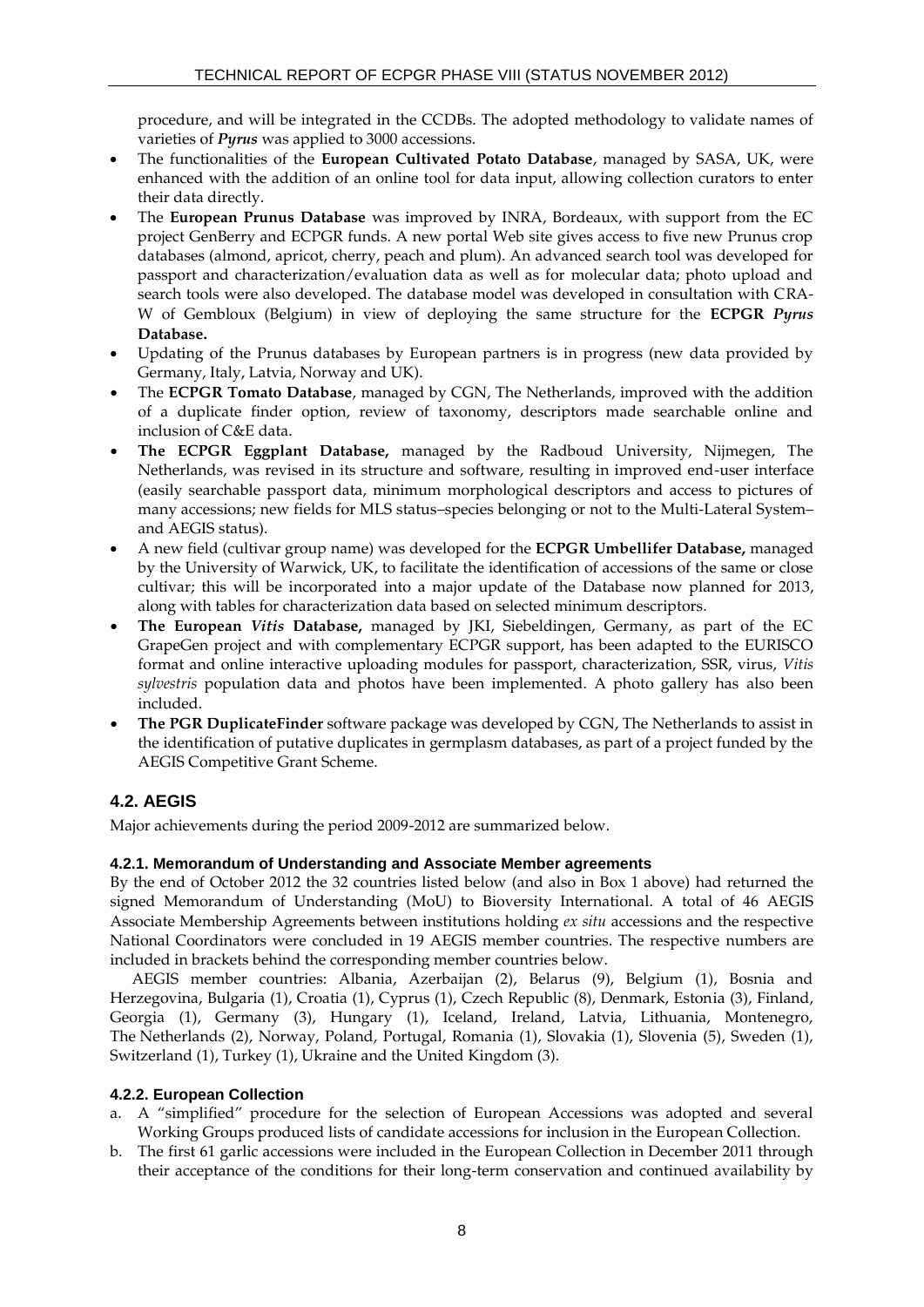procedure, and will be integrated in the CCDBs. The adopted methodology to validate names of varieties of *Pyrus* was applied to 3000 accessions.

- The functionalities of the **European Cultivated Potato Database**, managed by SASA, UK, were enhanced with the addition of an online tool for data input, allowing collection curators to enter their data directly.
- The **European Prunus Database** was improved by INRA, Bordeaux, with support from the EC project GenBerry and ECPGR funds. A new portal Web site gives access to five new Prunus crop databases (almond, apricot, cherry, peach and plum). An advanced search tool was developed for passport and characterization/evaluation data as well as for molecular data; photo upload and search tools were also developed. The database model was developed in consultation with CRA-W of Gembloux (Belgium) in view of deploying the same structure for the **ECPGR** *Pyrus* **Database.**
- Updating of the Prunus databases by European partners is in progress (new data provided by Germany, Italy, Latvia, Norway and UK).
- The **ECPGR Tomato Database**, managed by CGN, The Netherlands, improved with the addition of a duplicate finder option, review of taxonomy, descriptors made searchable online and inclusion of C&E data.
- **The ECPGR Eggplant Database,** managed by the Radboud University, Nijmegen, The Netherlands, was revised in its structure and software, resulting in improved end-user interface (easily searchable passport data, minimum morphological descriptors and access to pictures of many accessions; new fields for MLS status–species belonging or not to the Multi-Lateral System– and AEGIS status).
- A new field (cultivar group name) was developed for the **ECPGR Umbellifer Database,** managed by the University of Warwick, UK, to facilitate the identification of accessions of the same or close cultivar; this will be incorporated into a major update of the Database now planned for 2013, along with tables for characterization data based on selected minimum descriptors.
- **The European** *Vitis* **Database,** managed by JKI, Siebeldingen, Germany, as part of the EC GrapeGen project and with complementary ECPGR support, has been adapted to the EURISCO format and online interactive uploading modules for passport, characterization, SSR, virus, *Vitis sylvestris* population data and photos have been implemented. A photo gallery has also been included.
- **The PGR DuplicateFinder** software package was developed by CGN, The Netherlands to assist in the identification of putative duplicates in germplasm databases, as part of a project funded by the AEGIS Competitive Grant Scheme.

# **4.2. AEGIS**

Major achievements during the period 2009-2012 are summarized below.

# **4.2.1. Memorandum of Understanding and Associate Member agreements**

By the end of October 2012 the 32 countries listed below (and also in Box 1 above) had returned the signed Memorandum of Understanding (MoU) to Bioversity International. A total of 46 AEGIS Associate Membership Agreements between institutions holding *ex situ* accessions and the respective National Coordinators were concluded in 19 AEGIS member countries. The respective numbers are included in brackets behind the corresponding member countries below.

AEGIS member countries: Albania, Azerbaijan (2), Belarus (9), Belgium (1), Bosnia and Herzegovina, Bulgaria (1), Croatia (1), Cyprus (1), Czech Republic (8), Denmark, Estonia (3), Finland, Georgia (1), Germany (3), Hungary (1), Iceland, Ireland, Latvia, Lithuania, Montenegro, The Netherlands (2), Norway, Poland, Portugal, Romania (1), Slovakia (1), Slovenia (5), Sweden (1), Switzerland (1), Turkey (1), Ukraine and the United Kingdom (3).

# **4.2.2. European Collection**

- a. A "simplified" procedure for the selection of European Accessions was adopted and several Working Groups produced lists of candidate accessions for inclusion in the European Collection.
- b. The first 61 garlic accessions were included in the European Collection in December 2011 through their acceptance of the conditions for their long-term conservation and continued availability by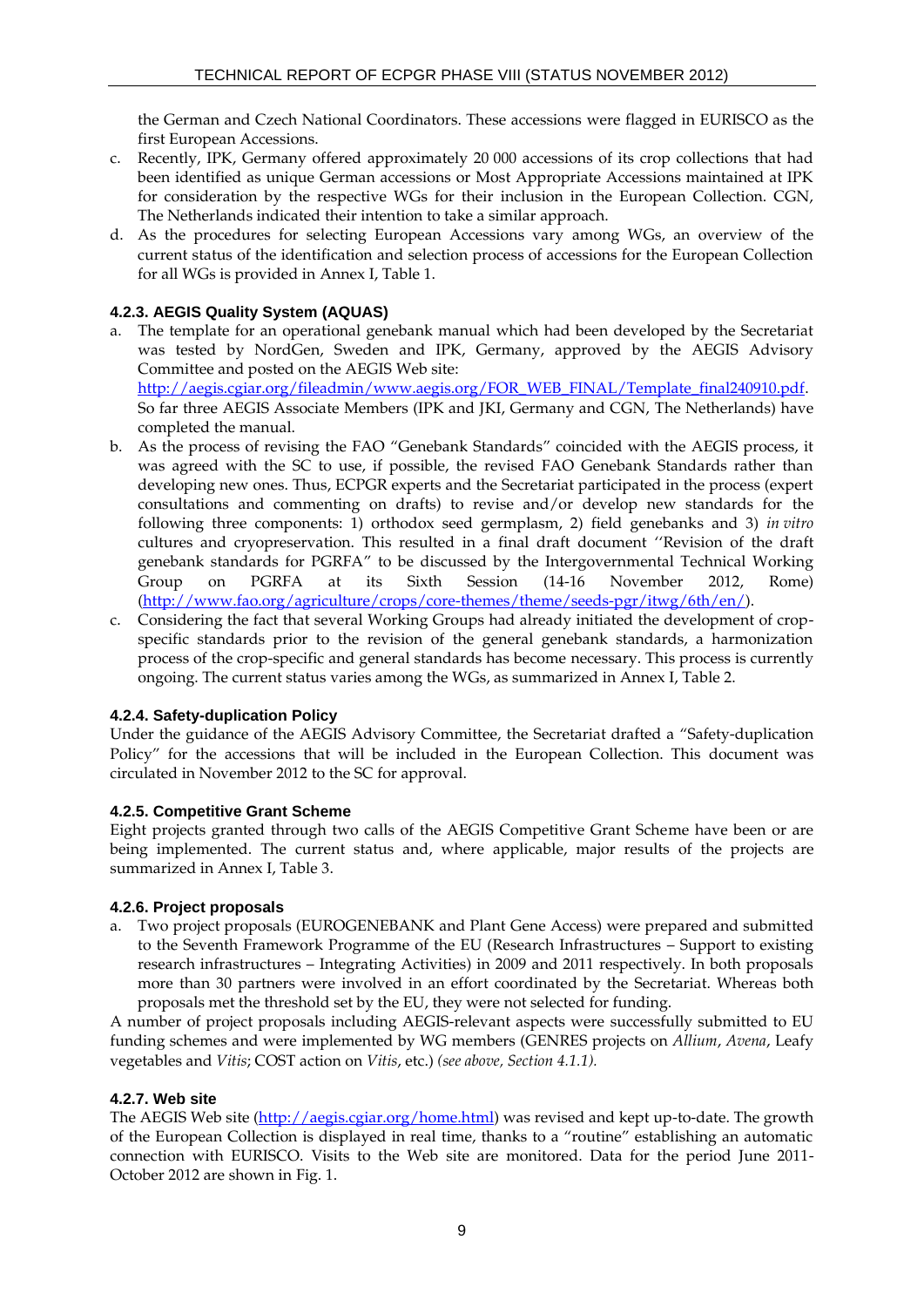the German and Czech National Coordinators. These accessions were flagged in EURISCO as the first European Accessions.

- c. Recently, IPK, Germany offered approximately 20 000 accessions of its crop collections that had been identified as unique German accessions or Most Appropriate Accessions maintained at IPK for consideration by the respective WGs for their inclusion in the European Collection. CGN, The Netherlands indicated their intention to take a similar approach.
- d. As the procedures for selecting European Accessions vary among WGs, an overview of the current status of the identification and selection process of accessions for the European Collection for all WGs is provided in Annex I, Table 1.

# **4.2.3. AEGIS Quality System (AQUAS)**

a. The template for an operational genebank manual which had been developed by the Secretariat was tested by NordGen, Sweden and IPK, Germany, approved by the AEGIS Advisory Committee and posted on the AEGIS Web site:

[http://aegis.cgiar.org/fileadmin/www.aegis.org/FOR\\_WEB\\_FINAL/Template\\_final240910.pdf.](http://aegis.cgiar.org/fileadmin/www.aegis.org/FOR_WEB_FINAL/Template_final240910.pdf) So far three AEGIS Associate Members (IPK and JKI, Germany and CGN, The Netherlands) have completed the manual.

- b. As the process of revising the FAO "Genebank Standards" coincided with the AEGIS process, it was agreed with the SC to use, if possible, the revised FAO Genebank Standards rather than developing new ones. Thus, ECPGR experts and the Secretariat participated in the process (expert consultations and commenting on drafts) to revise and/or develop new standards for the following three components: 1) orthodox seed germplasm, 2) field genebanks and 3) *in vitro* cultures and cryopreservation. This resulted in a final draft document ''Revision of the draft genebank standards for PGRFA" to be discussed by the Intergovernmental Technical Working Group on PGRFA at its Sixth Session (14-16 November 2012, Rome) [\(http://www.fao.org/agriculture/crops/core-themes/theme/seeds-pgr/itwg/6th/en/\)](http://www.fao.org/agriculture/crops/core-themes/theme/seeds-pgr/itwg/6th/en/).
- c. Considering the fact that several Working Groups had already initiated the development of cropspecific standards prior to the revision of the general genebank standards, a harmonization process of the crop-specific and general standards has become necessary. This process is currently ongoing. The current status varies among the WGs, as summarized in Annex I, Table 2.

#### **4.2.4. Safety-duplication Policy**

Under the guidance of the AEGIS Advisory Committee, the Secretariat drafted a "Safety-duplication Policy" for the accessions that will be included in the European Collection. This document was circulated in November 2012 to the SC for approval.

#### **4.2.5. Competitive Grant Scheme**

Eight projects granted through two calls of the AEGIS Competitive Grant Scheme have been or are being implemented. The current status and, where applicable, major results of the projects are summarized in Annex I, Table 3.

#### **4.2.6. Project proposals**

a. Two project proposals (EUROGENEBANK and Plant Gene Access) were prepared and submitted to the Seventh Framework Programme of the EU (Research Infrastructures – Support to existing research infrastructures – Integrating Activities) in 2009 and 2011 respectively. In both proposals more than 30 partners were involved in an effort coordinated by the Secretariat. Whereas both proposals met the threshold set by the EU, they were not selected for funding.

A number of project proposals including AEGIS-relevant aspects were successfully submitted to EU funding schemes and were implemented by WG members (GENRES projects on *Allium*, *Avena*, Leafy vegetables and *Vitis*; COST action on *Vitis*, etc.) *(see above, Section 4.1.1).*

# **4.2.7. Web site**

The AEGIS Web site [\(http://aegis.cgiar.org/home.html\)](http://aegis.cgiar.org/home.html) was revised and kept up-to-date. The growth of the European Collection is displayed in real time, thanks to a "routine" establishing an automatic connection with EURISCO. Visits to the Web site are monitored. Data for the period June 2011- October 2012 are shown in Fig. 1.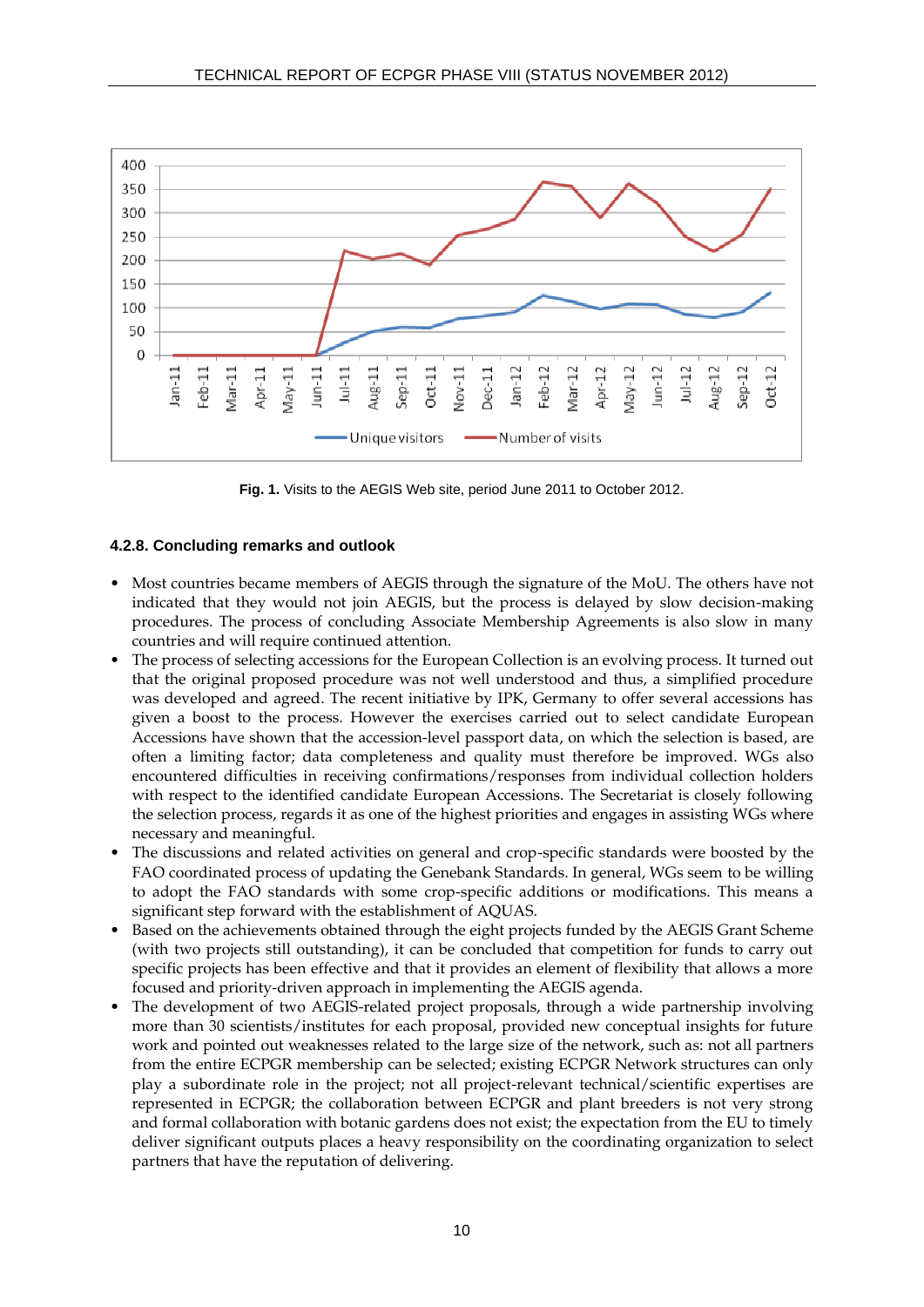

**Fig. 1.** Visits to the AEGIS Web site, period June 2011 to October 2012.

#### **4.2.8. Concluding remarks and outlook**

- Most countries became members of AEGIS through the signature of the MoU. The others have not indicated that they would not join AEGIS, but the process is delayed by slow decision-making procedures. The process of concluding Associate Membership Agreements is also slow in many countries and will require continued attention.
- The process of selecting accessions for the European Collection is an evolving process. It turned out that the original proposed procedure was not well understood and thus, a simplified procedure was developed and agreed. The recent initiative by IPK, Germany to offer several accessions has given a boost to the process. However the exercises carried out to select candidate European Accessions have shown that the accession-level passport data, on which the selection is based, are often a limiting factor; data completeness and quality must therefore be improved. WGs also encountered difficulties in receiving confirmations/responses from individual collection holders with respect to the identified candidate European Accessions. The Secretariat is closely following the selection process, regards it as one of the highest priorities and engages in assisting WGs where necessary and meaningful.
- The discussions and related activities on general and crop-specific standards were boosted by the FAO coordinated process of updating the Genebank Standards. In general, WGs seem to be willing to adopt the FAO standards with some crop-specific additions or modifications. This means a significant step forward with the establishment of AQUAS.
- Based on the achievements obtained through the eight projects funded by the AEGIS Grant Scheme (with two projects still outstanding), it can be concluded that competition for funds to carry out specific projects has been effective and that it provides an element of flexibility that allows a more focused and priority-driven approach in implementing the AEGIS agenda.
- The development of two AEGIS-related project proposals, through a wide partnership involving more than 30 scientists/institutes for each proposal, provided new conceptual insights for future work and pointed out weaknesses related to the large size of the network, such as: not all partners from the entire ECPGR membership can be selected; existing ECPGR Network structures can only play a subordinate role in the project; not all project-relevant technical/scientific expertises are represented in ECPGR; the collaboration between ECPGR and plant breeders is not very strong and formal collaboration with botanic gardens does not exist; the expectation from the EU to timely deliver significant outputs places a heavy responsibility on the coordinating organization to select partners that have the reputation of delivering.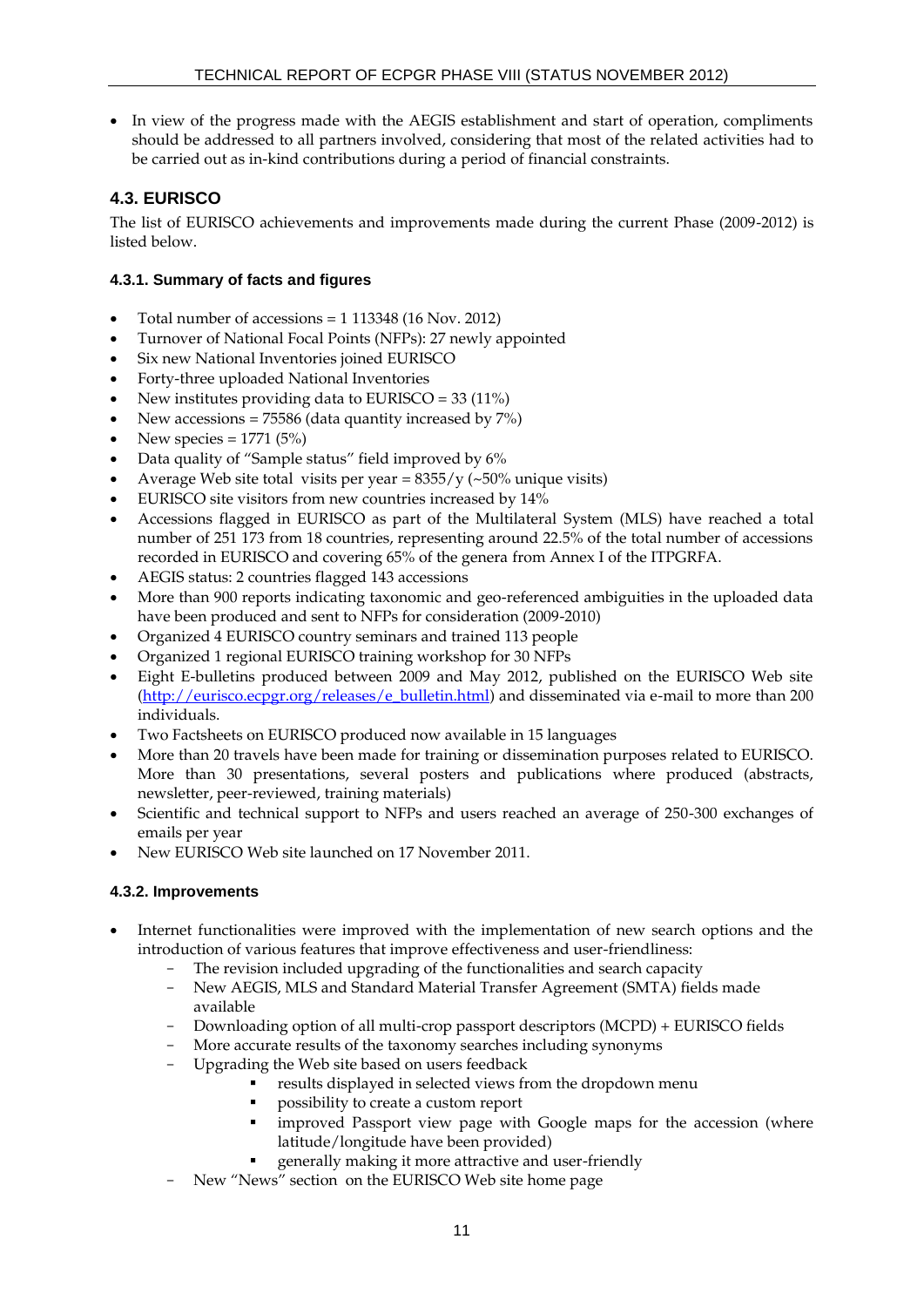In view of the progress made with the AEGIS establishment and start of operation, compliments should be addressed to all partners involved, considering that most of the related activities had to be carried out as in-kind contributions during a period of financial constraints.

# **4.3. EURISCO**

The list of EURISCO achievements and improvements made during the current Phase (2009-2012) is listed below.

# **4.3.1. Summary of facts and figures**

- Total number of accessions = 1 113348 (16 Nov. 2012)
- Turnover of National Focal Points (NFPs): 27 newly appointed
- Six new National Inventories joined EURISCO
- Forty-three uploaded National Inventories
- New institutes providing data to EURISCO = 33 (11%)
- New accessions = 75586 (data quantity increased by 7%)
- New species =  $1771 (5%)$
- Data quality of "Sample status" field improved by 6%
- Average Web site total visits per year =  $8355/y$  (~50% unique visits)
- EURISCO site visitors from new countries increased by 14%
- Accessions flagged in EURISCO as part of the Multilateral System (MLS) have reached a total number of 251 173 from 18 countries, representing around 22.5% of the total number of accessions recorded in EURISCO and covering 65% of the genera from Annex I of the ITPGRFA.
- AEGIS status: 2 countries flagged 143 accessions
- More than 900 reports indicating taxonomic and geo-referenced ambiguities in the uploaded data have been produced and sent to NFPs for consideration (2009-2010)
- Organized 4 EURISCO country seminars and trained 113 people
- Organized 1 regional EURISCO training workshop for 30 NFPs
- Eight E-bulletins produced between 2009 and May 2012, published on the EURISCO Web site [\(http://eurisco.ecpgr.org/releases/e\\_bulletin.html\)](http://eurisco.ecpgr.org/releases/e_bulletin.html) and disseminated via e-mail to more than 200 individuals.
- Two Factsheets on EURISCO produced now available in 15 languages
- More than 20 travels have been made for training or dissemination purposes related to EURISCO. More than 30 presentations, several posters and publications where produced (abstracts, newsletter, peer-reviewed, training materials)
- Scientific and technical support to NFPs and users reached an average of 250-300 exchanges of emails per year
- New EURISCO Web site launched on 17 November 2011.

# **4.3.2. Improvements**

- Internet functionalities were improved with the implementation of new search options and the introduction of various features that improve effectiveness and user-friendliness:
	- The revision included upgrading of the functionalities and search capacity
	- New AEGIS, MLS and Standard Material Transfer Agreement (SMTA) fields made available
	- Downloading option of all multi-crop passport descriptors (MCPD) + EURISCO fields
	- More accurate results of the taxonomy searches including synonyms
	- Upgrading the Web site based on users feedback
		- results displayed in selected views from the dropdown menu
			- possibility to create a custom report
			- improved Passport view page with Google maps for the accession (where latitude/longitude have been provided)
		- generally making it more attractive and user-friendly
	- New "News" section on the EURISCO Web site home page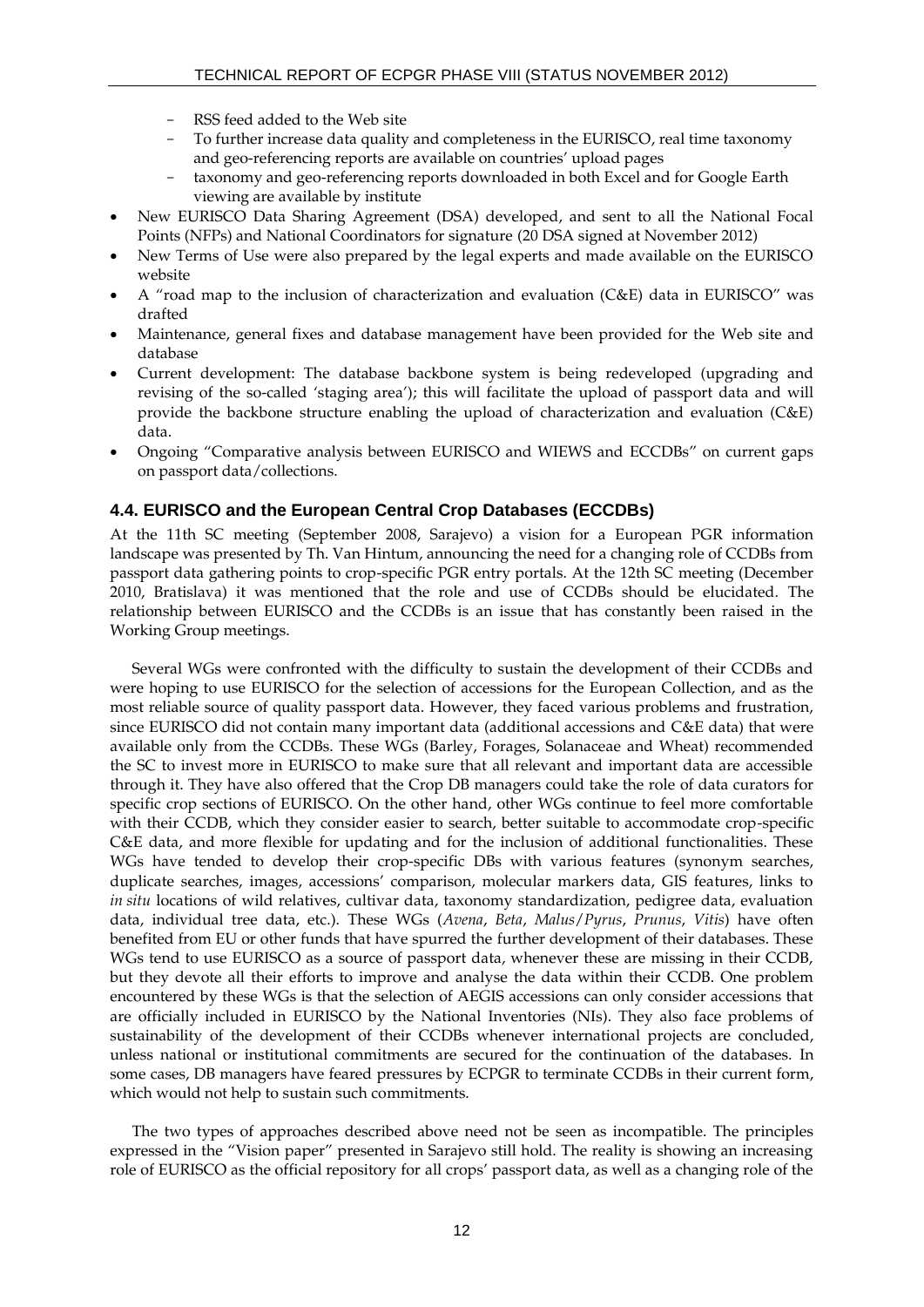- RSS feed added to the Web site
- To further increase data quality and completeness in the EURISCO, real time taxonomy and geo-referencing reports are available on countries' upload pages
- taxonomy and geo-referencing reports downloaded in both Excel and for Google Earth viewing are available by institute
- New EURISCO Data Sharing Agreement (DSA) developed, and sent to all the National Focal Points (NFPs) and National Coordinators for signature (20 DSA signed at November 2012)
- New Terms of Use were also prepared by the legal experts and made available on the EURISCO website
- A "road map to the inclusion of characterization and evaluation (C&E) data in EURISCO" was drafted
- Maintenance, general fixes and database management have been provided for the Web site and database
- Current development: The database backbone system is being redeveloped (upgrading and revising of the so-called 'staging area'); this will facilitate the upload of passport data and will provide the backbone structure enabling the upload of characterization and evaluation (C&E) data.
- Ongoing "Comparative analysis between EURISCO and WIEWS and ECCDBs" on current gaps on passport data/collections.

#### **4.4. EURISCO and the European Central Crop Databases (ECCDBs)**

At the 11th SC meeting (September 2008, Sarajevo) a vision for a European PGR information landscape was presented by Th. Van Hintum, announcing the need for a changing role of CCDBs from passport data gathering points to crop-specific PGR entry portals. At the 12th SC meeting (December 2010, Bratislava) it was mentioned that the role and use of CCDBs should be elucidated. The relationship between EURISCO and the CCDBs is an issue that has constantly been raised in the Working Group meetings.

Several WGs were confronted with the difficulty to sustain the development of their CCDBs and were hoping to use EURISCO for the selection of accessions for the European Collection, and as the most reliable source of quality passport data. However, they faced various problems and frustration, since EURISCO did not contain many important data (additional accessions and C&E data) that were available only from the CCDBs. These WGs (Barley, Forages, Solanaceae and Wheat) recommended the SC to invest more in EURISCO to make sure that all relevant and important data are accessible through it. They have also offered that the Crop DB managers could take the role of data curators for specific crop sections of EURISCO. On the other hand, other WGs continue to feel more comfortable with their CCDB, which they consider easier to search, better suitable to accommodate crop-specific C&E data, and more flexible for updating and for the inclusion of additional functionalities. These WGs have tended to develop their crop-specific DBs with various features (synonym searches, duplicate searches, images, accessions' comparison, molecular markers data, GIS features, links to *in situ* locations of wild relatives, cultivar data, taxonomy standardization, pedigree data, evaluation data, individual tree data, etc.). These WGs (*Avena*, *Beta*, *Malus*/*Pyrus*, *Prunus*, *Vitis*) have often benefited from EU or other funds that have spurred the further development of their databases. These WGs tend to use EURISCO as a source of passport data, whenever these are missing in their CCDB, but they devote all their efforts to improve and analyse the data within their CCDB. One problem encountered by these WGs is that the selection of AEGIS accessions can only consider accessions that are officially included in EURISCO by the National Inventories (NIs). They also face problems of sustainability of the development of their CCDBs whenever international projects are concluded, unless national or institutional commitments are secured for the continuation of the databases. In some cases, DB managers have feared pressures by ECPGR to terminate CCDBs in their current form, which would not help to sustain such commitments.

The two types of approaches described above need not be seen as incompatible. The principles expressed in the "Vision paper" presented in Sarajevo still hold. The reality is showing an increasing role of EURISCO as the official repository for all crops' passport data, as well as a changing role of the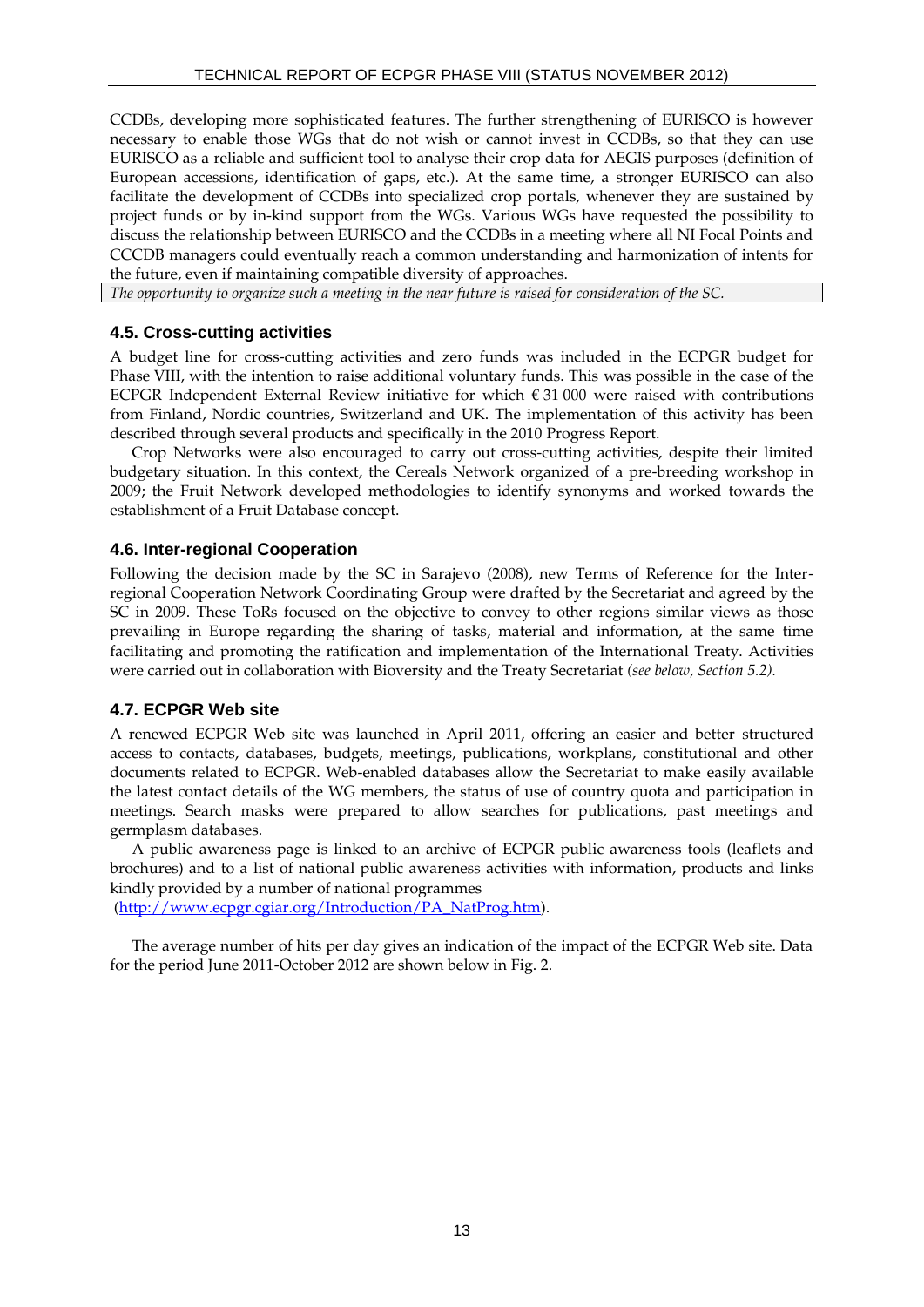CCDBs, developing more sophisticated features. The further strengthening of EURISCO is however necessary to enable those WGs that do not wish or cannot invest in CCDBs, so that they can use EURISCO as a reliable and sufficient tool to analyse their crop data for AEGIS purposes (definition of European accessions, identification of gaps, etc.). At the same time, a stronger EURISCO can also facilitate the development of CCDBs into specialized crop portals, whenever they are sustained by project funds or by in-kind support from the WGs. Various WGs have requested the possibility to discuss the relationship between EURISCO and the CCDBs in a meeting where all NI Focal Points and CCCDB managers could eventually reach a common understanding and harmonization of intents for the future, even if maintaining compatible diversity of approaches.

*The opportunity to organize such a meeting in the near future is raised for consideration of the SC.*

# **4.5. Cross-cutting activities**

A budget line for cross-cutting activities and zero funds was included in the ECPGR budget for Phase VIII, with the intention to raise additional voluntary funds. This was possible in the case of the ECPGR Independent External Review initiative for which  $\epsilon$  31 000 were raised with contributions from Finland, Nordic countries, Switzerland and UK. The implementation of this activity has been described through several products and specifically in the 2010 Progress Report.

Crop Networks were also encouraged to carry out cross-cutting activities, despite their limited budgetary situation. In this context, the Cereals Network organized of a pre-breeding workshop in 2009; the Fruit Network developed methodologies to identify synonyms and worked towards the establishment of a Fruit Database concept.

# **4.6. Inter-regional Cooperation**

Following the decision made by the SC in Sarajevo (2008), new Terms of Reference for the Interregional Cooperation Network Coordinating Group were drafted by the Secretariat and agreed by the SC in 2009. These ToRs focused on the objective to convey to other regions similar views as those prevailing in Europe regarding the sharing of tasks, material and information, at the same time facilitating and promoting the ratification and implementation of the International Treaty. Activities were carried out in collaboration with Bioversity and the Treaty Secretariat *(see below, Section 5.2).*

# **4.7. ECPGR Web site**

A renewed ECPGR Web site was launched in April 2011, offering an easier and better structured access to contacts, databases, budgets, meetings, publications, workplans, constitutional and other documents related to ECPGR. Web-enabled databases allow the Secretariat to make easily available the latest contact details of the WG members, the status of use of country quota and participation in meetings. Search masks were prepared to allow searches for publications, past meetings and germplasm databases.

A public awareness page is linked to an archive of ECPGR public awareness tools (leaflets and brochures) and to a list of national public awareness activities with information, products and links kindly provided by a number of national programmes

[\(http://www.ecpgr.cgiar.org/Introduction/PA\\_NatProg.htm\)](http://www.ecpgr.cgiar.org/Introduction/PA_NatProg.htm).

The average number of hits per day gives an indication of the impact of the ECPGR Web site. Data for the period June 2011-October 2012 are shown below in Fig. 2.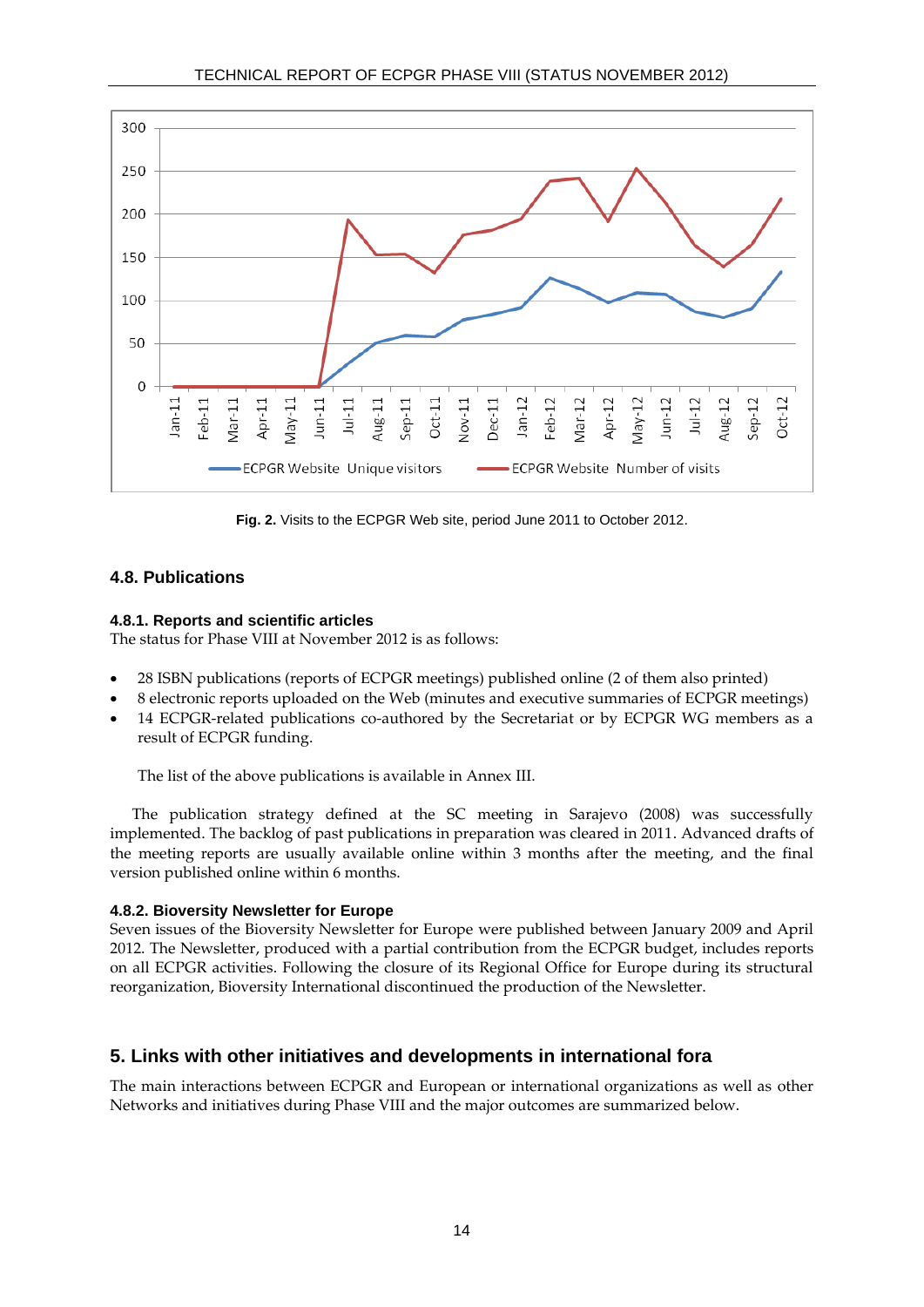

**Fig. 2.** Visits to the ECPGR Web site, period June 2011 to October 2012.

# **4.8. Publications**

#### **4.8.1. Reports and scientific articles**

The status for Phase VIII at November 2012 is as follows:

- 28 ISBN publications (reports of ECPGR meetings) published online (2 of them also printed)
- 8 electronic reports uploaded on the Web (minutes and executive summaries of ECPGR meetings)
- 14 ECPGR-related publications co-authored by the Secretariat or by ECPGR WG members as a result of ECPGR funding.

The list of the above publications is available in Annex III.

The publication strategy defined at the SC meeting in Sarajevo (2008) was successfully implemented. The backlog of past publications in preparation was cleared in 2011. Advanced drafts of the meeting reports are usually available online within 3 months after the meeting, and the final version published online within 6 months.

#### **4.8.2. Bioversity Newsletter for Europe**

Seven issues of the Bioversity Newsletter for Europe were published between January 2009 and April 2012. The Newsletter, produced with a partial contribution from the ECPGR budget, includes reports on all ECPGR activities. Following the closure of its Regional Office for Europe during its structural reorganization, Bioversity International discontinued the production of the Newsletter.

# **5. Links with other initiatives and developments in international fora**

The main interactions between ECPGR and European or international organizations as well as other Networks and initiatives during Phase VIII and the major outcomes are summarized below.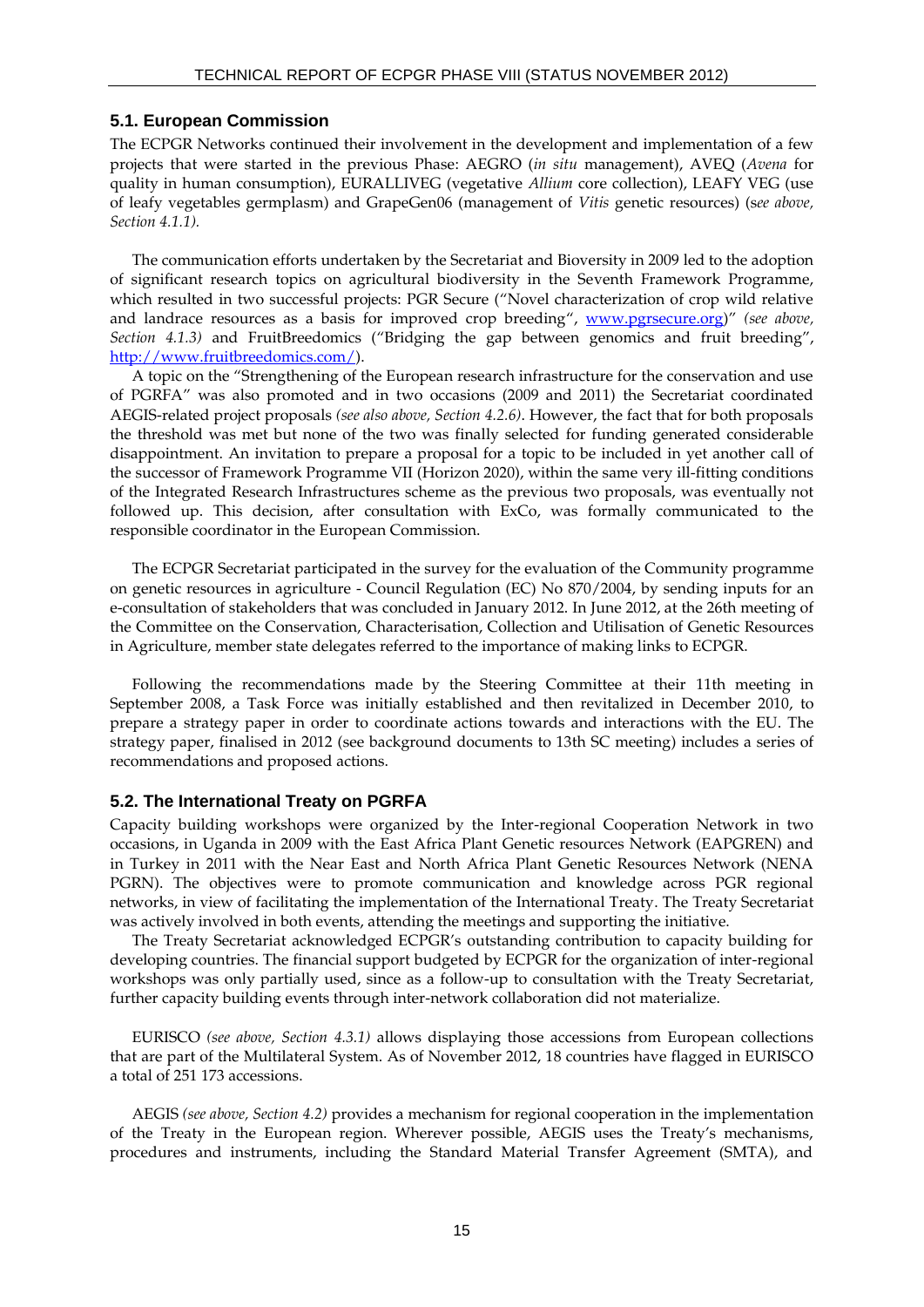#### **5.1. European Commission**

The ECPGR Networks continued their involvement in the development and implementation of a few projects that were started in the previous Phase: AEGRO (*in situ* management), AVEQ (*Avena* for quality in human consumption), EURALLIVEG (vegetative *Allium* core collection), LEAFY VEG (use of leafy vegetables germplasm) and GrapeGen06 (management of *Vitis* genetic resources) (s*ee above, Section 4.1.1).*

The communication efforts undertaken by the Secretariat and Bioversity in 2009 led to the adoption of significant research topics on agricultural biodiversity in the Seventh Framework Programme, which resulted in two successful projects: PGR Secure ("Novel characterization of crop wild relative and landrace resources as a basis for improved crop breeding", [www.pgrsecure.org](http://www.pgrsecure.org/))" *(see above, Section 4.1.3)* and FruitBreedomics ("Bridging the gap between genomics and fruit breeding", [http://www.fruitbreedomics.com/\)](http://www.fruitbreedomics.com/).

A topic on the "Strengthening of the European research infrastructure for the conservation and use of PGRFA" was also promoted and in two occasions (2009 and 2011) the Secretariat coordinated AEGIS-related project proposals *(see also above, Section 4.2.6)*. However, the fact that for both proposals the threshold was met but none of the two was finally selected for funding generated considerable disappointment. An invitation to prepare a proposal for a topic to be included in yet another call of the successor of Framework Programme VII (Horizon 2020), within the same very ill-fitting conditions of the Integrated Research Infrastructures scheme as the previous two proposals, was eventually not followed up. This decision, after consultation with ExCo, was formally communicated to the responsible coordinator in the European Commission.

The ECPGR Secretariat participated in the survey for the evaluation of the Community programme on genetic resources in agriculture - Council Regulation (EC) No 870/2004, by sending inputs for an e-consultation of stakeholders that was concluded in January 2012. In June 2012, at the 26th meeting of the Committee on the Conservation, Characterisation, Collection and Utilisation of Genetic Resources in Agriculture, member state delegates referred to the importance of making links to ECPGR.

Following the recommendations made by the Steering Committee at their 11th meeting in September 2008, a Task Force was initially established and then revitalized in December 2010, to prepare a strategy paper in order to coordinate actions towards and interactions with the EU. The strategy paper, finalised in 2012 (see background documents to 13th SC meeting) includes a series of recommendations and proposed actions.

#### **5.2. The International Treaty on PGRFA**

Capacity building workshops were organized by the Inter-regional Cooperation Network in two occasions, in Uganda in 2009 with the East Africa Plant Genetic resources Network (EAPGREN) and in Turkey in 2011 with the Near East and North Africa Plant Genetic Resources Network (NENA PGRN). The objectives were to promote communication and knowledge across PGR regional networks, in view of facilitating the implementation of the International Treaty. The Treaty Secretariat was actively involved in both events, attending the meetings and supporting the initiative.

The Treaty Secretariat acknowledged ECPGR's outstanding contribution to capacity building for developing countries. The financial support budgeted by ECPGR for the organization of inter-regional workshops was only partially used, since as a follow-up to consultation with the Treaty Secretariat, further capacity building events through inter-network collaboration did not materialize.

EURISCO *(see above, Section 4.3.1)* allows displaying those accessions from European collections that are part of the Multilateral System. As of November 2012, 18 countries have flagged in EURISCO a total of 251 173 accessions.

AEGIS *(see above, Section 4.2)* provides a mechanism for regional cooperation in the implementation of the Treaty in the European region. Wherever possible, AEGIS uses the Treaty's mechanisms, procedures and instruments, including the Standard Material Transfer Agreement (SMTA), and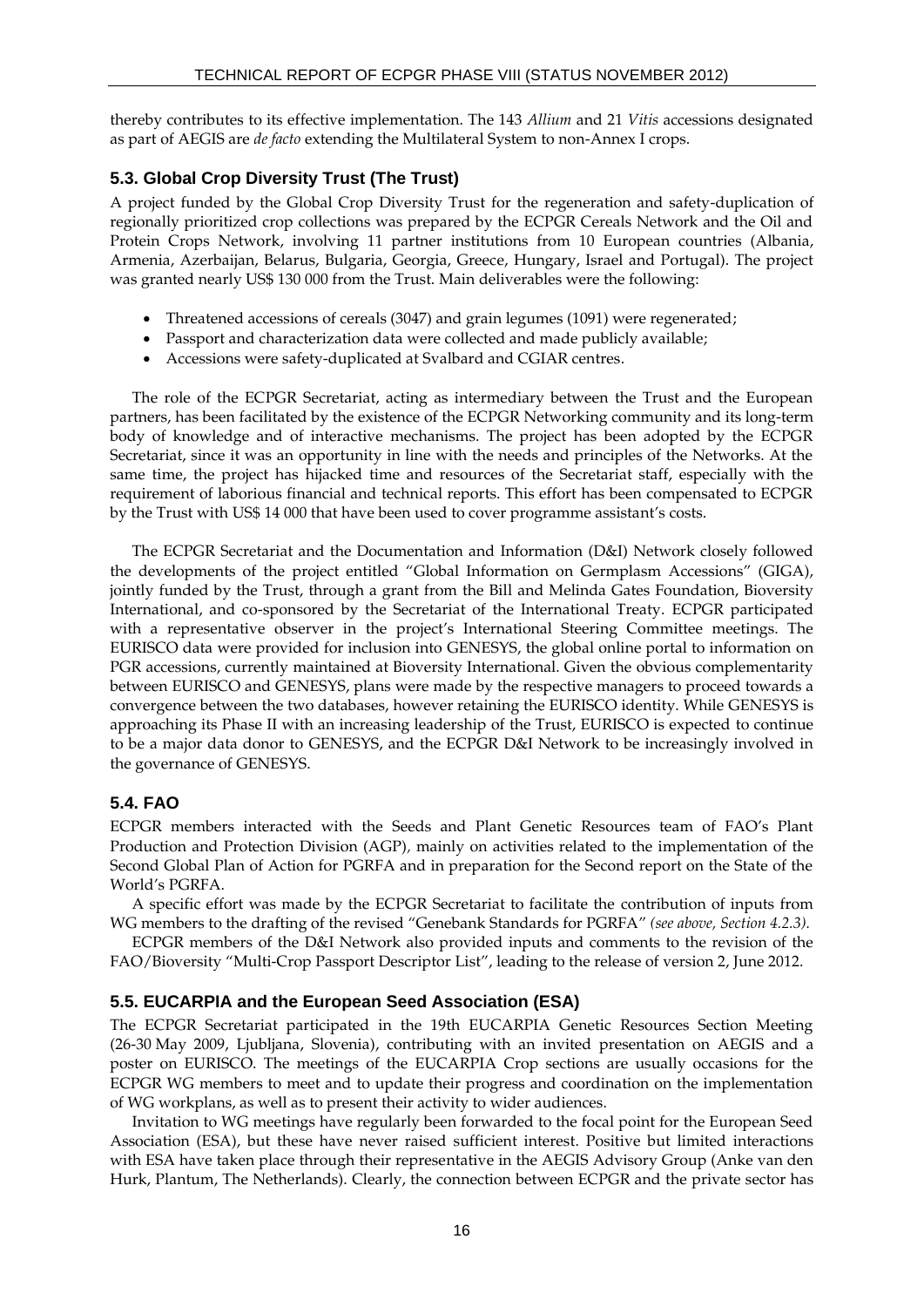thereby contributes to its effective implementation. The 143 *Allium* and 21 *Vitis* accessions designated as part of AEGIS are *de facto* extending the Multilateral System to non-Annex I crops.

# **5.3. Global Crop Diversity Trust (The Trust)**

A project funded by the Global Crop Diversity Trust for the regeneration and safety-duplication of regionally prioritized crop collections was prepared by the ECPGR Cereals Network and the Oil and Protein Crops Network, involving 11 partner institutions from 10 European countries (Albania, Armenia, Azerbaijan, Belarus, Bulgaria, Georgia, Greece, Hungary, Israel and Portugal). The project was granted nearly US\$ 130 000 from the Trust. Main deliverables were the following:

- Threatened accessions of cereals (3047) and grain legumes (1091) were regenerated;
- Passport and characterization data were collected and made publicly available;
- Accessions were safety-duplicated at Svalbard and CGIAR centres.

The role of the ECPGR Secretariat, acting as intermediary between the Trust and the European partners, has been facilitated by the existence of the ECPGR Networking community and its long-term body of knowledge and of interactive mechanisms. The project has been adopted by the ECPGR Secretariat, since it was an opportunity in line with the needs and principles of the Networks. At the same time, the project has hijacked time and resources of the Secretariat staff, especially with the requirement of laborious financial and technical reports. This effort has been compensated to ECPGR by the Trust with US\$ 14 000 that have been used to cover programme assistant's costs.

The ECPGR Secretariat and the Documentation and Information (D&I) Network closely followed the developments of the project entitled "Global Information on Germplasm Accessions" (GIGA), jointly funded by the Trust, through a grant from the Bill and Melinda Gates Foundation, Bioversity International, and co-sponsored by the Secretariat of the International Treaty. ECPGR participated with a representative observer in the project's International Steering Committee meetings. The EURISCO data were provided for inclusion into GENESYS, the global online portal to information on PGR accessions, currently maintained at Bioversity International. Given the obvious complementarity between EURISCO and GENESYS, plans were made by the respective managers to proceed towards a convergence between the two databases, however retaining the EURISCO identity. While GENESYS is approaching its Phase II with an increasing leadership of the Trust, EURISCO is expected to continue to be a major data donor to GENESYS, and the ECPGR D&I Network to be increasingly involved in the governance of GENESYS.

# **5.4. FAO**

ECPGR members interacted with the Seeds and Plant Genetic Resources team of FAO's Plant Production and Protection Division (AGP)*,* mainly on activities related to the implementation of the Second Global Plan of Action for PGRFA and in preparation for the Second report on the State of the World's PGRFA.

A specific effort was made by the ECPGR Secretariat to facilitate the contribution of inputs from WG members to the drafting of the revised "Genebank Standards for PGRFA" *(see above, Section 4.2.3).*

ECPGR members of the D&I Network also provided inputs and comments to the revision of the FAO/Bioversity "Multi-Crop Passport Descriptor List", leading to the release of version 2, June 2012.

# **5.5. EUCARPIA and the European Seed Association (ESA)**

The ECPGR Secretariat participated in the 19th EUCARPIA Genetic Resources Section Meeting (26-30 May 2009, Ljubljana, Slovenia), contributing with an invited presentation on AEGIS and a poster on EURISCO. The meetings of the EUCARPIA Crop sections are usually occasions for the ECPGR WG members to meet and to update their progress and coordination on the implementation of WG workplans, as well as to present their activity to wider audiences.

Invitation to WG meetings have regularly been forwarded to the focal point for the European Seed Association (ESA), but these have never raised sufficient interest. Positive but limited interactions with ESA have taken place through their representative in the AEGIS Advisory Group (Anke van den Hurk, Plantum, The Netherlands). Clearly, the connection between ECPGR and the private sector has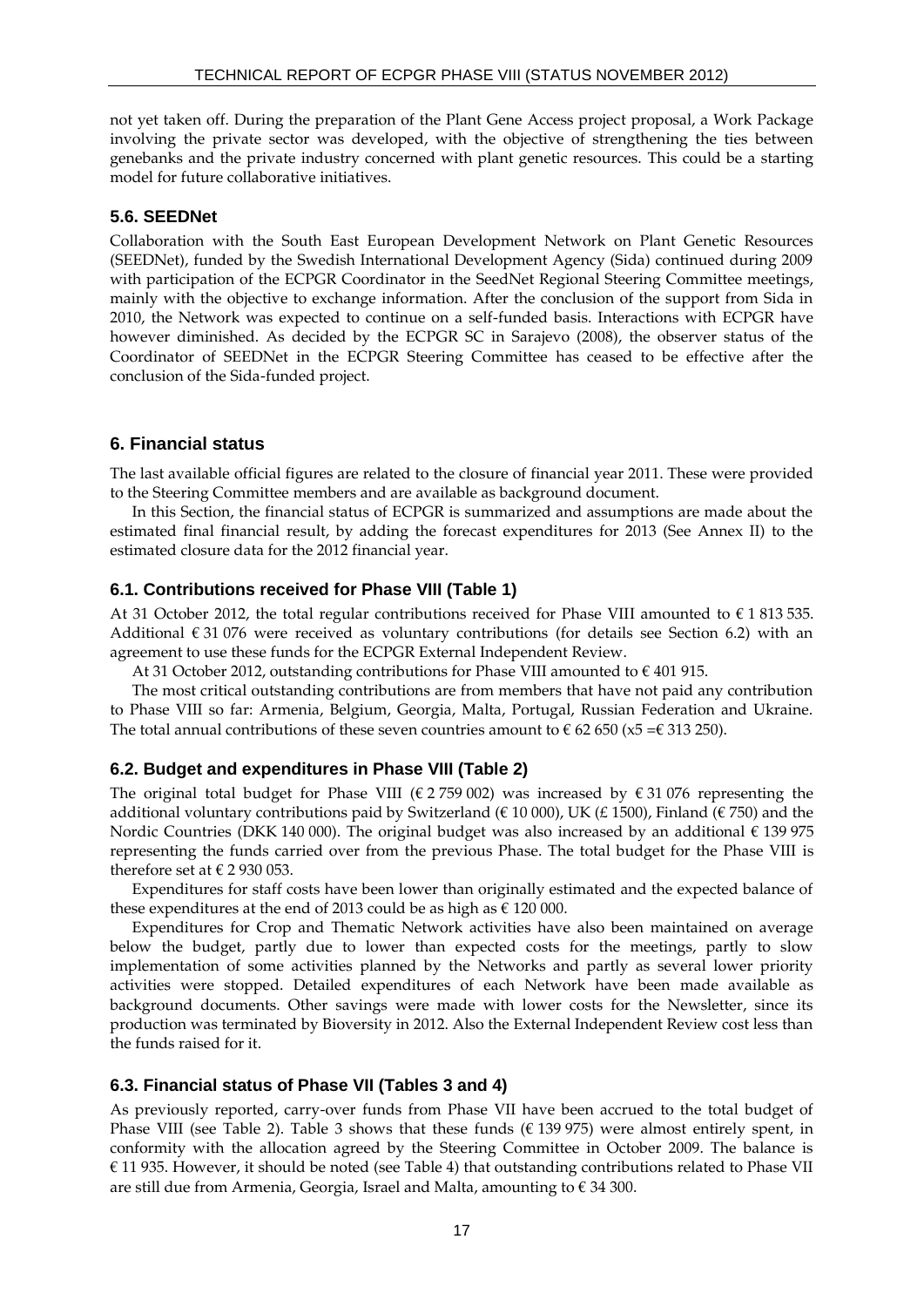not yet taken off. During the preparation of the Plant Gene Access project proposal, a Work Package involving the private sector was developed, with the objective of strengthening the ties between genebanks and the private industry concerned with plant genetic resources. This could be a starting model for future collaborative initiatives.

# **5.6. SEEDNet**

Collaboration with the South East European Development Network on Plant Genetic Resources (SEEDNet), funded by the Swedish International Development Agency (Sida) continued during 2009 with participation of the ECPGR Coordinator in the SeedNet Regional Steering Committee meetings, mainly with the objective to exchange information. After the conclusion of the support from Sida in 2010, the Network was expected to continue on a self-funded basis. Interactions with ECPGR have however diminished. As decided by the ECPGR SC in Sarajevo (2008), the observer status of the Coordinator of SEEDNet in the ECPGR Steering Committee has ceased to be effective after the conclusion of the Sida-funded project.

# **6. Financial status**

The last available official figures are related to the closure of financial year 2011. These were provided to the Steering Committee members and are available as background document.

In this Section, the financial status of ECPGR is summarized and assumptions are made about the estimated final financial result, by adding the forecast expenditures for 2013 (See Annex II) to the estimated closure data for the 2012 financial year.

#### **6.1. Contributions received for Phase VIII (Table 1)**

At 31 October 2012, the total regular contributions received for Phase VIII amounted to  $\epsilon$  1 813 535. Additional  $\epsilon$  31 076 were received as voluntary contributions (for details see Section 6.2) with an agreement to use these funds for the ECPGR External Independent Review.

At 31 October 2012, outstanding contributions for Phase VIII amounted to  $\epsilon$  401 915.

The most critical outstanding contributions are from members that have not paid any contribution to Phase VIII so far: Armenia, Belgium, Georgia, Malta, Portugal, Russian Federation and Ukraine. The total annual contributions of these seven countries amount to  $\epsilon$  62 650 (x5 =  $\epsilon$  313 250).

# **6.2. Budget and expenditures in Phase VIII (Table 2)**

The original total budget for Phase VIII (€ 2759 002) was increased by  $\epsilon$  31 076 representing the additional voluntary contributions paid by Switzerland ( $\epsilon$  10 000), UK (£ 1500), Finland ( $\epsilon$  750) and the Nordic Countries (DKK 140 000). The original budget was also increased by an additional  $\epsilon$  139 975 representing the funds carried over from the previous Phase. The total budget for the Phase VIII is therefore set at  $\epsilon$  2 930 053.

Expenditures for staff costs have been lower than originally estimated and the expected balance of these expenditures at the end of 2013 could be as high as  $\epsilon$  120 000.

Expenditures for Crop and Thematic Network activities have also been maintained on average below the budget, partly due to lower than expected costs for the meetings, partly to slow implementation of some activities planned by the Networks and partly as several lower priority activities were stopped. Detailed expenditures of each Network have been made available as background documents. Other savings were made with lower costs for the Newsletter, since its production was terminated by Bioversity in 2012. Also the External Independent Review cost less than the funds raised for it.

#### **6.3. Financial status of Phase VII (Tables 3 and 4)**

As previously reported, carry-over funds from Phase VII have been accrued to the total budget of Phase VIII (see Table 2). Table 3 shows that these funds ( $\epsilon$  139 975) were almost entirely spent, in conformity with the allocation agreed by the Steering Committee in October 2009. The balance is € 11 935. However, it should be noted (see Table 4) that outstanding contributions related to Phase VII are still due from Armenia, Georgia, Israel and Malta, amounting to  $\epsilon$  34 300.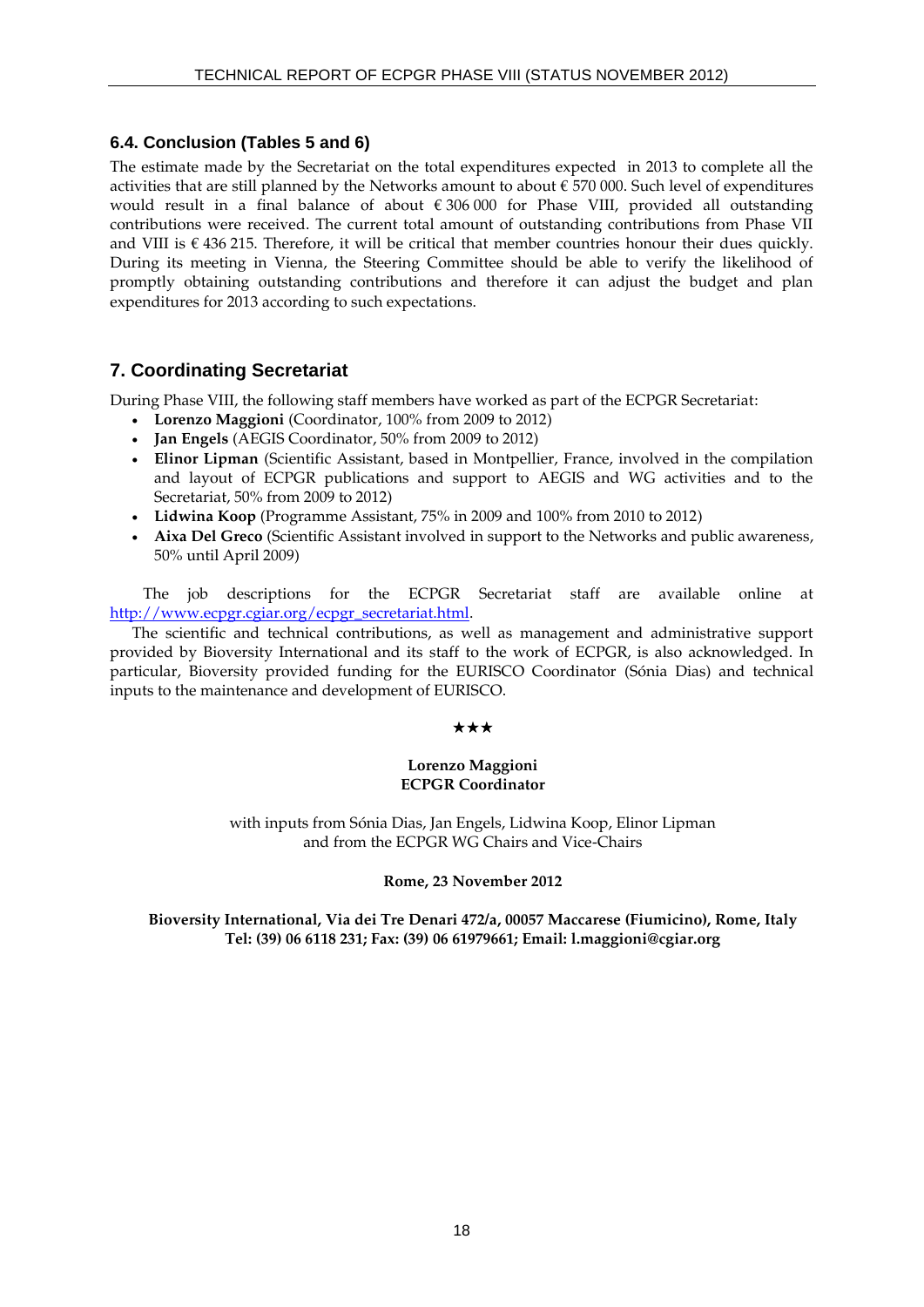# **6.4. Conclusion (Tables 5 and 6)**

The estimate made by the Secretariat on the total expenditures expected in 2013 to complete all the activities that are still planned by the Networks amount to about  $\epsilon$  570 000. Such level of expenditures would result in a final balance of about € 306 000 for Phase VIII, provided all outstanding contributions were received. The current total amount of outstanding contributions from Phase VII and VIII is  $\epsilon$  436 215. Therefore, it will be critical that member countries honour their dues quickly. During its meeting in Vienna, the Steering Committee should be able to verify the likelihood of promptly obtaining outstanding contributions and therefore it can adjust the budget and plan expenditures for 2013 according to such expectations.

# **7. Coordinating Secretariat**

During Phase VIII, the following staff members have worked as part of the ECPGR Secretariat:

- **Lorenzo Maggioni** (Coordinator, 100% from 2009 to 2012)
- **Jan Engels** (AEGIS Coordinator, 50% from 2009 to 2012)
- **Elinor Lipman** (Scientific Assistant, based in Montpellier, France, involved in the compilation and layout of ECPGR publications and support to AEGIS and WG activities and to the Secretariat, 50% from 2009 to 2012)
- **Lidwina Koop** (Programme Assistant, 75% in 2009 and 100% from 2010 to 2012)
- **Aixa Del Greco** (Scientific Assistant involved in support to the Networks and public awareness, 50% until April 2009)

The job descriptions for the ECPGR Secretariat staff are available online at [http://www.ecpgr.cgiar.org/ecpgr\\_secretariat.html.](http://www.ecpgr.cgiar.org/ecpgr_secretariat.html)

The scientific and technical contributions, as well as management and administrative support provided by Bioversity International and its staff to the work of ECPGR, is also acknowledged. In particular, Bioversity provided funding for the EURISCO Coordinator (Sónia Dias) and technical inputs to the maintenance and development of EURISCO.

#### \*\*\*

#### **Lorenzo Maggioni ECPGR Coordinator**

with inputs from Sónia Dias, Jan Engels, Lidwina Koop, Elinor Lipman and from the ECPGR WG Chairs and Vice-Chairs

#### **Rome, 23 November 2012**

**Bioversity International, Via dei Tre Denari 472/a, 00057 Maccarese (Fiumicino), Rome, Italy Tel: (39) 06 6118 231; Fax: (39) 06 61979661; Email: l.maggioni@cgiar.org**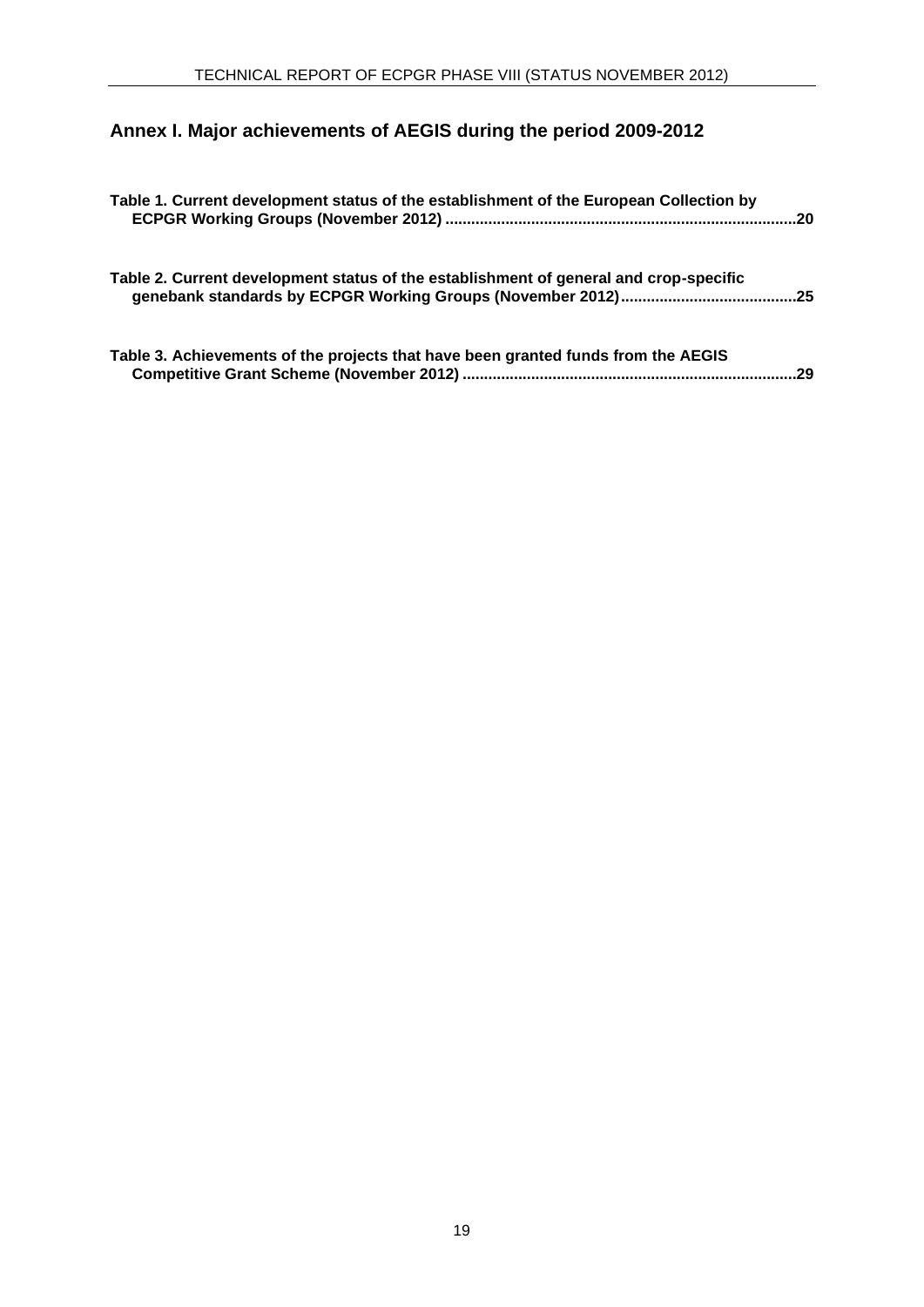# **Annex I. Major achievements of AEGIS during the period 2009-2012**

| Table 1. Current development status of the establishment of the European Collection by |  |
|----------------------------------------------------------------------------------------|--|
| Table 2. Current development status of the establishment of general and crop-specific  |  |
| Table 3. Achievements of the projects that have been granted funds from the AEGIS      |  |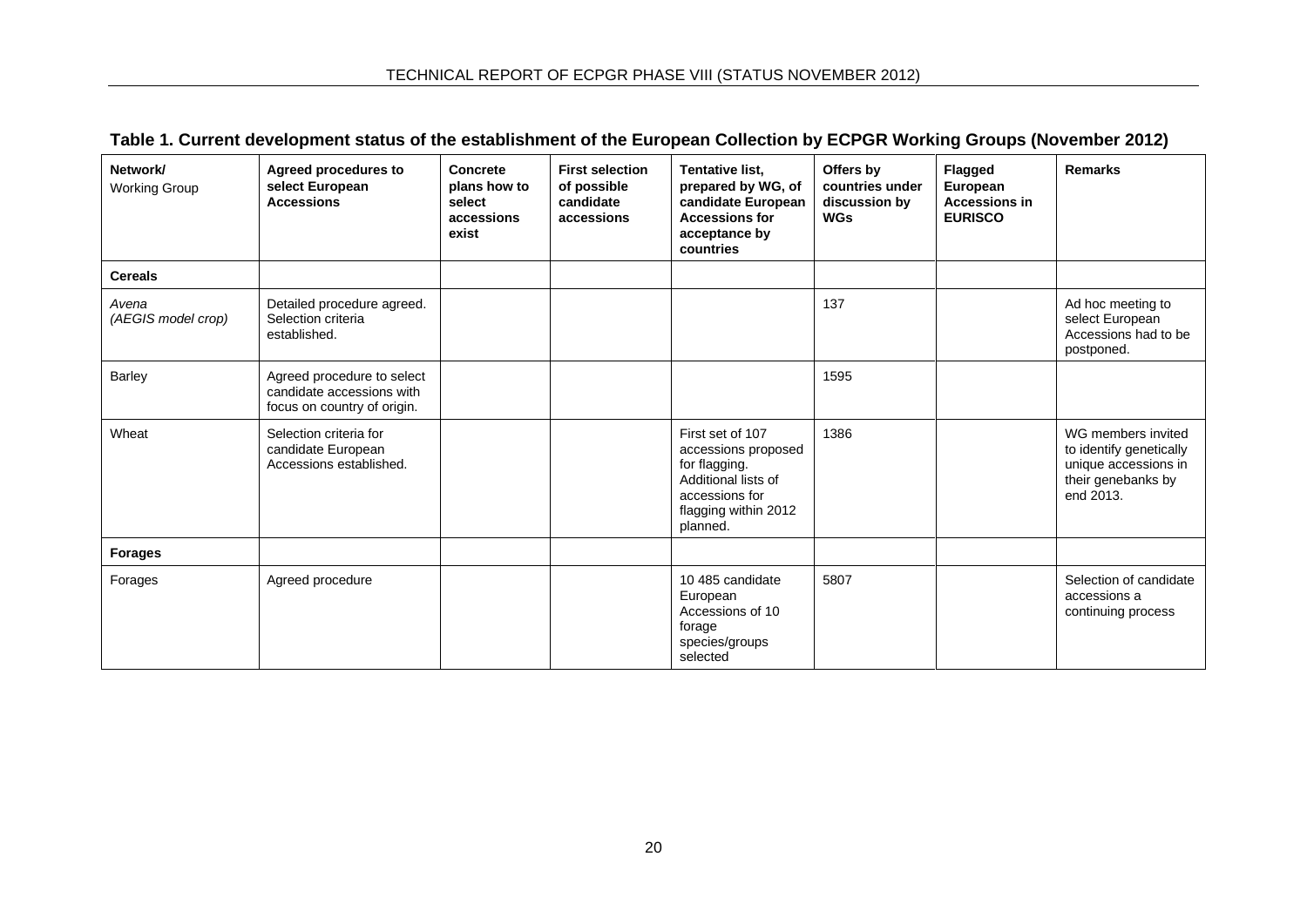| Table 1. Current development status of the establishment of the European Collection by ECPGR Working Groups (November 2012) |  |  |
|-----------------------------------------------------------------------------------------------------------------------------|--|--|
|-----------------------------------------------------------------------------------------------------------------------------|--|--|

<span id="page-21-0"></span>

| Network/<br><b>Working Group</b> | <b>Agreed procedures to</b><br>select European<br><b>Accessions</b>                    | Concrete<br>plans how to<br>select<br>accessions<br>exist | <b>First selection</b><br>of possible<br>candidate<br>accessions | Tentative list,<br>prepared by WG, of<br>candidate European<br><b>Accessions for</b><br>acceptance by<br>countries                    | Offers by<br>countries under<br>discussion by<br><b>WGs</b> | Flagged<br>European<br><b>Accessions in</b><br><b>EURISCO</b> | <b>Remarks</b>                                                                                           |
|----------------------------------|----------------------------------------------------------------------------------------|-----------------------------------------------------------|------------------------------------------------------------------|---------------------------------------------------------------------------------------------------------------------------------------|-------------------------------------------------------------|---------------------------------------------------------------|----------------------------------------------------------------------------------------------------------|
| <b>Cereals</b>                   |                                                                                        |                                                           |                                                                  |                                                                                                                                       |                                                             |                                                               |                                                                                                          |
| Avena<br>(AEGIS model crop)      | Detailed procedure agreed.<br>Selection criteria<br>established.                       |                                                           |                                                                  |                                                                                                                                       | 137                                                         |                                                               | Ad hoc meeting to<br>select European<br>Accessions had to be<br>postponed.                               |
| <b>Barley</b>                    | Agreed procedure to select<br>candidate accessions with<br>focus on country of origin. |                                                           |                                                                  |                                                                                                                                       | 1595                                                        |                                                               |                                                                                                          |
| Wheat                            | Selection criteria for<br>candidate European<br>Accessions established.                |                                                           |                                                                  | First set of 107<br>accessions proposed<br>for flagging.<br>Additional lists of<br>accessions for<br>flagging within 2012<br>planned. | 1386                                                        |                                                               | WG members invited<br>to identify genetically<br>unique accessions in<br>their genebanks by<br>end 2013. |
| <b>Forages</b>                   |                                                                                        |                                                           |                                                                  |                                                                                                                                       |                                                             |                                                               |                                                                                                          |
| Forages                          | Agreed procedure                                                                       |                                                           |                                                                  | 10 485 candidate<br>European<br>Accessions of 10<br>forage<br>species/groups<br>selected                                              | 5807                                                        |                                                               | Selection of candidate<br>accessions a<br>continuing process                                             |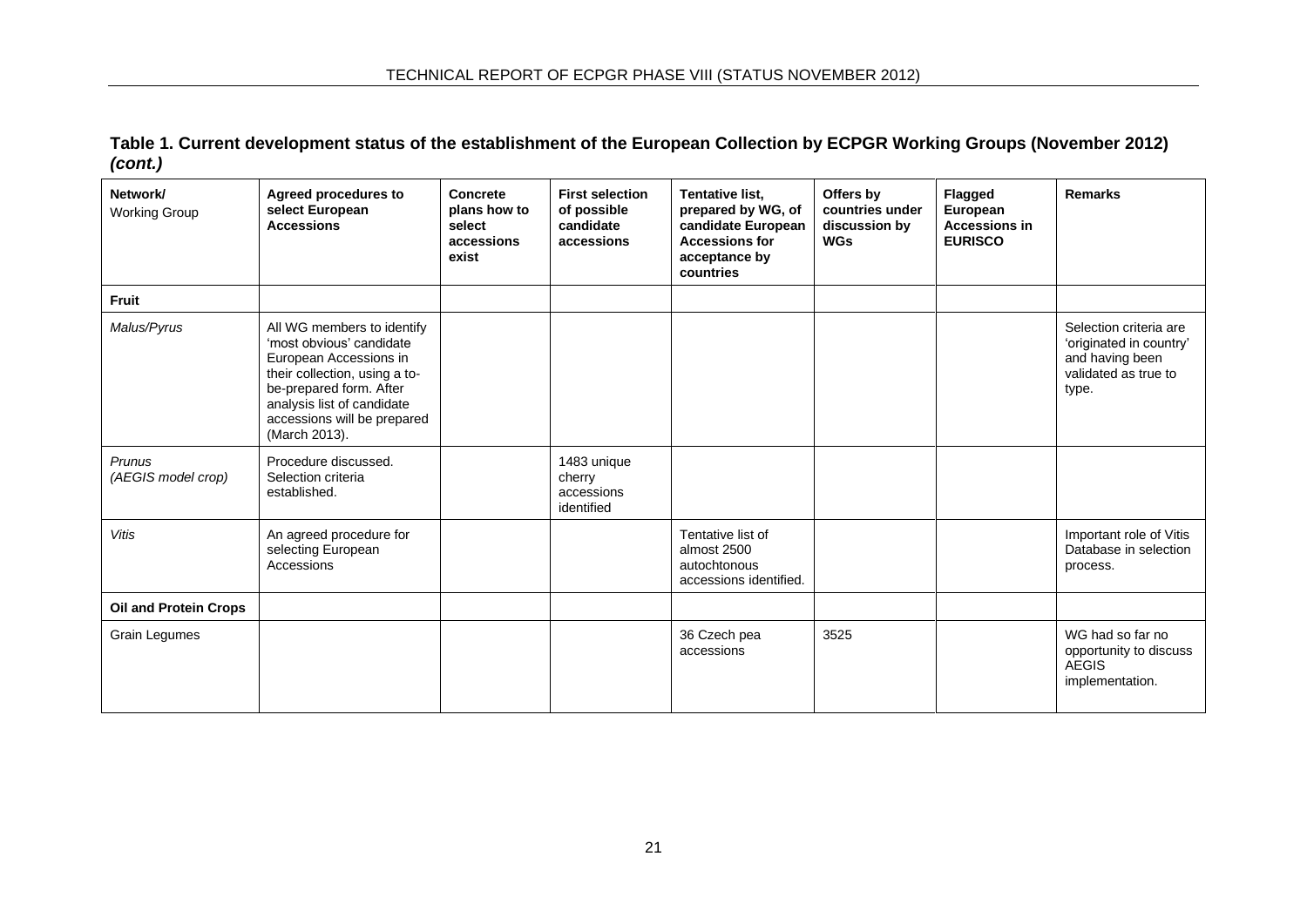**Table 1. Current development status of the establishment of the European Collection by ECPGR Working Groups (November 2012)**  *(cont.)*

| Network/<br><b>Working Group</b> | Agreed procedures to<br>select European<br><b>Accessions</b>                                                                                                                                                               | Concrete<br>plans how to<br>select<br>accessions<br>exist | <b>First selection</b><br>of possible<br>candidate<br>accessions | Tentative list,<br>prepared by WG, of<br>candidate European<br><b>Accessions for</b><br>acceptance by<br>countries | Offers by<br>countries under<br>discussion by<br><b>WGs</b> | <b>Flagged</b><br>European<br><b>Accessions in</b><br><b>EURISCO</b> | <b>Remarks</b>                                                                                        |
|----------------------------------|----------------------------------------------------------------------------------------------------------------------------------------------------------------------------------------------------------------------------|-----------------------------------------------------------|------------------------------------------------------------------|--------------------------------------------------------------------------------------------------------------------|-------------------------------------------------------------|----------------------------------------------------------------------|-------------------------------------------------------------------------------------------------------|
| <b>Fruit</b>                     |                                                                                                                                                                                                                            |                                                           |                                                                  |                                                                                                                    |                                                             |                                                                      |                                                                                                       |
| Malus/Pyrus                      | All WG members to identify<br>'most obvious' candidate<br>European Accessions in<br>their collection, using a to-<br>be-prepared form. After<br>analysis list of candidate<br>accessions will be prepared<br>(March 2013). |                                                           |                                                                  |                                                                                                                    |                                                             |                                                                      | Selection criteria are<br>'originated in country'<br>and having been<br>validated as true to<br>type. |
| Prunus<br>(AEGIS model crop)     | Procedure discussed.<br>Selection criteria<br>established.                                                                                                                                                                 |                                                           | 1483 unique<br>cherry<br>accessions<br>identified                |                                                                                                                    |                                                             |                                                                      |                                                                                                       |
| <b>Vitis</b>                     | An agreed procedure for<br>selecting European<br>Accessions                                                                                                                                                                |                                                           |                                                                  | Tentative list of<br>almost 2500<br>autochtonous<br>accessions identified.                                         |                                                             |                                                                      | Important role of Vitis<br>Database in selection<br>process.                                          |
| <b>Oil and Protein Crops</b>     |                                                                                                                                                                                                                            |                                                           |                                                                  |                                                                                                                    |                                                             |                                                                      |                                                                                                       |
| Grain Legumes                    |                                                                                                                                                                                                                            |                                                           |                                                                  | 36 Czech pea<br>accessions                                                                                         | 3525                                                        |                                                                      | WG had so far no<br>opportunity to discuss<br><b>AEGIS</b><br>implementation.                         |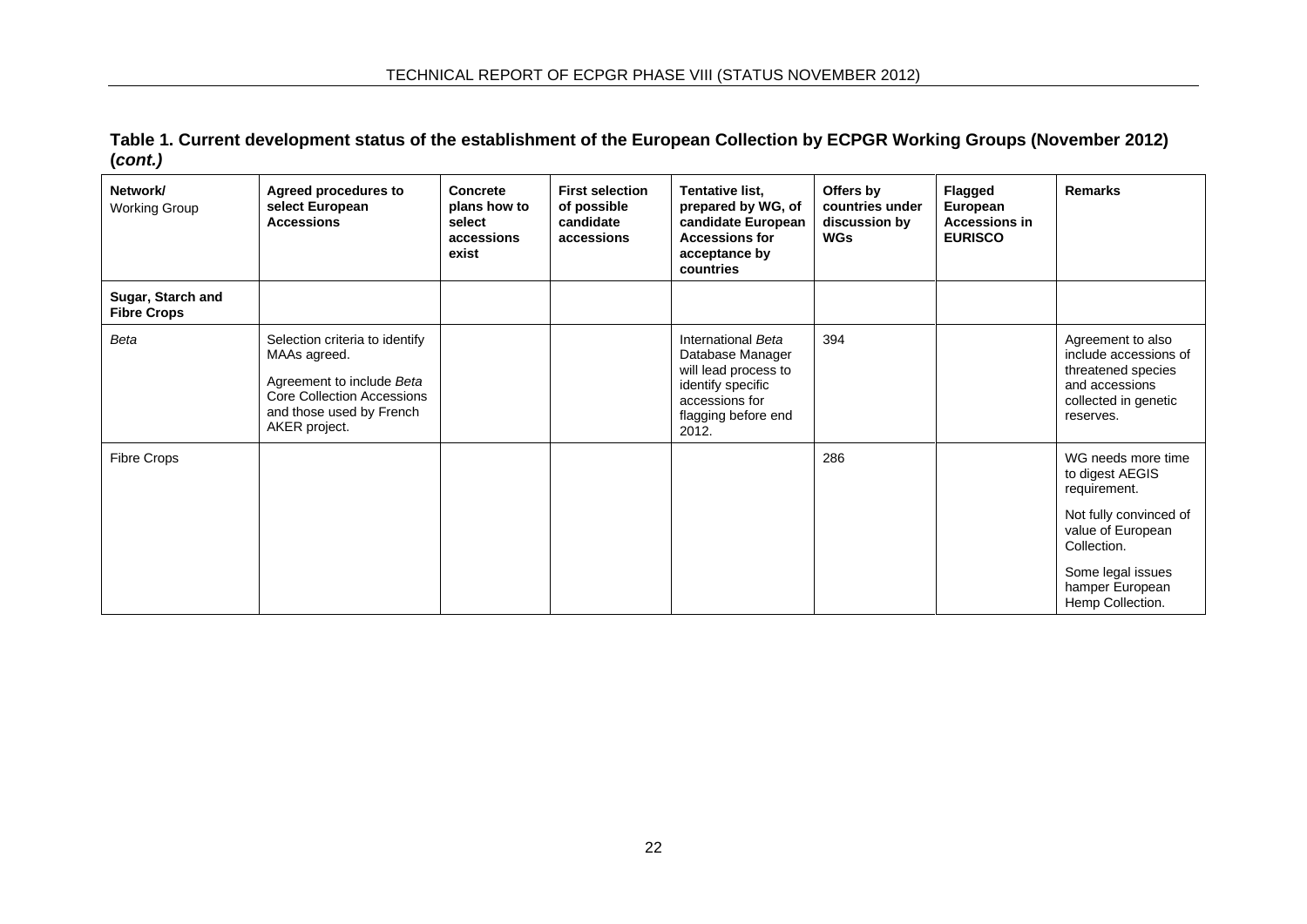**Table 1. Current development status of the establishment of the European Collection by ECPGR Working Groups (November 2012) (***cont.)*

| Network/<br><b>Working Group</b>        | <b>Agreed procedures to</b><br>select European<br><b>Accessions</b>                                                                                           | Concrete<br>plans how to<br>select<br>accessions<br>exist | <b>First selection</b><br>of possible<br>candidate<br>accessions | Tentative list,<br>prepared by WG, of<br>candidate European<br><b>Accessions for</b><br>acceptance by<br>countries                    | Offers by<br>countries under<br>discussion by<br><b>WGs</b> | Flagged<br>European<br><b>Accessions in</b><br><b>EURISCO</b> | <b>Remarks</b>                                                                                                                                                                  |
|-----------------------------------------|---------------------------------------------------------------------------------------------------------------------------------------------------------------|-----------------------------------------------------------|------------------------------------------------------------------|---------------------------------------------------------------------------------------------------------------------------------------|-------------------------------------------------------------|---------------------------------------------------------------|---------------------------------------------------------------------------------------------------------------------------------------------------------------------------------|
| Sugar, Starch and<br><b>Fibre Crops</b> |                                                                                                                                                               |                                                           |                                                                  |                                                                                                                                       |                                                             |                                                               |                                                                                                                                                                                 |
| Beta                                    | Selection criteria to identify<br>MAAs agreed.<br>Agreement to include Beta<br><b>Core Collection Accessions</b><br>and those used by French<br>AKER project. |                                                           |                                                                  | International Beta<br>Database Manager<br>will lead process to<br>identify specific<br>accessions for<br>flagging before end<br>2012. | 394                                                         |                                                               | Agreement to also<br>include accessions of<br>threatened species<br>and accessions<br>collected in genetic<br>reserves.                                                         |
| Fibre Crops                             |                                                                                                                                                               |                                                           |                                                                  |                                                                                                                                       | 286                                                         |                                                               | WG needs more time<br>to digest AEGIS<br>requirement.<br>Not fully convinced of<br>value of European<br>Collection.<br>Some legal issues<br>hamper European<br>Hemp Collection. |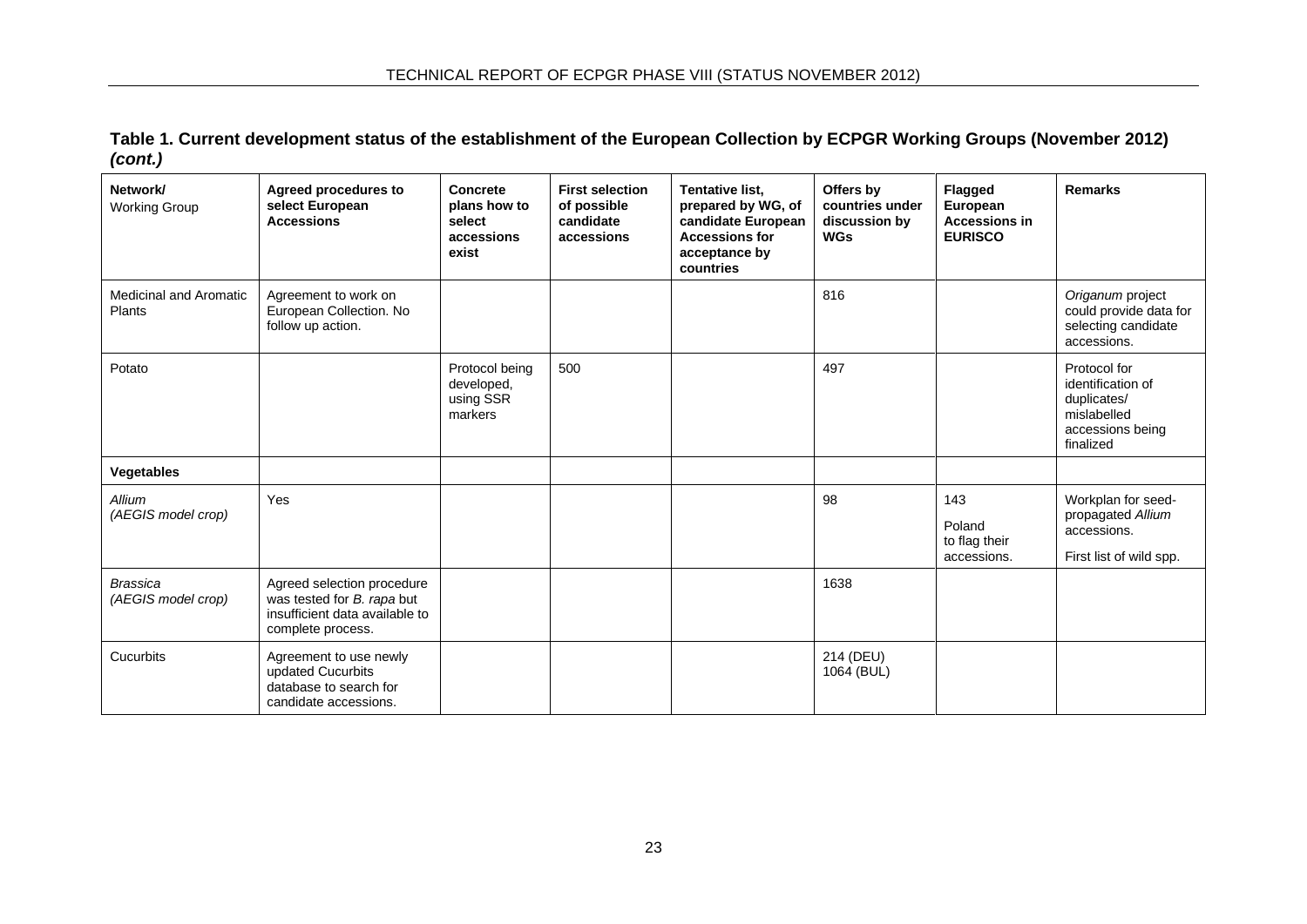**Table 1. Current development status of the establishment of the European Collection by ECPGR Working Groups (November 2012)**  *(cont.)*

| Network/<br><b>Working Group</b>        | <b>Agreed procedures to</b><br>select European<br><b>Accessions</b>                                             | Concrete<br>plans how to<br>select<br>accessions<br>exist | <b>First selection</b><br>of possible<br>candidate<br>accessions | Tentative list,<br>prepared by WG, of<br>candidate European<br><b>Accessions for</b><br>acceptance by<br>countries | Offers by<br>countries under<br>discussion by<br><b>WGs</b> | <b>Flagged</b><br>European<br><b>Accessions in</b><br><b>EURISCO</b> | Remarks                                                                                          |
|-----------------------------------------|-----------------------------------------------------------------------------------------------------------------|-----------------------------------------------------------|------------------------------------------------------------------|--------------------------------------------------------------------------------------------------------------------|-------------------------------------------------------------|----------------------------------------------------------------------|--------------------------------------------------------------------------------------------------|
| <b>Medicinal and Aromatic</b><br>Plants | Agreement to work on<br>European Collection. No<br>follow up action.                                            |                                                           |                                                                  |                                                                                                                    | 816                                                         |                                                                      | Origanum project<br>could provide data for<br>selecting candidate<br>accessions.                 |
| Potato                                  |                                                                                                                 | Protocol being<br>developed,<br>using SSR<br>markers      | 500                                                              |                                                                                                                    | 497                                                         |                                                                      | Protocol for<br>identification of<br>duplicates/<br>mislabelled<br>accessions being<br>finalized |
| Vegetables                              |                                                                                                                 |                                                           |                                                                  |                                                                                                                    |                                                             |                                                                      |                                                                                                  |
| Allium<br>(AEGIS model crop)            | Yes                                                                                                             |                                                           |                                                                  |                                                                                                                    | 98                                                          | 143<br>Poland<br>to flag their<br>accessions.                        | Workplan for seed-<br>propagated Allium<br>accessions.<br>First list of wild spp.                |
| <b>Brassica</b><br>(AEGIS model crop)   | Agreed selection procedure<br>was tested for B. rapa but<br>insufficient data available to<br>complete process. |                                                           |                                                                  |                                                                                                                    | 1638                                                        |                                                                      |                                                                                                  |
| Cucurbits                               | Agreement to use newly<br>updated Cucurbits<br>database to search for<br>candidate accessions.                  |                                                           |                                                                  |                                                                                                                    | 214 (DEU)<br>1064 (BUL)                                     |                                                                      |                                                                                                  |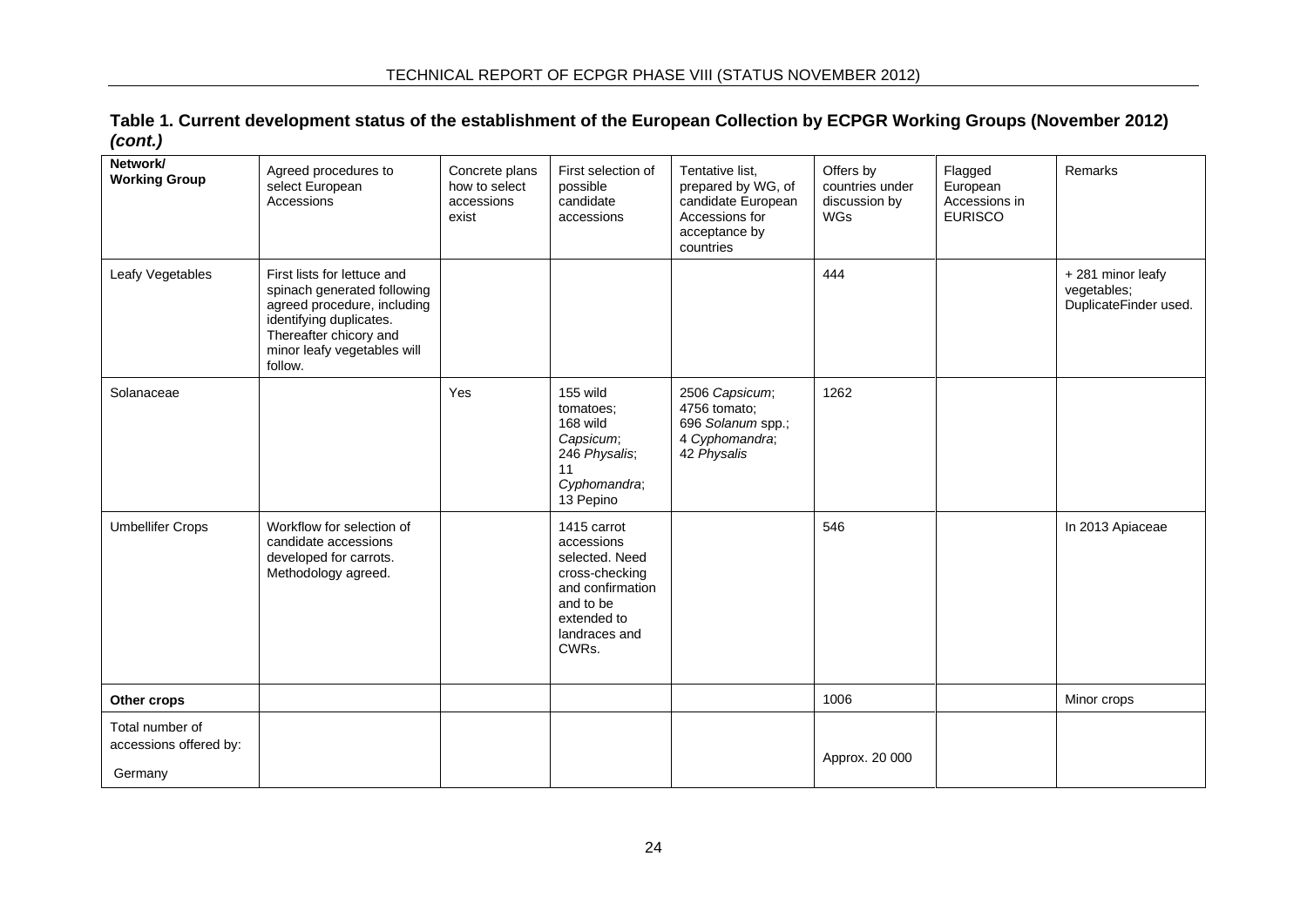| Table 1. Current development status of the establishment of the European Collection by ECPGR Working Groups (November 2012) |  |
|-----------------------------------------------------------------------------------------------------------------------------|--|
| (cont.)                                                                                                                     |  |

| Network/<br><b>Working Group</b>                     | Agreed procedures to<br>select European<br>Accessions                                                                                                                                    | Concrete plans<br>how to select<br>accessions<br>exist | First selection of<br>possible<br>candidate<br>accessions                                                                               | Tentative list,<br>prepared by WG, of<br>candidate European<br>Accessions for<br>acceptance by<br>countries | Offers by<br>countries under<br>discussion by<br><b>WGs</b> | Flagged<br>European<br>Accessions in<br><b>EURISCO</b> | Remarks                                                  |
|------------------------------------------------------|------------------------------------------------------------------------------------------------------------------------------------------------------------------------------------------|--------------------------------------------------------|-----------------------------------------------------------------------------------------------------------------------------------------|-------------------------------------------------------------------------------------------------------------|-------------------------------------------------------------|--------------------------------------------------------|----------------------------------------------------------|
| Leafy Vegetables                                     | First lists for lettuce and<br>spinach generated following<br>agreed procedure, including<br>identifying duplicates.<br>Thereafter chicory and<br>minor leafy vegetables will<br>follow. |                                                        |                                                                                                                                         |                                                                                                             | 444                                                         |                                                        | +281 minor leafy<br>vegetables;<br>DuplicateFinder used. |
| Solanaceae                                           |                                                                                                                                                                                          | Yes                                                    | 155 wild<br>tomatoes;<br>168 wild<br>Capsicum;<br>246 Physalis;<br>11<br>Cyphomandra;<br>13 Pepino                                      | 2506 Capsicum;<br>4756 tomato;<br>696 Solanum spp.;<br>4 Cyphomandra;<br>42 Physalis                        | 1262                                                        |                                                        |                                                          |
| <b>Umbellifer Crops</b>                              | Workflow for selection of<br>candidate accessions<br>developed for carrots.<br>Methodology agreed.                                                                                       |                                                        | 1415 carrot<br>accessions<br>selected. Need<br>cross-checking<br>and confirmation<br>and to be<br>extended to<br>landraces and<br>CWRs. |                                                                                                             | 546                                                         |                                                        | In 2013 Apiaceae                                         |
| Other crops                                          |                                                                                                                                                                                          |                                                        |                                                                                                                                         |                                                                                                             | 1006                                                        |                                                        | Minor crops                                              |
| Total number of<br>accessions offered by:<br>Germany |                                                                                                                                                                                          |                                                        |                                                                                                                                         |                                                                                                             | Approx. 20 000                                              |                                                        |                                                          |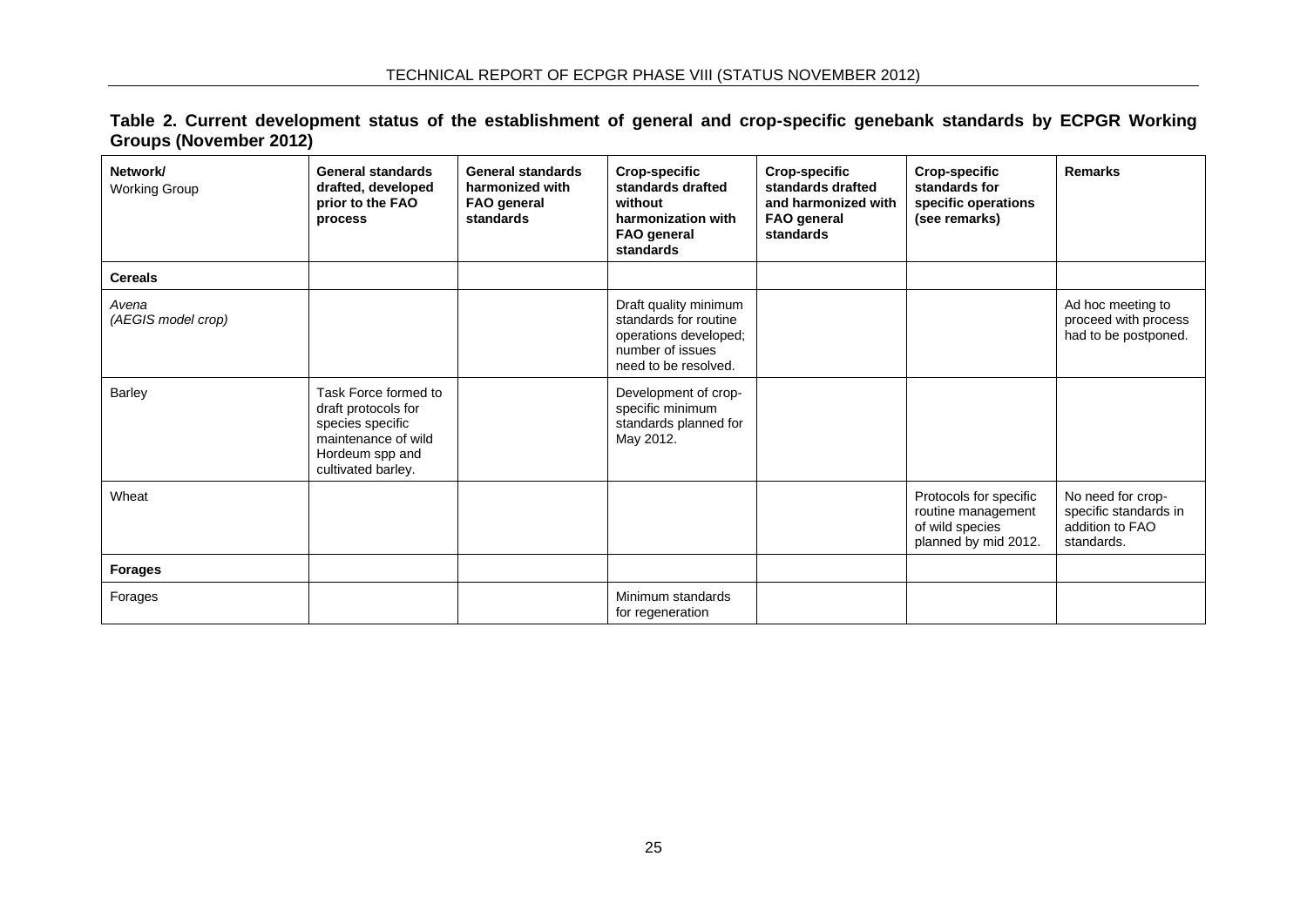| Table 2. Current development status of the establishment of general and crop-specific genebank standards by ECPGR Working |  |  |  |  |  |  |
|---------------------------------------------------------------------------------------------------------------------------|--|--|--|--|--|--|
| Groups (November 2012)                                                                                                    |  |  |  |  |  |  |

<span id="page-26-0"></span>

| Network/<br><b>Working Group</b> | <b>General standards</b><br>drafted, developed<br>prior to the FAO<br>process                                                   | <b>General standards</b><br>harmonized with<br><b>FAO</b> general<br>standards | <b>Crop-specific</b><br>standards drafted<br>without<br>harmonization with<br><b>FAO general</b><br>standards       | <b>Crop-specific</b><br>standards drafted<br>and harmonized with<br><b>FAO general</b><br>standards | <b>Crop-specific</b><br>standards for<br>specific operations<br>(see remarks)           | <b>Remarks</b>                                                              |
|----------------------------------|---------------------------------------------------------------------------------------------------------------------------------|--------------------------------------------------------------------------------|---------------------------------------------------------------------------------------------------------------------|-----------------------------------------------------------------------------------------------------|-----------------------------------------------------------------------------------------|-----------------------------------------------------------------------------|
| <b>Cereals</b>                   |                                                                                                                                 |                                                                                |                                                                                                                     |                                                                                                     |                                                                                         |                                                                             |
| Avena<br>(AEGIS model crop)      |                                                                                                                                 |                                                                                | Draft quality minimum<br>standards for routine<br>operations developed;<br>number of issues<br>need to be resolved. |                                                                                                     |                                                                                         | Ad hoc meeting to<br>proceed with process<br>had to be postponed.           |
| Barley                           | Task Force formed to<br>draft protocols for<br>species specific<br>maintenance of wild<br>Hordeum spp and<br>cultivated barley. |                                                                                | Development of crop-<br>specific minimum<br>standards planned for<br>May 2012.                                      |                                                                                                     |                                                                                         |                                                                             |
| Wheat                            |                                                                                                                                 |                                                                                |                                                                                                                     |                                                                                                     | Protocols for specific<br>routine management<br>of wild species<br>planned by mid 2012. | No need for crop-<br>specific standards in<br>addition to FAO<br>standards. |
| <b>Forages</b>                   |                                                                                                                                 |                                                                                |                                                                                                                     |                                                                                                     |                                                                                         |                                                                             |
| Forages                          |                                                                                                                                 |                                                                                | Minimum standards<br>for regeneration                                                                               |                                                                                                     |                                                                                         |                                                                             |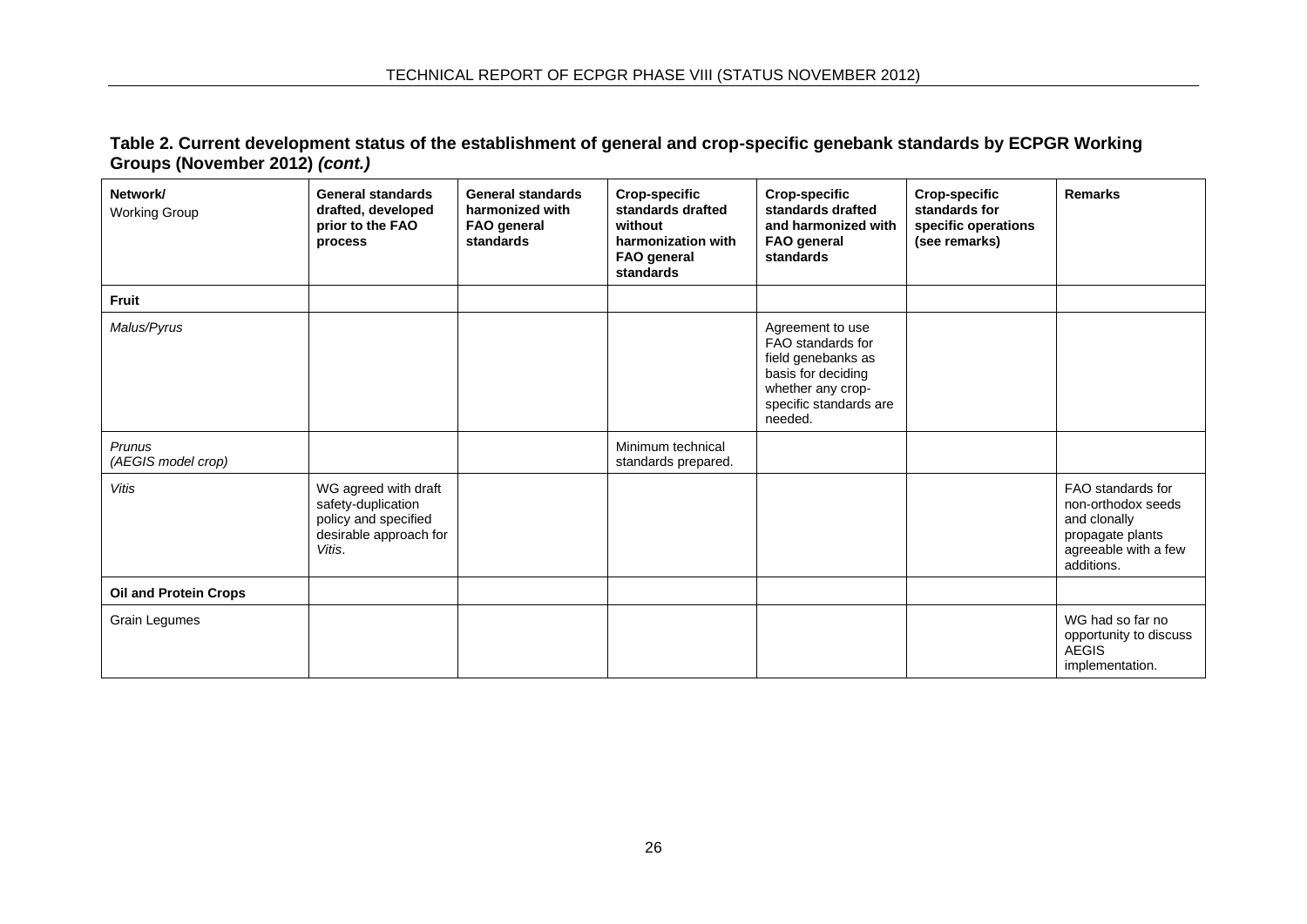**Table 2. Current development status of the establishment of general and crop-specific genebank standards by ECPGR Working Groups (November 2012)** *(cont.)*

| Network/<br><b>Working Group</b>    | <b>General standards</b><br>drafted, developed<br>prior to the FAO<br>process                          | <b>General standards</b><br>harmonized with<br>FAO general<br>standards | <b>Crop-specific</b><br>standards drafted<br>without<br>harmonization with<br><b>FAO</b> general<br>standards | <b>Crop-specific</b><br>standards drafted<br>and harmonized with<br>FAO general<br>standards                                                | <b>Crop-specific</b><br>standards for<br>specific operations<br>(see remarks) | <b>Remarks</b>                                                                                                    |
|-------------------------------------|--------------------------------------------------------------------------------------------------------|-------------------------------------------------------------------------|---------------------------------------------------------------------------------------------------------------|---------------------------------------------------------------------------------------------------------------------------------------------|-------------------------------------------------------------------------------|-------------------------------------------------------------------------------------------------------------------|
| <b>Fruit</b>                        |                                                                                                        |                                                                         |                                                                                                               |                                                                                                                                             |                                                                               |                                                                                                                   |
| Malus/Pyrus                         |                                                                                                        |                                                                         |                                                                                                               | Agreement to use<br>FAO standards for<br>field genebanks as<br>basis for deciding<br>whether any crop-<br>specific standards are<br>needed. |                                                                               |                                                                                                                   |
| <b>Prunus</b><br>(AEGIS model crop) |                                                                                                        |                                                                         | Minimum technical<br>standards prepared.                                                                      |                                                                                                                                             |                                                                               |                                                                                                                   |
| <b>Vitis</b>                        | WG agreed with draft<br>safety-duplication<br>policy and specified<br>desirable approach for<br>Vitis. |                                                                         |                                                                                                               |                                                                                                                                             |                                                                               | FAO standards for<br>non-orthodox seeds<br>and clonally<br>propagate plants<br>agreeable with a few<br>additions. |
| <b>Oil and Protein Crops</b>        |                                                                                                        |                                                                         |                                                                                                               |                                                                                                                                             |                                                                               |                                                                                                                   |
| Grain Legumes                       |                                                                                                        |                                                                         |                                                                                                               |                                                                                                                                             |                                                                               | WG had so far no<br>opportunity to discuss<br><b>AEGIS</b><br>implementation.                                     |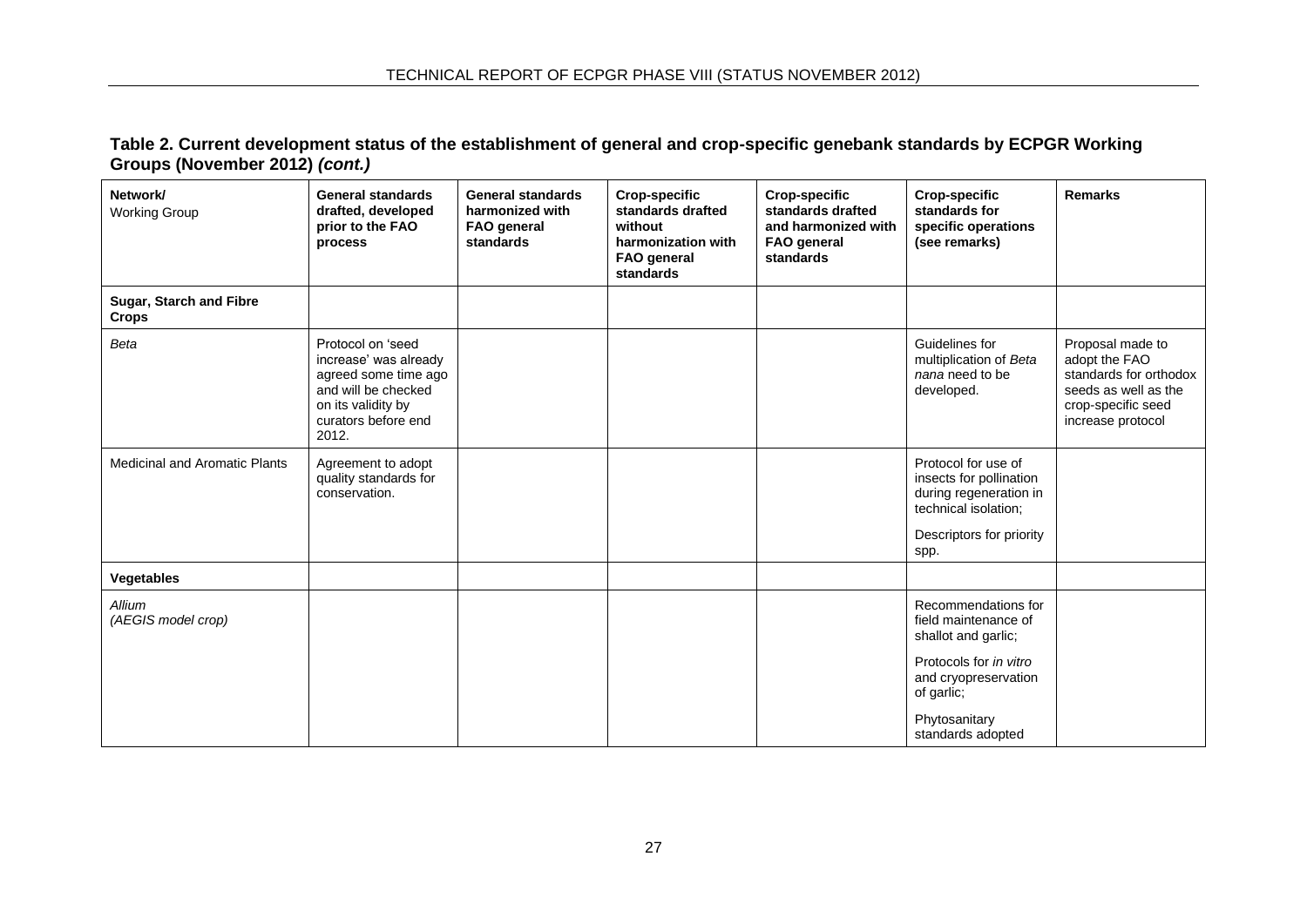**Table 2. Current development status of the establishment of general and crop-specific genebank standards by ECPGR Working Groups (November 2012)** *(cont.)*

| Network/<br><b>Working Group</b>        | <b>General standards</b><br>drafted, developed<br>prior to the FAO<br>process                                                                   | <b>General standards</b><br>harmonized with<br><b>FAO</b> general<br>standards | <b>Crop-specific</b><br>standards drafted<br>without<br>harmonization with<br><b>FAO</b> general<br>standards | <b>Crop-specific</b><br>standards drafted<br>and harmonized with<br>FAO general<br>standards | <b>Crop-specific</b><br>standards for<br>specific operations<br>(see remarks)                                                                                            | <b>Remarks</b>                                                                                                                 |
|-----------------------------------------|-------------------------------------------------------------------------------------------------------------------------------------------------|--------------------------------------------------------------------------------|---------------------------------------------------------------------------------------------------------------|----------------------------------------------------------------------------------------------|--------------------------------------------------------------------------------------------------------------------------------------------------------------------------|--------------------------------------------------------------------------------------------------------------------------------|
| Sugar, Starch and Fibre<br><b>Crops</b> |                                                                                                                                                 |                                                                                |                                                                                                               |                                                                                              |                                                                                                                                                                          |                                                                                                                                |
| Beta                                    | Protocol on 'seed<br>increase' was already<br>agreed some time ago<br>and will be checked<br>on its validity by<br>curators before end<br>2012. |                                                                                |                                                                                                               |                                                                                              | Guidelines for<br>multiplication of Beta<br>nana need to be<br>developed.                                                                                                | Proposal made to<br>adopt the FAO<br>standards for orthodox<br>seeds as well as the<br>crop-specific seed<br>increase protocol |
| Medicinal and Aromatic Plants           | Agreement to adopt<br>quality standards for<br>conservation.                                                                                    |                                                                                |                                                                                                               |                                                                                              | Protocol for use of<br>insects for pollination<br>during regeneration in<br>technical isolation;<br>Descriptors for priority<br>spp.                                     |                                                                                                                                |
| <b>Vegetables</b>                       |                                                                                                                                                 |                                                                                |                                                                                                               |                                                                                              |                                                                                                                                                                          |                                                                                                                                |
| Allium<br>(AEGIS model crop)            |                                                                                                                                                 |                                                                                |                                                                                                               |                                                                                              | Recommendations for<br>field maintenance of<br>shallot and garlic;<br>Protocols for in vitro<br>and cryopreservation<br>of garlic;<br>Phytosanitary<br>standards adopted |                                                                                                                                |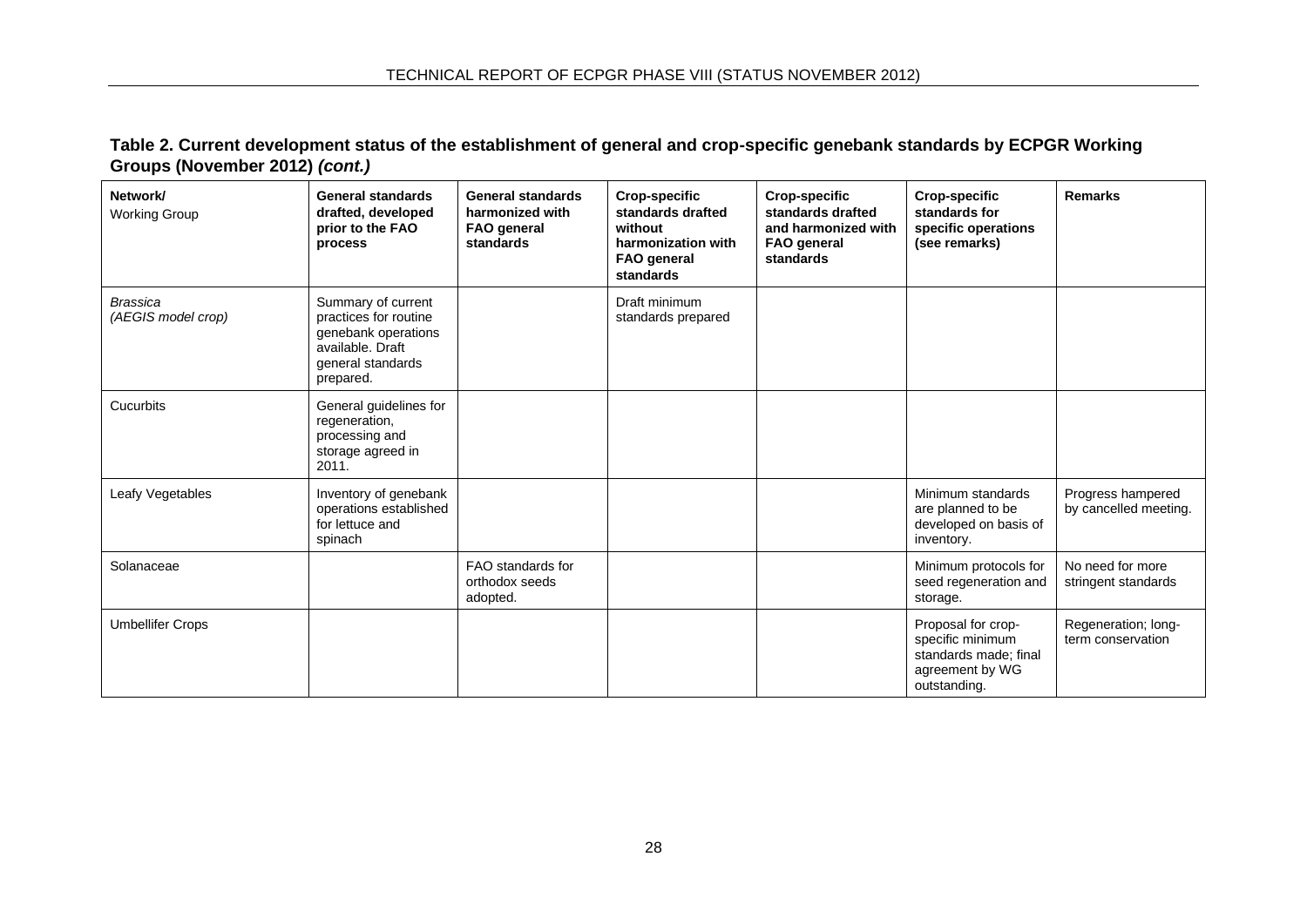**Table 2. Current development status of the establishment of general and crop-specific genebank standards by ECPGR Working Groups (November 2012)** *(cont.)*

| Network/<br><b>Working Group</b>      | <b>General standards</b><br>drafted, developed<br>prior to the FAO<br>process                                            | <b>General standards</b><br>harmonized with<br>FAO general<br>standards | <b>Crop-specific</b><br>standards drafted<br>without<br>harmonization with<br>FAO general<br>standards | <b>Crop-specific</b><br>standards drafted<br>and harmonized with<br>FAO general<br>standards | <b>Crop-specific</b><br>standards for<br>specific operations<br>(see remarks)                      | <b>Remarks</b>                             |
|---------------------------------------|--------------------------------------------------------------------------------------------------------------------------|-------------------------------------------------------------------------|--------------------------------------------------------------------------------------------------------|----------------------------------------------------------------------------------------------|----------------------------------------------------------------------------------------------------|--------------------------------------------|
| <b>Brassica</b><br>(AEGIS model crop) | Summary of current<br>practices for routine<br>genebank operations<br>available, Draft<br>general standards<br>prepared. |                                                                         | Draft minimum<br>standards prepared                                                                    |                                                                                              |                                                                                                    |                                            |
| Cucurbits                             | General guidelines for<br>regeneration,<br>processing and<br>storage agreed in<br>2011.                                  |                                                                         |                                                                                                        |                                                                                              |                                                                                                    |                                            |
| Leafy Vegetables                      | Inventory of genebank<br>operations established<br>for lettuce and<br>spinach                                            |                                                                         |                                                                                                        |                                                                                              | Minimum standards<br>are planned to be<br>developed on basis of<br>inventory.                      | Progress hampered<br>by cancelled meeting. |
| Solanaceae                            |                                                                                                                          | FAO standards for<br>orthodox seeds<br>adopted.                         |                                                                                                        |                                                                                              | Minimum protocols for<br>seed regeneration and<br>storage.                                         | No need for more<br>stringent standards    |
| <b>Umbellifer Crops</b>               |                                                                                                                          |                                                                         |                                                                                                        |                                                                                              | Proposal for crop-<br>specific minimum<br>standards made; final<br>agreement by WG<br>outstanding. | Regeneration; long-<br>term conservation   |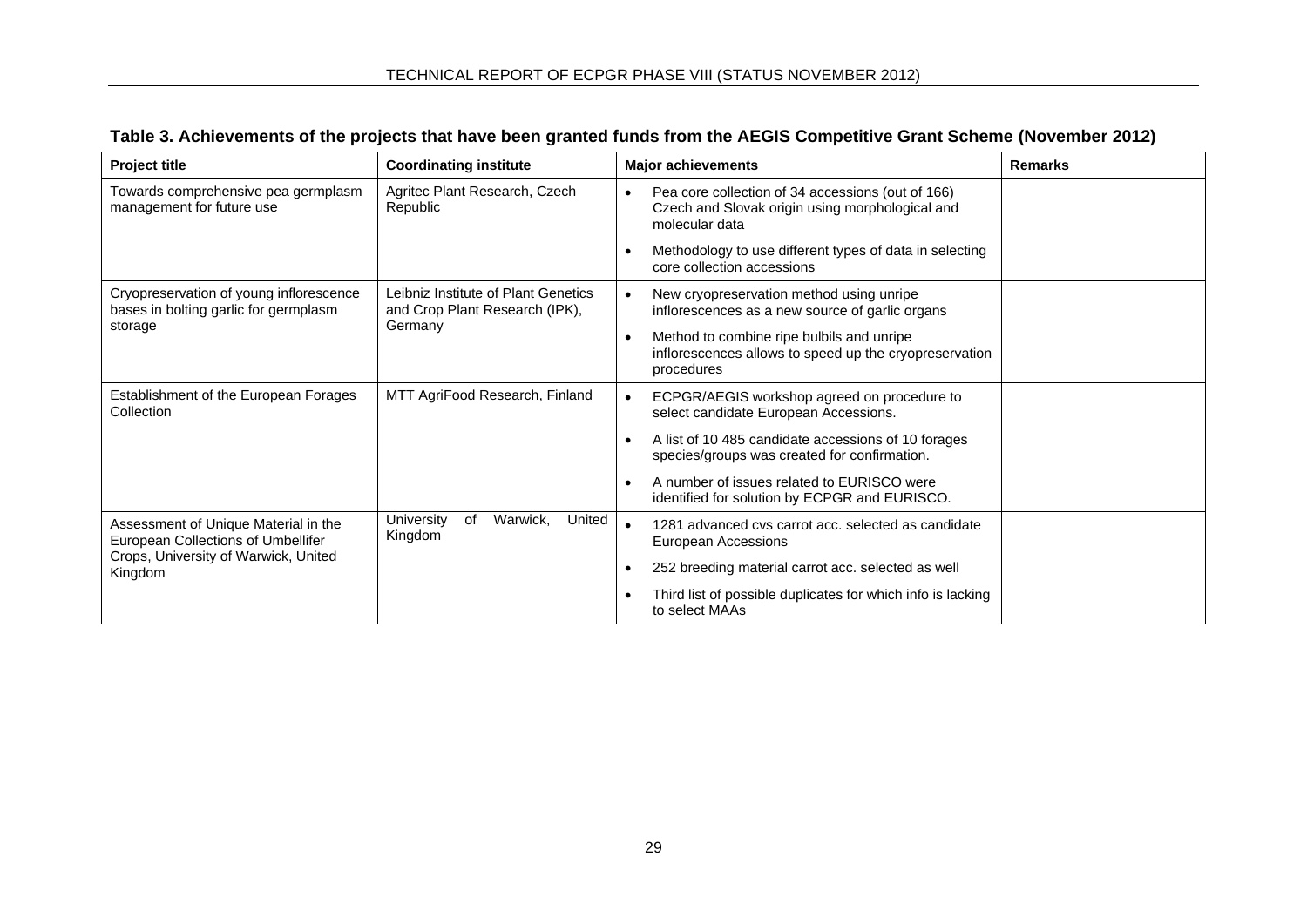| Table 3. Achievements of the projects that have been granted funds from the AEGIS Competitive Grant Scheme (November 2012) |  |
|----------------------------------------------------------------------------------------------------------------------------|--|
|                                                                                                                            |  |

<span id="page-30-0"></span>

| <b>Project title</b>                                                             | <b>Coordinating institute</b>                                         | <b>Major achievements</b>                                                                                                           | <b>Remarks</b> |
|----------------------------------------------------------------------------------|-----------------------------------------------------------------------|-------------------------------------------------------------------------------------------------------------------------------------|----------------|
| Towards comprehensive pea germplasm<br>management for future use                 | Agritec Plant Research, Czech<br>Republic                             | Pea core collection of 34 accessions (out of 166)<br>$\bullet$<br>Czech and Slovak origin using morphological and<br>molecular data |                |
|                                                                                  |                                                                       | Methodology to use different types of data in selecting<br>$\bullet$<br>core collection accessions                                  |                |
| Cryopreservation of young inflorescence<br>bases in bolting garlic for germplasm | Leibniz Institute of Plant Genetics<br>and Crop Plant Research (IPK), | New cryopreservation method using unripe<br>inflorescences as a new source of garlic organs                                         |                |
| storage                                                                          | Germany                                                               | Method to combine ripe bulbils and unripe<br>$\bullet$<br>inflorescences allows to speed up the cryopreservation<br>procedures      |                |
| Establishment of the European Forages<br>Collection                              | MTT AgriFood Research, Finland                                        | ECPGR/AEGIS workshop agreed on procedure to<br>select candidate European Accessions.                                                |                |
|                                                                                  |                                                                       | A list of 10 485 candidate accessions of 10 forages<br>$\bullet$<br>species/groups was created for confirmation.                    |                |
|                                                                                  |                                                                       | A number of issues related to EURISCO were<br>$\bullet$<br>identified for solution by ECPGR and EURISCO.                            |                |
| Assessment of Unique Material in the<br>European Collections of Umbellifer       | Warwick,<br>of<br>United<br>University<br>Kingdom                     | 1281 advanced cvs carrot acc. selected as candidate<br>European Accessions                                                          |                |
| Crops, University of Warwick, United<br>Kingdom                                  |                                                                       | 252 breeding material carrot acc. selected as well<br>$\bullet$                                                                     |                |
|                                                                                  |                                                                       | Third list of possible duplicates for which info is lacking<br>$\bullet$<br>to select MAAs                                          |                |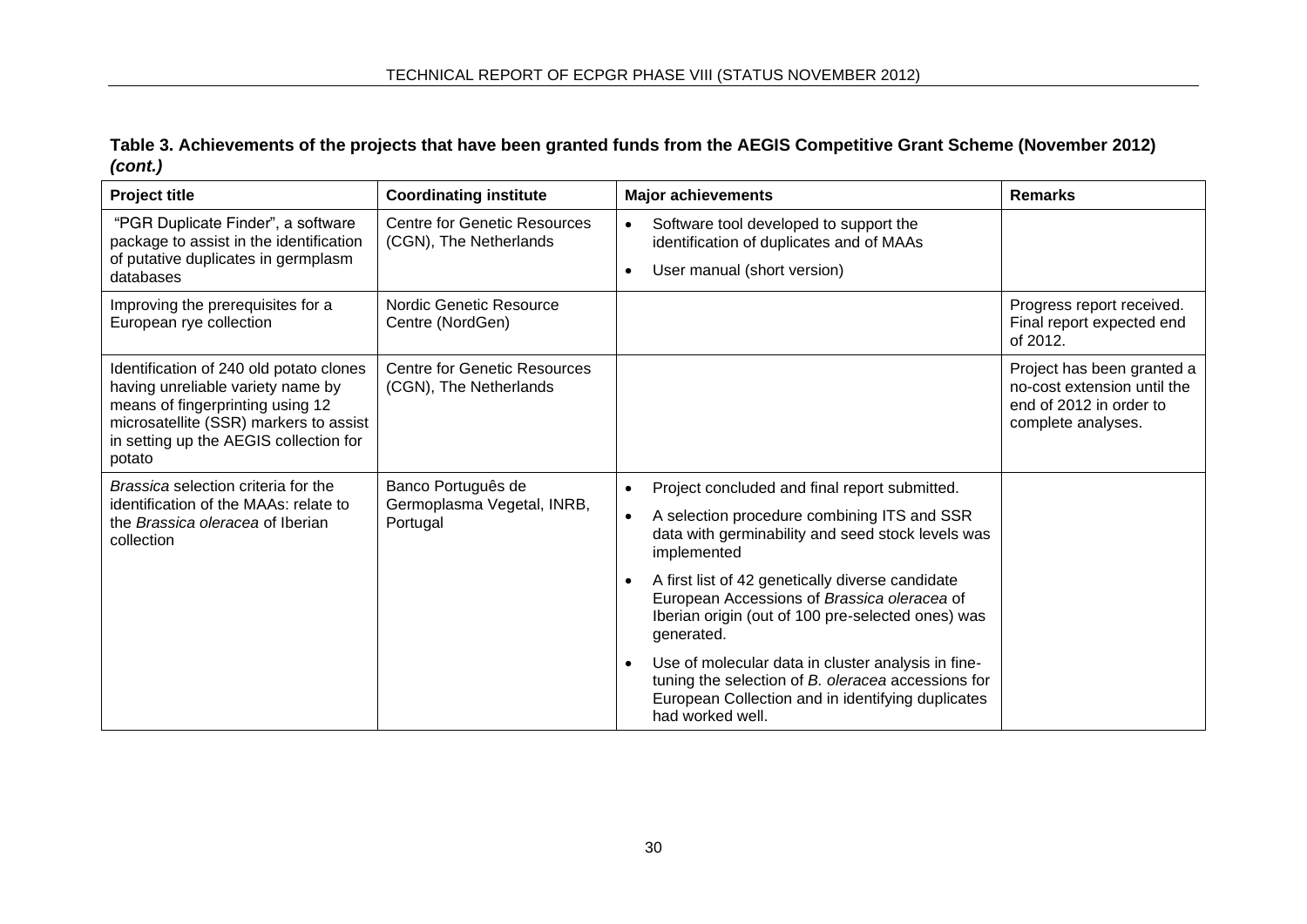# **Table 3. Achievements of the projects that have been granted funds from the AEGIS Competitive Grant Scheme (November 2012)**  *(cont.)*

| <b>Project title</b>                                                                                                                                                                                           | <b>Coordinating institute</b>                                 | <b>Major achievements</b>                                                                                                                                                                      | <b>Remarks</b>                                                                                             |
|----------------------------------------------------------------------------------------------------------------------------------------------------------------------------------------------------------------|---------------------------------------------------------------|------------------------------------------------------------------------------------------------------------------------------------------------------------------------------------------------|------------------------------------------------------------------------------------------------------------|
| "PGR Duplicate Finder", a software<br>package to assist in the identification                                                                                                                                  | <b>Centre for Genetic Resources</b><br>(CGN), The Netherlands | Software tool developed to support the<br>identification of duplicates and of MAAs                                                                                                             |                                                                                                            |
| of putative duplicates in germplasm<br>databases                                                                                                                                                               |                                                               | User manual (short version)<br>$\bullet$                                                                                                                                                       |                                                                                                            |
| Improving the prerequisites for a<br>European rye collection                                                                                                                                                   | Nordic Genetic Resource<br>Centre (NordGen)                   |                                                                                                                                                                                                | Progress report received.<br>Final report expected end<br>of 2012.                                         |
| Identification of 240 old potato clones<br>having unreliable variety name by<br>means of fingerprinting using 12<br>microsatellite (SSR) markers to assist<br>in setting up the AEGIS collection for<br>potato | <b>Centre for Genetic Resources</b><br>(CGN), The Netherlands |                                                                                                                                                                                                | Project has been granted a<br>no-cost extension until the<br>end of 2012 in order to<br>complete analyses. |
| Brassica selection criteria for the                                                                                                                                                                            | Banco Português de                                            | Project concluded and final report submitted.<br>$\bullet$                                                                                                                                     |                                                                                                            |
| identification of the MAAs: relate to<br>the Brassica oleracea of Iberian<br>collection                                                                                                                        | Germoplasma Vegetal, INRB,<br>Portugal                        | A selection procedure combining ITS and SSR<br>data with germinability and seed stock levels was<br>implemented                                                                                |                                                                                                            |
|                                                                                                                                                                                                                |                                                               | A first list of 42 genetically diverse candidate<br>$\bullet$<br>European Accessions of Brassica oleracea of<br>Iberian origin (out of 100 pre-selected ones) was<br>generated.                |                                                                                                            |
|                                                                                                                                                                                                                |                                                               | Use of molecular data in cluster analysis in fine-<br>$\bullet$<br>tuning the selection of B. oleracea accessions for<br>European Collection and in identifying duplicates<br>had worked well. |                                                                                                            |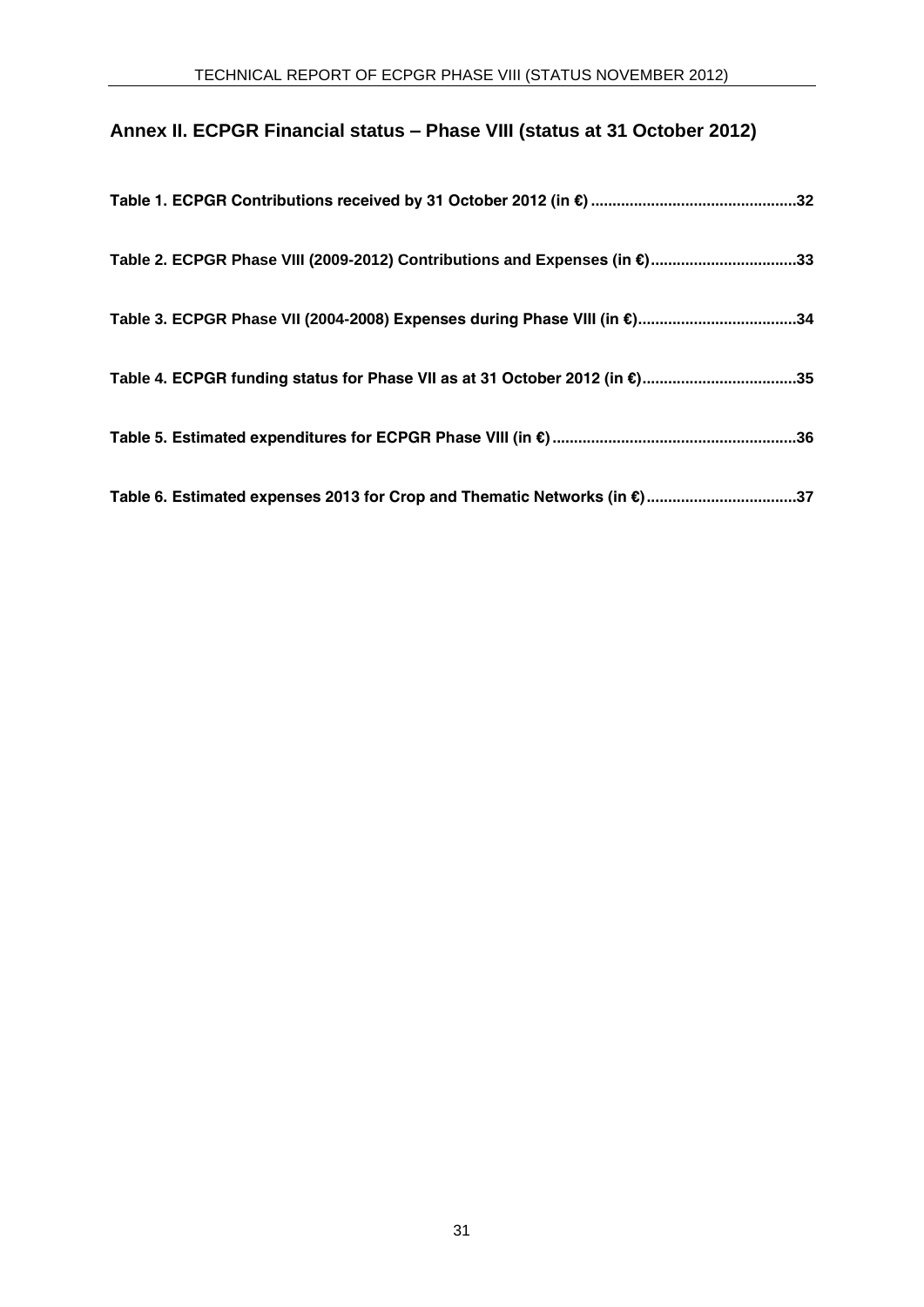# **Annex II. ECPGR Financial status – Phase VIII (status at 31 October 2012)**

<span id="page-32-0"></span>

| Table 2. ECPGR Phase VIII (2009-2012) Contributions and Expenses (in €)33  |  |
|----------------------------------------------------------------------------|--|
| Table 3. ECPGR Phase VII (2004-2008) Expenses during Phase VIII (in €)34   |  |
| Table 4. ECPGR funding status for Phase VII as at 31 October 2012 (in €)35 |  |
|                                                                            |  |
| Table 6. Estimated expenses 2013 for Crop and Thematic Networks (in €)37   |  |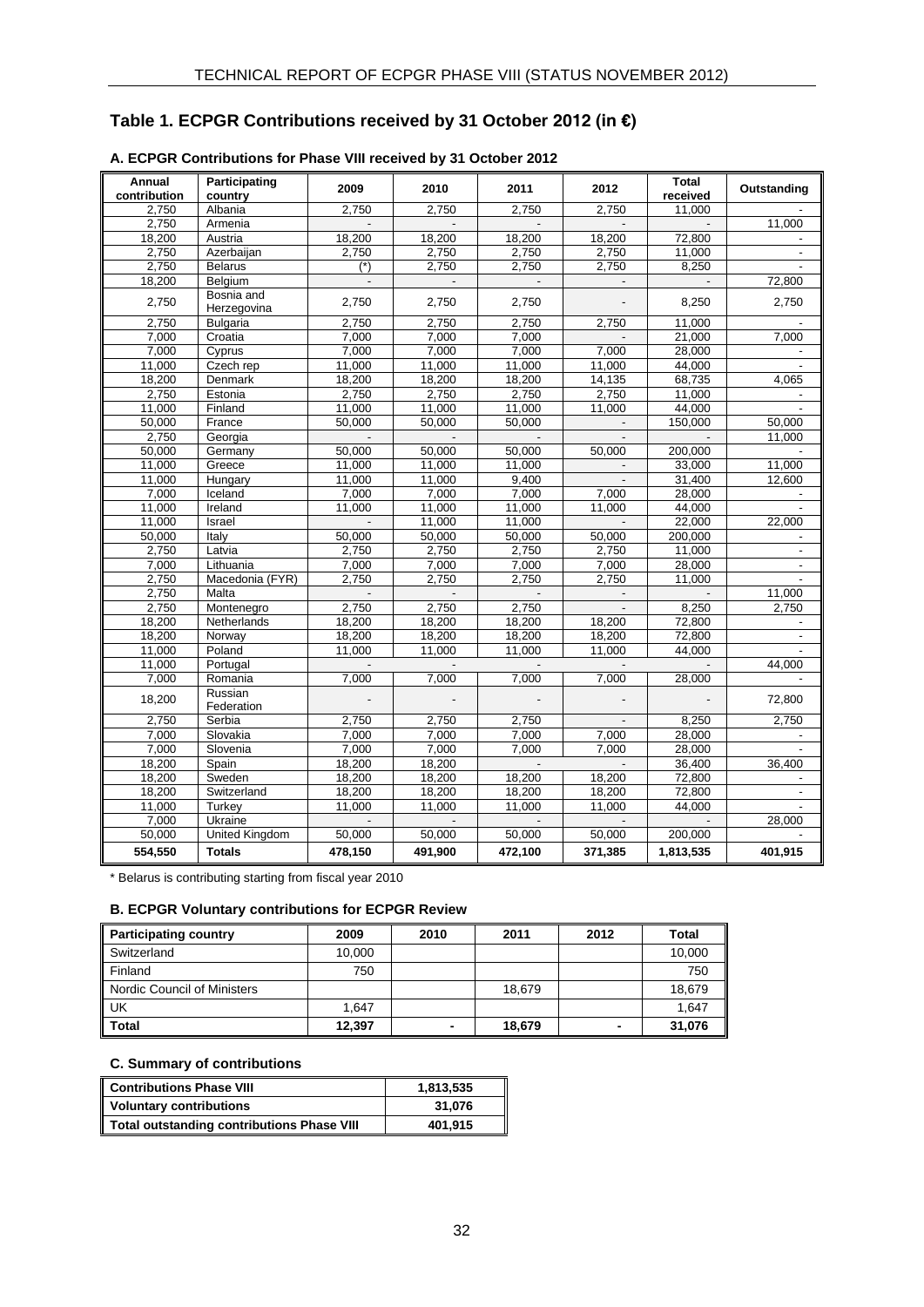# **Table 1. ECPGR Contributions received by 31 October 2012 (in €)**

| Annual<br>contribution | Participating<br>country | 2009                     | 2010                     | 2011                     | 2012                     | Total<br>received        | Outstanding              |
|------------------------|--------------------------|--------------------------|--------------------------|--------------------------|--------------------------|--------------------------|--------------------------|
| 2.750                  | Albania                  | 2.750                    | 2.750                    | 2.750                    | 2.750                    | 11.000                   |                          |
| 2.750                  | Armenia                  |                          |                          |                          |                          | $\sim$                   | 11.000                   |
| 18.200                 | Austria                  | 18,200                   | 18,200                   | 18,200                   | 18,200                   | 72.800                   |                          |
| 2,750                  | Azerbaijan               | 2,750                    | 2,750                    | 2,750                    | 2,750                    | 11.000                   | $\overline{\phantom{a}}$ |
| 2.750                  | <b>Belarus</b>           | $(*)$                    | 2,750                    | 2,750                    | 2,750                    | 8,250                    |                          |
| 18,200                 | Belgium                  | $\overline{\phantom{a}}$ | $\blacksquare$           | $\overline{\phantom{a}}$ | $\overline{\phantom{a}}$ | $\overline{\phantom{a}}$ | 72,800                   |
|                        | Bosnia and               |                          |                          |                          |                          |                          |                          |
| 2,750                  | Herzegovina              | 2,750                    | 2,750                    | 2,750                    |                          | 8,250                    | 2,750                    |
| 2,750                  | <b>Bulgaria</b>          | 2,750                    | 2.750                    | 2,750                    | 2,750                    | 11,000                   |                          |
| 7,000                  | Croatia                  | 7,000                    | 7,000                    | 7,000                    |                          | 21,000                   | 7,000                    |
| 7,000                  | Cyprus                   | 7,000                    | 7,000                    | 7,000                    | 7,000                    | 28,000                   |                          |
| 11,000                 | Czech rep                | 11,000                   | 11,000                   | 11,000                   | 11,000                   | 44,000                   |                          |
| 18,200                 | Denmark                  | 18,200                   | 18,200                   | 18,200                   | 14,135                   | 68,735                   | 4,065                    |
| 2,750                  | Estonia                  | 2,750                    | 2,750                    | 2,750                    | 2,750                    | 11,000                   |                          |
| 11,000                 | Finland                  | 11,000                   | 11,000                   | 11,000                   | 11,000                   | 44,000                   |                          |
| 50,000                 | France                   | 50.000                   | 50.000                   | 50.000                   | $\overline{\phantom{a}}$ | 150.000                  | 50,000                   |
| 2,750                  | Georgia                  | $\blacksquare$           | $\blacksquare$           |                          | $\overline{\phantom{a}}$ |                          | 11,000                   |
| 50,000                 | Germany                  | 50,000                   | 50,000                   | 50,000                   | 50,000                   | 200,000                  |                          |
| 11,000                 | Greece                   | 11,000                   | 11,000                   | 11,000                   |                          | 33,000                   | 11,000                   |
| 11,000                 | Hungary                  | 11,000                   | 11,000                   | 9,400                    | $\blacksquare$           | 31,400                   | 12,600                   |
| 7,000                  | Iceland                  | 7,000                    | 7,000                    | 7,000                    | 7,000                    | 28,000                   |                          |
| 11,000                 | Ireland                  | 11,000                   | 11,000                   | 11,000                   | 11,000                   | 44,000                   |                          |
| 11.000                 | Israel                   |                          | 11.000                   | 11.000                   |                          | 22.000                   | 22.000                   |
| 50.000                 | Italy                    | 50.000                   | 50.000                   | 50.000                   | 50.000                   | 200.000                  |                          |
| 2.750                  | Latvia                   | 2.750                    | 2.750                    | 2.750                    | 2.750                    | 11.000                   | $\blacksquare$           |
| 7.000                  | Lithuania                | 7,000                    | 7.000                    | 7,000                    | 7,000                    | 28,000                   |                          |
| 2,750                  | Macedonia (FYR)          | 2.750                    | 2,750                    | 2,750                    | 2,750                    | 11.000                   |                          |
| 2,750                  | Malta                    |                          |                          |                          |                          |                          | 11,000                   |
| 2,750                  | Montenegro               | 2,750                    | 2,750                    | 2,750                    | $\Box$                   | 8,250                    | 2,750                    |
| 18,200                 | Netherlands              | 18,200                   | 18,200                   | 18,200                   | 18,200                   | 72,800                   |                          |
| 18,200                 | Norway                   | 18,200                   | 18,200                   | 18,200                   | 18,200                   | 72,800                   | $\overline{\phantom{a}}$ |
| 11,000                 | Poland                   | 11,000                   | 11,000                   | 11,000                   | 11,000                   | 44.000                   | $\sim$                   |
| 11,000                 | Portugal                 | $\overline{\phantom{a}}$ | $\overline{\phantom{a}}$ | $\mathcal{L}$            | $\blacksquare$           | $\overline{a}$           | 44.000                   |
| 7,000                  | Romania                  | 7,000                    | 7,000                    | 7,000                    | 7,000                    | 28,000                   |                          |
| 18,200                 | Russian<br>Federation    |                          |                          |                          |                          |                          | 72,800                   |
| 2,750                  | Serbia                   | 2,750                    | 2,750                    | 2,750                    | $\blacksquare$           | 8,250                    | 2,750                    |
| 7,000                  | Slovakia                 | 7,000                    | 7,000                    | 7,000                    | 7,000                    | 28,000                   |                          |
| 7,000                  | Slovenia                 | 7,000                    | 7,000                    | 7,000                    | 7,000                    | 28,000                   |                          |
| 18,200                 | Spain                    | 18,200                   | 18,200                   | $\sim$                   | $\sim$                   | 36,400                   | 36,400                   |
| 18,200                 | Sweden                   | 18,200                   | 18,200                   | 18,200                   | 18,200                   | 72,800                   |                          |
| 18,200                 | Switzerland              | 18,200                   | 18,200                   | 18,200                   | 18,200                   | 72,800                   | $\overline{\phantom{a}}$ |
| 11,000                 | Turkey                   | 11,000                   | 11,000                   | 11,000                   | 11,000                   | 44,000                   |                          |
| 7,000                  | Ukraine                  |                          |                          |                          |                          |                          | 28,000                   |
| 50,000                 | <b>United Kingdom</b>    | 50,000                   | 50,000                   | 50,000                   | 50,000                   | 200,000                  |                          |
| 554,550                | <b>Totals</b>            | 478,150                  | 491,900                  | 472,100                  | 371,385                  | 1,813,535                | 401,915                  |

#### **A. ECPGR Contributions for Phase VIII received by 31 October 2012**

\* Belarus is contributing starting from fiscal year 2010

#### **B. ECPGR Voluntary contributions for ECPGR Review**

| <b>Participating country</b> | 2009   | 2010 | 2011   | 2012           | Total  |
|------------------------------|--------|------|--------|----------------|--------|
| Switzerland                  | 10,000 |      |        |                | 10,000 |
| Finland                      | 750    |      |        |                | 750    |
| Nordic Council of Ministers  |        |      | 18.679 |                | 18,679 |
| UK                           | 1.647  |      |        |                | 1,647  |
| <b>Total</b>                 | 12,397 | -    | 18,679 | $\blacksquare$ | 31,076 |

#### **C. Summary of contributions**

<span id="page-33-0"></span>

| <b>Contributions Phase VIII</b>                   | 1.813.535 |
|---------------------------------------------------|-----------|
| <b>Voluntary contributions</b>                    | 31.076    |
| <b>Total outstanding contributions Phase VIII</b> | 401.915   |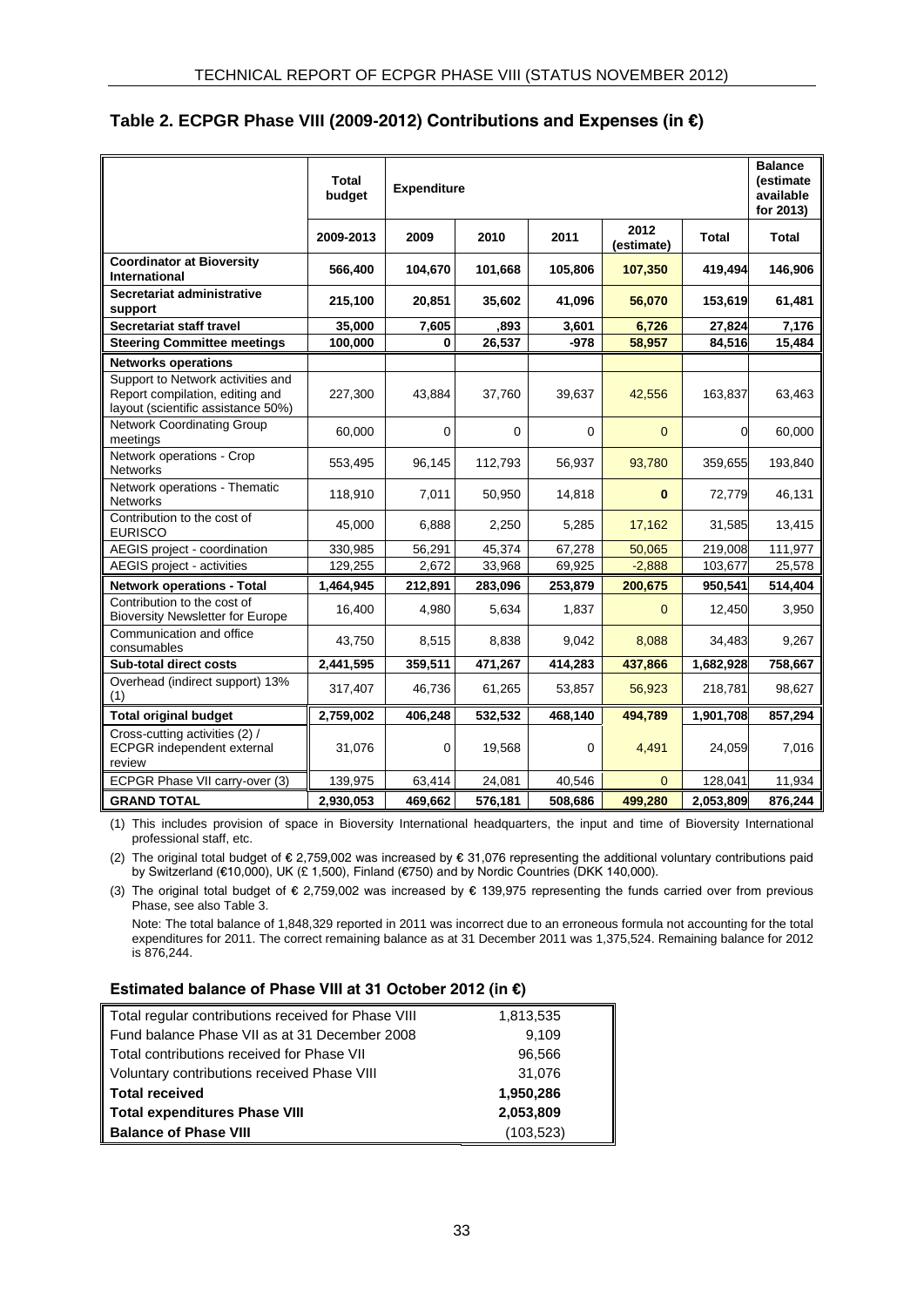# **Table 2. ECPGR Phase VIII (2009-2012) Contributions and Expenses (in €)**

|                                                                                                            | Total<br><b>Expenditure</b><br>budget |             |         |         |                    |              | <b>Balance</b><br>(estimate<br>available<br>for 2013) |
|------------------------------------------------------------------------------------------------------------|---------------------------------------|-------------|---------|---------|--------------------|--------------|-------------------------------------------------------|
|                                                                                                            | 2009-2013                             | 2009        | 2010    | 2011    | 2012<br>(estimate) | <b>Total</b> | Total                                                 |
| <b>Coordinator at Bioversity</b><br>International                                                          | 566,400                               | 104,670     | 101,668 | 105,806 | 107,350            | 419,494      | 146,906                                               |
| Secretariat administrative<br>support                                                                      | 215,100                               | 20,851      | 35,602  | 41,096  | 56,070             | 153,619      | 61,481                                                |
| Secretariat staff travel                                                                                   | 35,000                                | 7,605       | ,893    | 3,601   | 6,726              | 27,824       | 7,176                                                 |
| <b>Steering Committee meetings</b>                                                                         | 100,000                               | 0           | 26,537  | $-978$  | 58,957             | 84,516       | 15,484                                                |
| <b>Networks operations</b>                                                                                 |                                       |             |         |         |                    |              |                                                       |
| Support to Network activities and<br>Report compilation, editing and<br>layout (scientific assistance 50%) | 227,300                               | 43,884      | 37,760  | 39,637  | 42,556             | 163,837      | 63,463                                                |
| <b>Network Coordinating Group</b><br>meetings                                                              | 60,000                                | $\mathbf 0$ | 0       | 0       | $\overline{0}$     | 0            | 60,000                                                |
| Network operations - Crop<br><b>Networks</b>                                                               | 553,495                               | 96,145      | 112,793 | 56,937  | 93,780             | 359,655      | 193,840                                               |
| Network operations - Thematic<br><b>Networks</b>                                                           | 118,910                               | 7,011       | 50,950  | 14,818  | $\bf{0}$           | 72,779       | 46,131                                                |
| Contribution to the cost of<br><b>EURISCO</b>                                                              | 45,000                                | 6,888       | 2,250   | 5,285   | 17,162             | 31,585       | 13,415                                                |
| AEGIS project - coordination                                                                               | 330,985                               | 56,291      | 45,374  | 67,278  | 50,065             | 219,008      | 111,977                                               |
| AEGIS project - activities                                                                                 | 129,255                               | 2,672       | 33,968  | 69,925  | $-2,888$           | 103,677      | 25,578                                                |
| <b>Network operations - Total</b>                                                                          | 1,464,945                             | 212,891     | 283,096 | 253,879 | 200,675            | 950,541      | 514,404                                               |
| Contribution to the cost of<br><b>Bioversity Newsletter for Europe</b>                                     | 16,400                                | 4,980       | 5,634   | 1,837   | $\mathbf{0}$       | 12,450       | 3,950                                                 |
| Communication and office<br>consumables                                                                    | 43,750                                | 8,515       | 8,838   | 9,042   | 8,088              | 34,483       | 9,267                                                 |
| <b>Sub-total direct costs</b>                                                                              | 2,441,595                             | 359,511     | 471,267 | 414,283 | 437,866            | 1,682,928    | 758,667                                               |
| Overhead (indirect support) 13%<br>(1)                                                                     | 317,407                               | 46,736      | 61,265  | 53,857  | 56,923             | 218,781      | 98,627                                                |
| <b>Total original budget</b>                                                                               | 2,759,002                             | 406,248     | 532,532 | 468,140 | 494,789            | 1,901,708    | 857,294                                               |
| Cross-cutting activities (2) /<br><b>ECPGR</b> independent external<br>review                              | 31,076                                | 0           | 19,568  | 0       | 4,491              | 24,059       | 7,016                                                 |
| ECPGR Phase VII carry-over (3)                                                                             | 139,975                               | 63,414      | 24,081  | 40,546  | $\Omega$           | 128,041      | 11,934                                                |
| <b>GRAND TOTAL</b>                                                                                         | 2,930,053                             | 469,662     | 576,181 | 508,686 | 499,280            | 2,053,809    | 876,244                                               |

(1) This includes provision of space in Bioversity International headquarters, the input and time of Bioversity International professional staff, etc.

(2) The original total budget of € 2,759,002 was increased by € 31,076 representing the additional voluntary contributions paid by Switzerland (€10,000), UK (£ 1,500), Finland (€750) and by Nordic Countries (DKK 140,000).

(3) The original total budget of € 2,759,002 was increased by € 139,975 representing the funds carried over from previous Phase, see also Table 3.

Note: The total balance of 1,848,329 reported in 2011 was incorrect due to an erroneous formula not accounting for the total expenditures for 2011. The correct remaining balance as at 31 December 2011 was 1,375,524. Remaining balance for 2012 is 876,244.

#### **Estimated balance of Phase VIII at 31 October 2012 (in €)**

<span id="page-34-0"></span>

| Total regular contributions received for Phase VIII | 1,813,535  |
|-----------------------------------------------------|------------|
| Fund balance Phase VII as at 31 December 2008       | 9,109      |
| Total contributions received for Phase VII          | 96,566     |
| Voluntary contributions received Phase VIII         | 31,076     |
| <b>Total received</b>                               | 1,950,286  |
| <b>Total expenditures Phase VIII</b>                | 2,053,809  |
| <b>Balance of Phase VIII</b>                        | (103, 523) |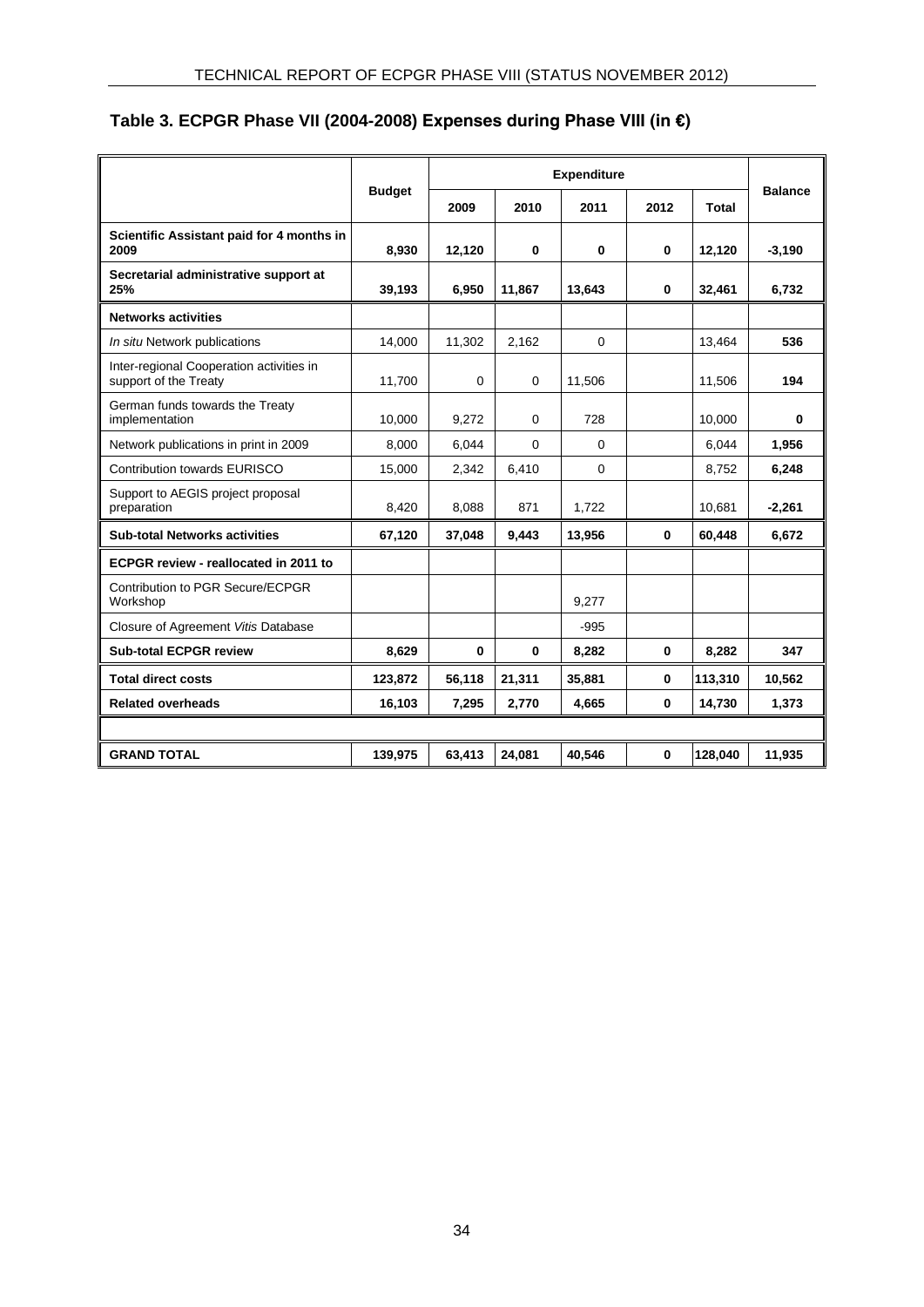# **Table 3. ECPGR Phase VII (2004-2008) Expenses during Phase VIII (in €)**

|                                                                   |               | <b>Expenditure</b> |             |          |          |         |                |  |
|-------------------------------------------------------------------|---------------|--------------------|-------------|----------|----------|---------|----------------|--|
|                                                                   | <b>Budget</b> | 2009               | 2010        | 2011     | 2012     | Total   | <b>Balance</b> |  |
| Scientific Assistant paid for 4 months in<br>2009                 | 8,930         | 12,120             | 0           | $\bf{0}$ | 0        | 12,120  | $-3,190$       |  |
| Secretarial administrative support at<br>25%                      | 39,193        | 6,950              | 11.867      | 13.643   | $\bf{0}$ | 32,461  | 6,732          |  |
| <b>Networks activities</b>                                        |               |                    |             |          |          |         |                |  |
| In situ Network publications                                      | 14,000        | 11,302             | 2,162       | $\Omega$ |          | 13,464  | 536            |  |
| Inter-regional Cooperation activities in<br>support of the Treaty | 11,700        | $\Omega$           | $\mathbf 0$ | 11,506   |          | 11,506  | 194            |  |
| German funds towards the Treaty<br>implementation                 | 10,000        | 9,272              | 0           | 728      |          | 10,000  | 0              |  |
| Network publications in print in 2009                             | 8,000         | 6,044              | $\Omega$    | $\Omega$ |          | 6.044   | 1,956          |  |
| <b>Contribution towards EURISCO</b>                               | 15,000        | 2,342              | 6,410       | $\Omega$ |          | 8,752   | 6,248          |  |
| Support to AEGIS project proposal<br>preparation                  | 8,420         | 8,088              | 871         | 1,722    |          | 10,681  | $-2,261$       |  |
| <b>Sub-total Networks activities</b>                              | 67,120        | 37,048             | 9,443       | 13,956   | 0        | 60,448  | 6,672          |  |
| ECPGR review - reallocated in 2011 to                             |               |                    |             |          |          |         |                |  |
| Contribution to PGR Secure/ECPGR<br>Workshop                      |               |                    |             | 9,277    |          |         |                |  |
| Closure of Agreement Vitis Database                               |               |                    |             | $-995$   |          |         |                |  |
| <b>Sub-total ECPGR review</b>                                     | 8,629         | 0                  | $\bf{0}$    | 8,282    | 0        | 8,282   | 347            |  |
| <b>Total direct costs</b>                                         | 123,872       | 56,118             | 21,311      | 35,881   | 0        | 113,310 | 10,562         |  |
| <b>Related overheads</b>                                          | 16,103        | 7,295              | 2,770       | 4,665    | $\bf{0}$ | 14,730  | 1,373          |  |
|                                                                   |               |                    |             |          |          |         |                |  |
| <b>GRAND TOTAL</b>                                                | 139,975       | 63.413             | 24.081      | 40.546   | 0        | 128,040 | 11,935         |  |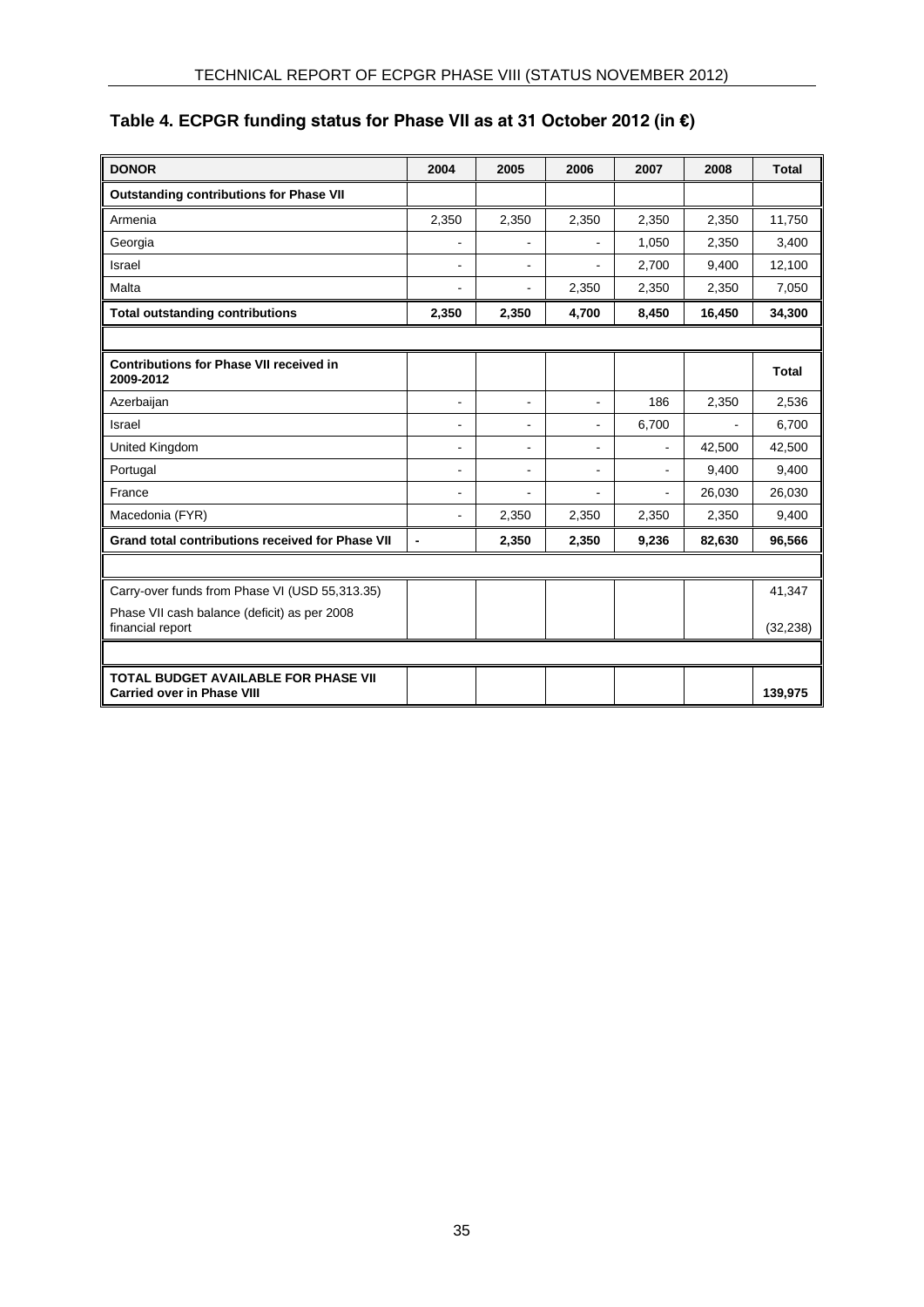# <span id="page-36-0"></span>**Table 4. ECPGR funding status for Phase VII as at 31 October 2012 (in €)**

| <b>DONOR</b>                                                                     | 2004           | 2005           | 2006                     | 2007                     | 2008   | <b>Total</b> |
|----------------------------------------------------------------------------------|----------------|----------------|--------------------------|--------------------------|--------|--------------|
| <b>Outstanding contributions for Phase VII</b>                                   |                |                |                          |                          |        |              |
| Armenia                                                                          | 2,350          | 2,350          | 2,350                    | 2,350                    | 2,350  | 11,750       |
| Georgia                                                                          | $\overline{a}$ |                |                          | 1,050                    | 2,350  | 3,400        |
| Israel                                                                           | $\blacksquare$ | $\blacksquare$ | $\overline{\phantom{0}}$ | 2,700                    | 9,400  | 12,100       |
| Malta                                                                            | $\blacksquare$ | $\blacksquare$ | 2,350                    | 2,350                    | 2,350  | 7,050        |
| <b>Total outstanding contributions</b>                                           | 2,350          | 2,350          | 4,700                    | 8,450                    | 16,450 | 34,300       |
|                                                                                  |                |                |                          |                          |        |              |
| <b>Contributions for Phase VII received in</b><br>2009-2012                      |                |                |                          |                          |        | Total        |
| Azerbaijan                                                                       | $\overline{a}$ | $\blacksquare$ | $\blacksquare$           | 186                      | 2,350  | 2,536        |
| Israel                                                                           | $\blacksquare$ | $\blacksquare$ | L.                       | 6,700                    |        | 6,700        |
| United Kingdom                                                                   | $\overline{a}$ | $\blacksquare$ | $\overline{\phantom{0}}$ | ä,                       | 42,500 | 42,500       |
| Portugal                                                                         | $\blacksquare$ | $\blacksquare$ | $\blacksquare$           | $\overline{\phantom{a}}$ | 9,400  | 9,400        |
| France                                                                           | $\blacksquare$ | $\overline{a}$ | L.                       | $\blacksquare$           | 26,030 | 26,030       |
| Macedonia (FYR)                                                                  | $\blacksquare$ | 2,350          | 2,350                    | 2,350                    | 2,350  | 9,400        |
| <b>Grand total contributions received for Phase VII</b>                          | $\blacksquare$ | 2,350          | 2,350                    | 9,236                    | 82,630 | 96,566       |
|                                                                                  |                |                |                          |                          |        |              |
| Carry-over funds from Phase VI (USD 55,313.35)                                   |                |                |                          |                          |        | 41,347       |
| Phase VII cash balance (deficit) as per 2008<br>financial report                 |                |                |                          |                          |        | (32, 238)    |
|                                                                                  |                |                |                          |                          |        |              |
| <b>TOTAL BUDGET AVAILABLE FOR PHASE VII</b><br><b>Carried over in Phase VIII</b> |                |                |                          |                          |        | 139,975      |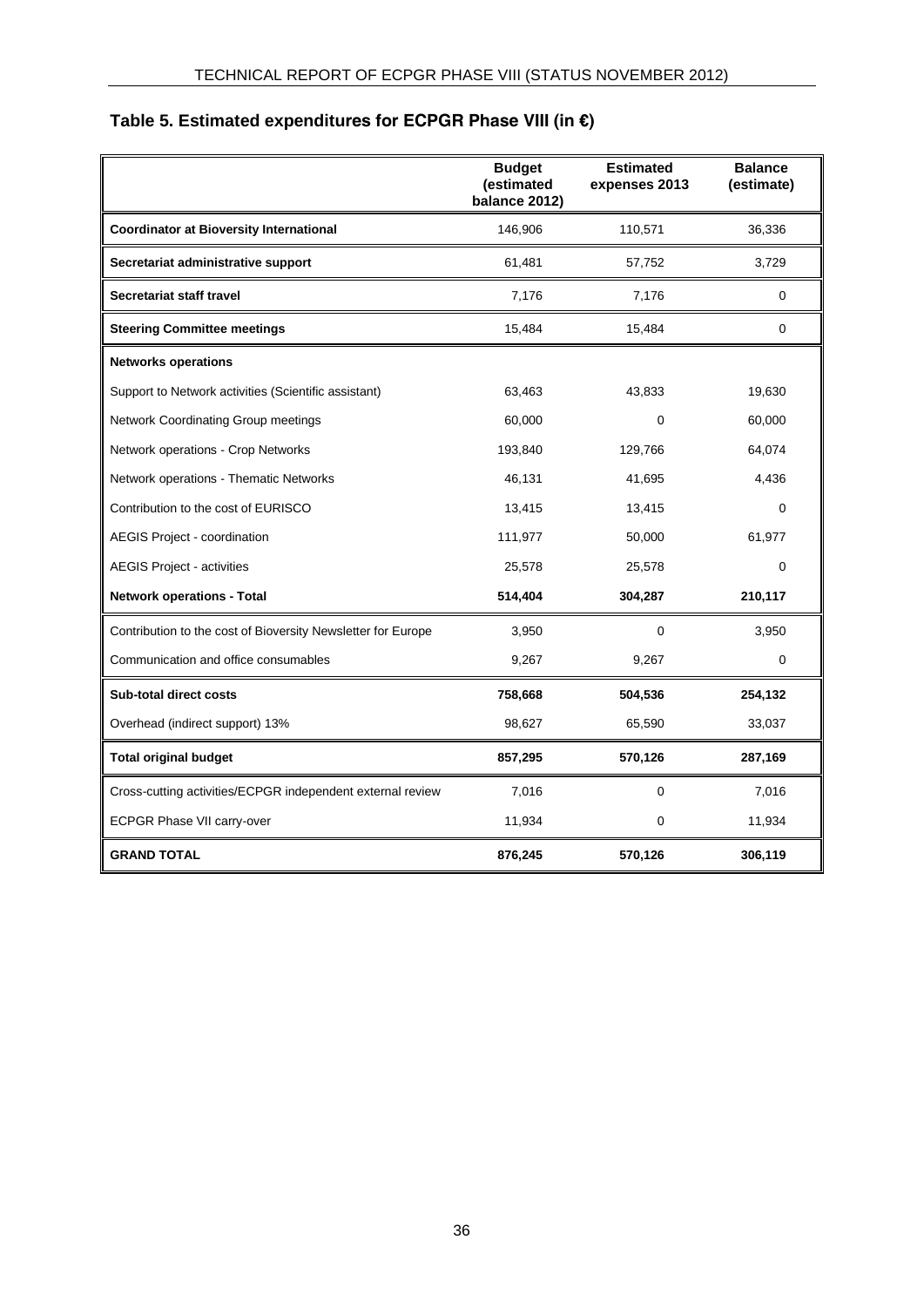# <span id="page-37-0"></span>**Table 5. Estimated expenditures for ECPGR Phase VIII (in €)**

|                                                              | <b>Budget</b><br>(estimated<br>balance 2012) | <b>Estimated</b><br>expenses 2013 | <b>Balance</b><br>(estimate) |
|--------------------------------------------------------------|----------------------------------------------|-----------------------------------|------------------------------|
| <b>Coordinator at Bioversity International</b>               | 146,906                                      | 110,571                           | 36,336                       |
| Secretariat administrative support                           | 61,481                                       | 57,752                            | 3,729                        |
| Secretariat staff travel                                     | 7,176                                        | 7,176                             | 0                            |
| <b>Steering Committee meetings</b>                           | 15,484                                       | 15,484                            | 0                            |
| <b>Networks operations</b>                                   |                                              |                                   |                              |
| Support to Network activities (Scientific assistant)         | 63,463                                       | 43,833                            | 19,630                       |
| Network Coordinating Group meetings                          | 60,000                                       | 0                                 | 60,000                       |
| Network operations - Crop Networks                           | 193,840                                      | 129,766                           | 64,074                       |
| Network operations - Thematic Networks                       | 46,131                                       | 41,695                            | 4,436                        |
| Contribution to the cost of EURISCO                          | 13,415                                       | 13,415                            | 0                            |
| <b>AEGIS Project - coordination</b>                          | 111,977                                      | 50,000                            | 61,977                       |
| <b>AEGIS Project - activities</b>                            | 25,578                                       | 25,578                            | $\Omega$                     |
| <b>Network operations - Total</b>                            | 514,404                                      | 304,287                           | 210,117                      |
| Contribution to the cost of Bioversity Newsletter for Europe | 3,950                                        | 0                                 | 3,950                        |
| Communication and office consumables                         | 9,267                                        | 9,267                             | 0                            |
| <b>Sub-total direct costs</b>                                | 758,668                                      | 504,536                           | 254,132                      |
| Overhead (indirect support) 13%                              | 98,627                                       | 65,590                            | 33,037                       |
| <b>Total original budget</b>                                 | 857,295                                      | 570,126                           | 287,169                      |
| Cross-cutting activities/ECPGR independent external review   | 7,016                                        | 0                                 | 7,016                        |
| ECPGR Phase VII carry-over                                   | 11,934                                       | 0                                 | 11,934                       |
| <b>GRAND TOTAL</b>                                           | 876,245                                      | 570,126                           | 306,119                      |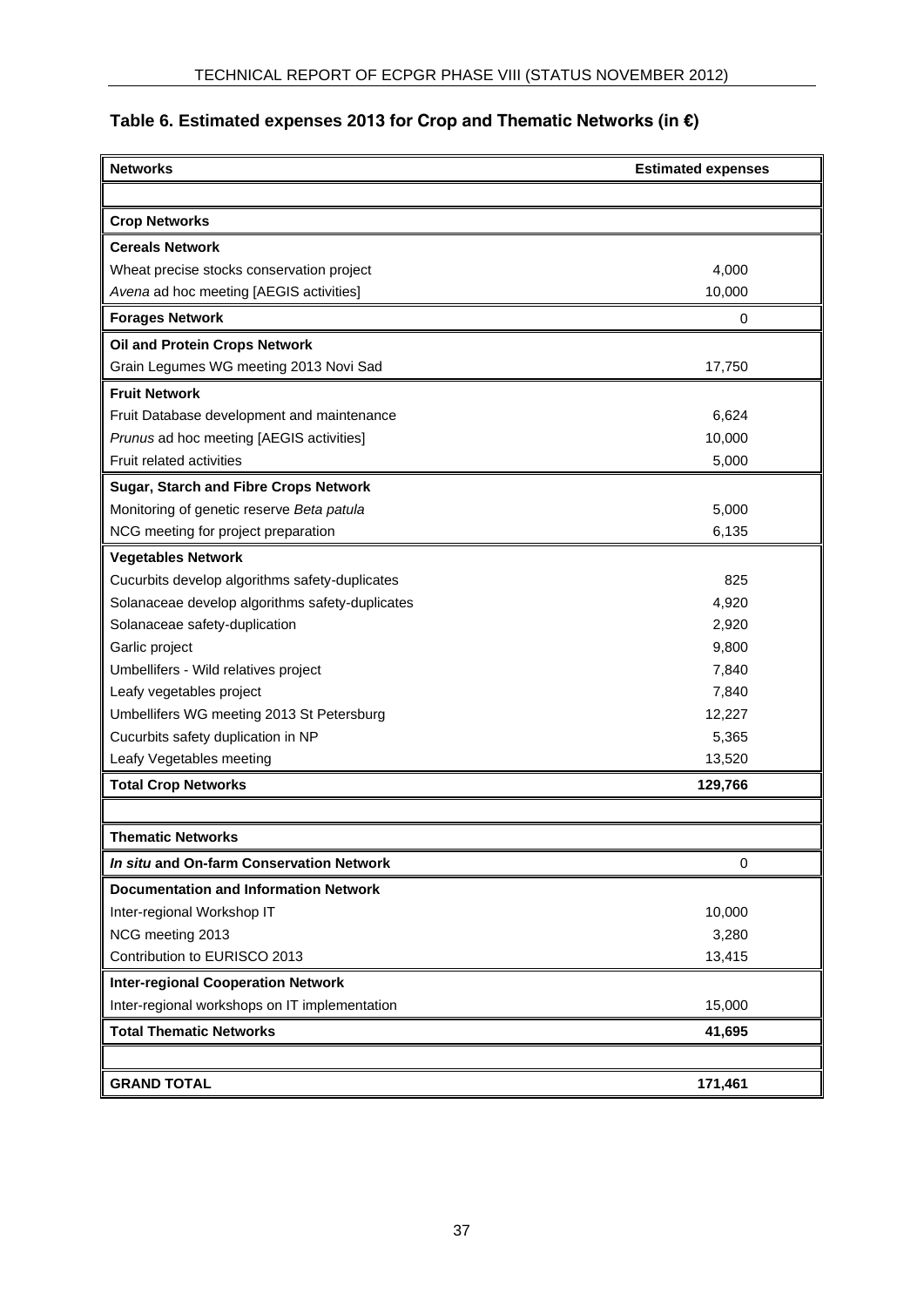# <span id="page-38-0"></span>**Table 6. Estimated expenses 2013 for Crop and Thematic Networks (in €)**

| <b>Networks</b>                                 | <b>Estimated expenses</b> |  |  |
|-------------------------------------------------|---------------------------|--|--|
|                                                 |                           |  |  |
| <b>Crop Networks</b>                            |                           |  |  |
| <b>Cereals Network</b>                          |                           |  |  |
| Wheat precise stocks conservation project       | 4,000                     |  |  |
| Avena ad hoc meeting [AEGIS activities]         | 10,000                    |  |  |
| <b>Forages Network</b>                          | 0                         |  |  |
| Oil and Protein Crops Network                   |                           |  |  |
| Grain Legumes WG meeting 2013 Novi Sad          | 17,750                    |  |  |
| <b>Fruit Network</b>                            |                           |  |  |
| Fruit Database development and maintenance      | 6,624                     |  |  |
| Prunus ad hoc meeting [AEGIS activities]        | 10,000                    |  |  |
| Fruit related activities                        | 5,000                     |  |  |
| <b>Sugar, Starch and Fibre Crops Network</b>    |                           |  |  |
| Monitoring of genetic reserve Beta patula       | 5,000                     |  |  |
| NCG meeting for project preparation             | 6,135                     |  |  |
| <b>Vegetables Network</b>                       |                           |  |  |
| Cucurbits develop algorithms safety-duplicates  | 825                       |  |  |
| Solanaceae develop algorithms safety-duplicates | 4,920                     |  |  |
| Solanaceae safety-duplication                   | 2,920                     |  |  |
| Garlic project                                  | 9,800                     |  |  |
| Umbellifers - Wild relatives project            | 7,840                     |  |  |
| Leafy vegetables project                        | 7,840                     |  |  |
| Umbellifers WG meeting 2013 St Petersburg       | 12,227                    |  |  |
| Cucurbits safety duplication in NP              | 5,365                     |  |  |
| Leafy Vegetables meeting                        | 13,520                    |  |  |
| <b>Total Crop Networks</b>                      | 129,766                   |  |  |
|                                                 |                           |  |  |
| <b>Thematic Networks</b>                        |                           |  |  |
| In situ and On-farm Conservation Network        | 0                         |  |  |
| <b>Documentation and Information Network</b>    |                           |  |  |
| Inter-regional Workshop IT                      | 10,000                    |  |  |
| NCG meeting 2013                                | 3,280                     |  |  |
| Contribution to EURISCO 2013                    | 13,415                    |  |  |
| <b>Inter-regional Cooperation Network</b>       |                           |  |  |
| Inter-regional workshops on IT implementation   | 15,000                    |  |  |
| <b>Total Thematic Networks</b>                  | 41,695                    |  |  |
|                                                 |                           |  |  |
| <b>GRAND TOTAL</b>                              | 171,461                   |  |  |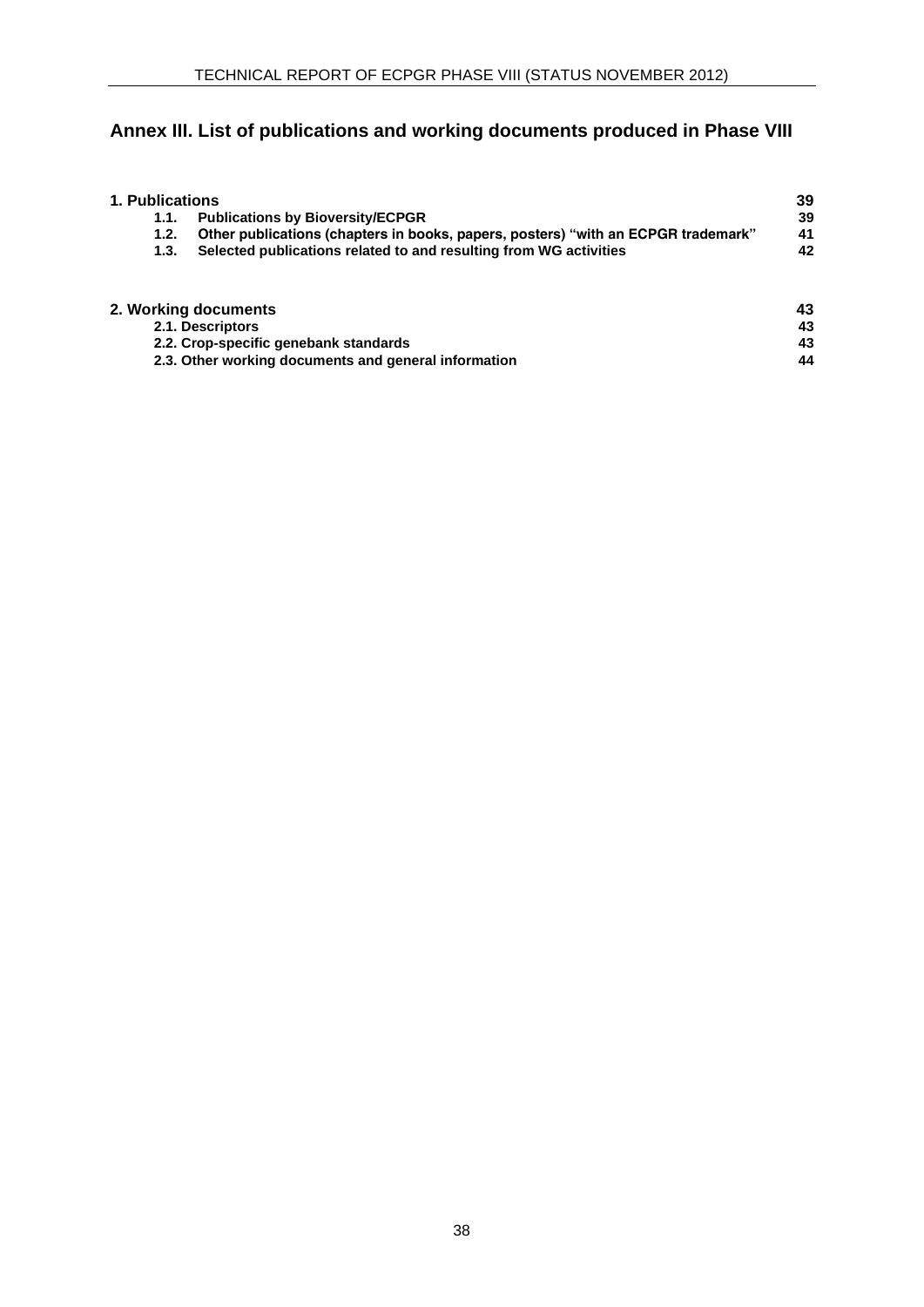# **Annex III. List of publications and working documents produced in Phase VIII**

| 1. Publications |                                                                                   | 39 |
|-----------------|-----------------------------------------------------------------------------------|----|
| 1.1.            | <b>Publications by Bioversity/ECPGR</b>                                           | 39 |
| 1.2.            | Other publications (chapters in books, papers, posters) "with an ECPGR trademark" | 41 |
| 1.3.            | Selected publications related to and resulting from WG activities                 | 42 |
|                 |                                                                                   |    |
|                 | 2. Working documents                                                              | 43 |
|                 | 2.1. Descriptors                                                                  | 43 |
|                 | 2.2. Crop-specific genebank standards                                             | 43 |

<span id="page-39-0"></span>**2.3. Other working documents and general information [44](#page-45-0)**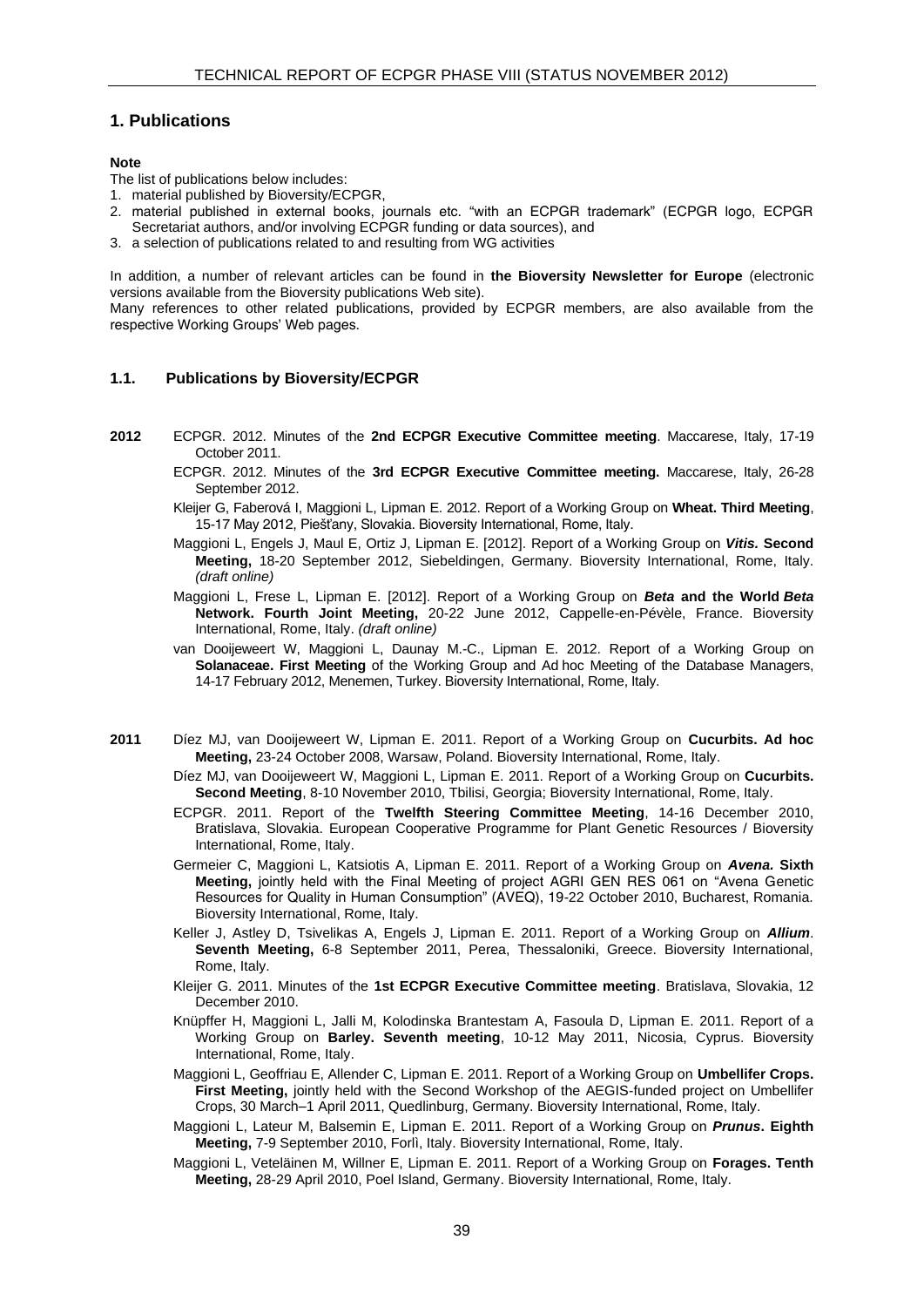#### **1. Publications**

#### **Note**

The list of publications below includes:

- 1. material published by Bioversity/ECPGR,
- 2. material published in external books, journals etc. "with an ECPGR trademark" (ECPGR logo, ECPGR Secretariat authors, and/or involving ECPGR funding or data sources), and
- 3. a selection of publications related to and resulting from WG activities

In addition, a number of relevant articles can be found in **the Bioversity Newsletter for Europe** (electronic versions available from the Bioversity publications Web site).

Many references to other related publications, provided by ECPGR members, are also available from the respective Working Groups' Web pages.

#### <span id="page-40-0"></span>**1.1. Publications by Bioversity/ECPGR**

- **2012** ECPGR. 2012. Minutes of the **2nd ECPGR Executive Committee meeting**. Maccarese, Italy, 17-19 October 2011.
	- ECPGR. 2012. Minutes of the **3rd ECPGR Executive Committee meeting.** Maccarese, Italy, 26-28 September 2012.
	- Kleijer G, Faberová I, Maggioni L, Lipman E. 2012. Report of a Working Group on **Wheat. Third Meeting**, 15-17 May 2012, Piešťany, Slovakia. Bioversity International, Rome, Italy.
	- Maggioni L, Engels J, Maul E, Ortiz J, Lipman E. [2012]. Report of a Working Group on *Vitis.* **Second Meeting,** 18-20 September 2012, Siebeldingen, Germany. Bioversity International, Rome, Italy. *(draft online)*
	- Maggioni L, Frese L, Lipman E. [2012]. Report of a Working Group on *Beta* **and the World** *Beta* **Network. Fourth Joint Meeting,** 20-22 June 2012, Cappelle-en-Pévèle, France. Bioversity International, Rome, Italy. *(draft online)*
	- van Dooijeweert W, Maggioni L, Daunay M.-C., Lipman E. 2012. Report of a Working Group on **Solanaceae. First Meeting** of the Working Group and Ad hoc Meeting of the Database Managers, 14-17 February 2012, Menemen, Turkey. Bioversity International, Rome, Italy.
- **2011** Díez MJ, van Dooijeweert W, Lipman E. 2011. Report of a Working Group on **Cucurbits. Ad hoc Meeting,** 23-24 October 2008, Warsaw, Poland. Bioversity International, Rome, Italy.
	- Díez MJ, van Dooijeweert W, Maggioni L, Lipman E. 2011. Report of a Working Group on **Cucurbits. Second Meeting**, 8-10 November 2010, Tbilisi, Georgia; Bioversity International, Rome, Italy.
	- ECPGR. 2011. Report of the **Twelfth Steering Committee Meeting**, 14-16 December 2010, Bratislava, Slovakia. European Cooperative Programme for Plant Genetic Resources / Bioversity International, Rome, Italy.
	- Germeier C, Maggioni L, Katsiotis A, Lipman E. 2011. Report of a Working Group on *Avena.* **Sixth Meeting,** jointly held with the Final Meeting of project AGRI GEN RES 061 on "Avena Genetic Resources for Quality in Human Consumption" (AVEQ), 19-22 October 2010, Bucharest, Romania. Bioversity International, Rome, Italy.
	- Keller J, Astley D, Tsivelikas A, Engels J, Lipman E. 2011. Report of a Working Group on *Allium*. **Seventh Meeting,** 6-8 September 2011, Perea, Thessaloniki, Greece. Bioversity International, Rome, Italy.
	- Kleijer G. 2011. Minutes of the **1st ECPGR Executive Committee meeting**. Bratislava, Slovakia, 12 December 2010.
	- Knüpffer H, Maggioni L, Jalli M, Kolodinska Brantestam A, Fasoula D, Lipman E. 2011. Report of a Working Group on **Barley. Seventh meeting**, 10-12 May 2011, Nicosia, Cyprus. Bioversity International, Rome, Italy.
	- Maggioni L, Geoffriau E, Allender C, Lipman E. 2011. Report of a Working Group on **Umbellifer Crops. First Meeting,** jointly held with the Second Workshop of the AEGIS-funded project on Umbellifer Crops, 30 March–1 April 2011, Quedlinburg, Germany. Bioversity International, Rome, Italy.
	- Maggioni L, Lateur M, Balsemin E, Lipman E. 2011. Report of a Working Group on *Prunus***. Eighth Meeting,** 7-9 September 2010, Forlì, Italy. Bioversity International, Rome, Italy.
	- Maggioni L, Veteläinen M, Willner E, Lipman E. 2011. Report of a Working Group on **Forages. Tenth Meeting,** 28-29 April 2010, Poel Island, Germany. Bioversity International, Rome, Italy.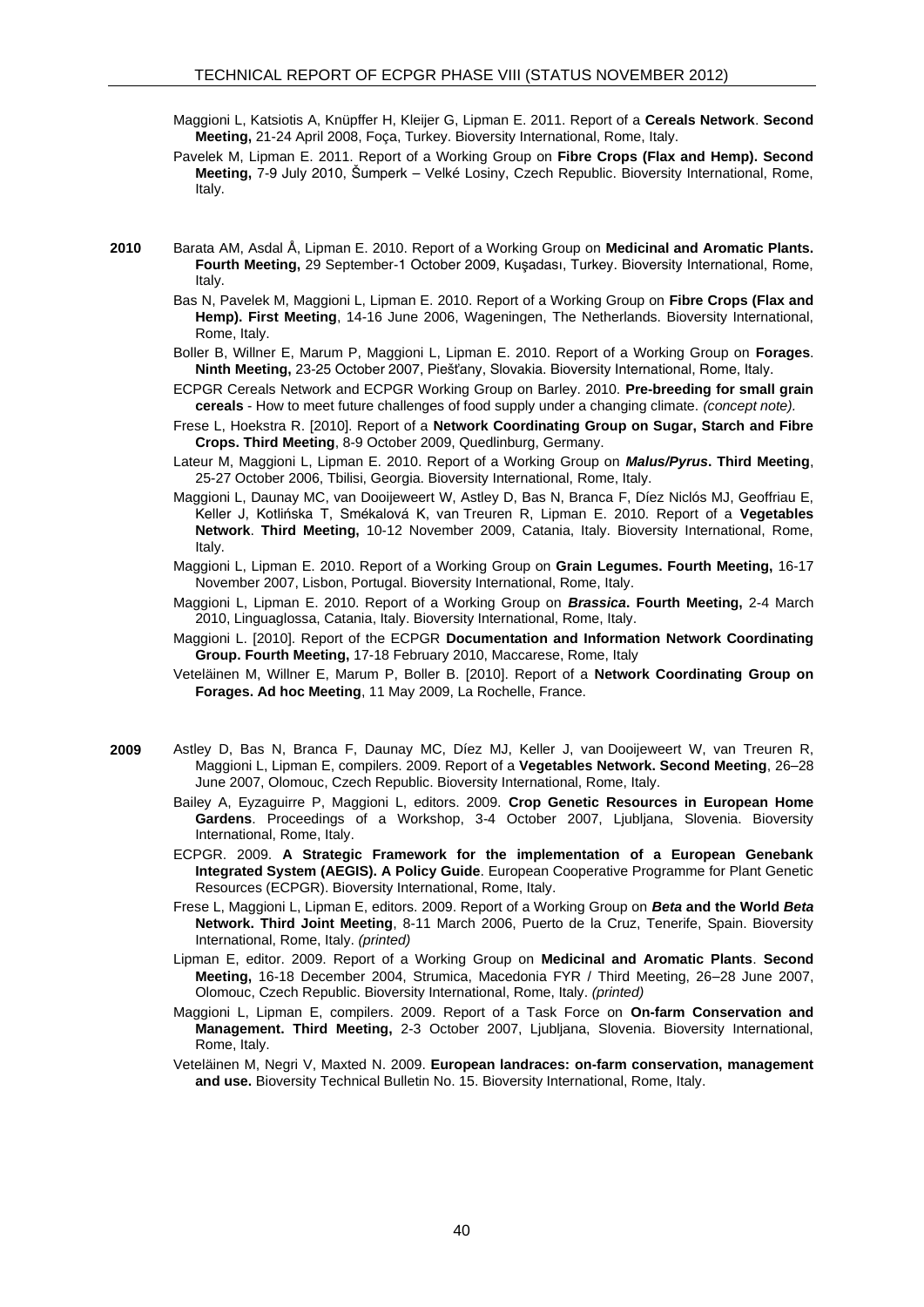- Maggioni L, Katsiotis A, Knüpffer H, Kleijer G, Lipman E. 2011. Report of a **Cereals Network**. **Second Meeting,** 21-24 April 2008, Foça, Turkey. Bioversity International, Rome, Italy.
- Pavelek M, Lipman E. 2011. Report of a Working Group on **Fibre Crops (Flax and Hemp). Second Meeting,** 7-9 July 2010, Šumperk – Velké Losiny, Czech Republic. Bioversity International, Rome, Italy.
- **2010** Barata AM, Asdal Å, Lipman E. 2010. Report of a Working Group on **Medicinal and Aromatic Plants. Fourth Meeting,** 29 September-1 October 2009, Kuşadası, Turkey. Bioversity International, Rome, Italy.
	- Bas N, Pavelek M, Maggioni L, Lipman E. 2010. Report of a Working Group on **Fibre Crops (Flax and Hemp). First Meeting**, 14-16 June 2006, Wageningen, The Netherlands. Bioversity International, Rome, Italy.
	- Boller B, Willner E, Marum P, Maggioni L, Lipman E. 2010. Report of a Working Group on **Forages**. **Ninth Meeting,** 23-25 October 2007, Piešťany, Slovakia. Bioversity International, Rome, Italy.
	- ECPGR Cereals Network and ECPGR Working Group on Barley. 2010. **Pre-breeding for small grain cereals** - How to meet future challenges of food supply under a changing climate. *(concept note).*
	- Frese L, Hoekstra R. [2010]. Report of a **Network Coordinating Group on Sugar, Starch and Fibre Crops. Third Meeting**, 8-9 October 2009, Quedlinburg, Germany.
	- Lateur M, Maggioni L, Lipman E. 2010. Report of a Working Group on *Malus/Pyrus***. Third Meeting**, 25-27 October 2006, Tbilisi, Georgia. Bioversity International, Rome, Italy.
	- Maggioni L, Daunay MC, van Dooijeweert W, Astley D, Bas N, Branca F, Díez Niclós MJ, Geoffriau E, Keller J, Kotlińska T, Smékalová K, van Treuren R, Lipman E. 2010. Report of a **Vegetables Network**. **Third Meeting,** 10-12 November 2009, Catania, Italy. Bioversity International, Rome, Italy.
	- Maggioni L, Lipman E. 2010. Report of a Working Group on **Grain Legumes. Fourth Meeting,** 16-17 November 2007, Lisbon, Portugal. Bioversity International, Rome, Italy.
	- Maggioni L, Lipman E. 2010. Report of a Working Group on *Brassica***. Fourth Meeting,** 2-4 March 2010, Linguaglossa, Catania, Italy. Bioversity International, Rome, Italy.
	- Maggioni L. [2010]. Report of the ECPGR **Documentation and Information Network Coordinating Group. Fourth Meeting,** 17-18 February 2010, Maccarese, Rome, Italy
	- Veteläinen M, Willner E, Marum P, Boller B. [2010]. Report of a **Network Coordinating Group on Forages. Ad hoc Meeting**, 11 May 2009, La Rochelle, France.
- <span id="page-41-0"></span>**2009** Astley D, Bas N, Branca F, Daunay MC, Díez MJ, Keller J, van Dooijeweert W, van Treuren R, Maggioni L, Lipman E, compilers. 2009. Report of a **Vegetables Network. Second Meeting**, 26–28 June 2007, Olomouc, Czech Republic. Bioversity International, Rome, Italy.
	- Bailey A, Eyzaguirre P, Maggioni L, editors. 2009. **Crop Genetic Resources in European Home Gardens**. Proceedings of a Workshop, 3-4 October 2007, Ljubljana, Slovenia. Bioversity International, Rome, Italy.
	- ECPGR. 2009. **A Strategic Framework for the implementation of a European Genebank Integrated System (AEGIS). A Policy Guide**. European Cooperative Programme for Plant Genetic Resources (ECPGR). Bioversity International, Rome, Italy.
	- Frese L, Maggioni L, Lipman E, editors. 2009. Report of a Working Group on *Beta* **and the World** *Beta*  **Network. Third Joint Meeting**, 8-11 March 2006, Puerto de la Cruz, Tenerife, Spain. Bioversity International, Rome, Italy. *(printed)*
	- Lipman E, editor. 2009. Report of a Working Group on **Medicinal and Aromatic Plants**. **Second Meeting,** 16-18 December 2004, Strumica, Macedonia FYR / Third Meeting, 26–28 June 2007, Olomouc, Czech Republic. Bioversity International, Rome, Italy. *(printed)*
	- Maggioni L, Lipman E, compilers. 2009. Report of a Task Force on **On-farm Conservation and Management. Third Meeting,** 2-3 October 2007, Ljubljana, Slovenia. Bioversity International, Rome, Italy.
	- Veteläinen M, Negri V, Maxted N. 2009. **European landraces: on-farm conservation, management and use.** Bioversity Technical Bulletin No. 15. Bioversity International, Rome, Italy.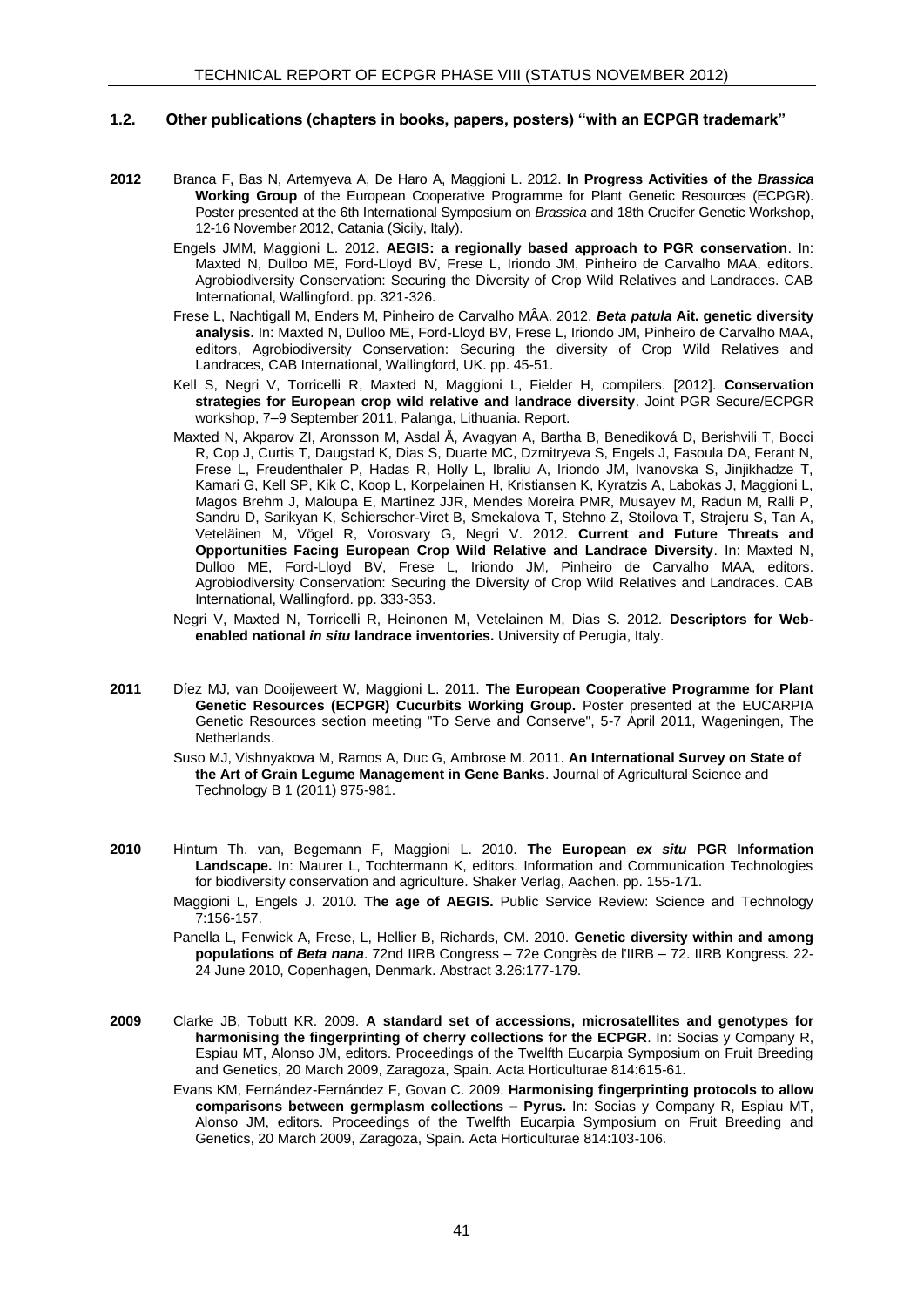#### **1.2. Other publications (chapters in books, papers, posters) "with an ECPGR trademark"**

- **2012** Branca F, Bas N, Artemyeva A, De Haro A, Maggioni L. 2012. **In Progress Activities of the** *Brassica* **Working Group** of the European Cooperative Programme for Plant Genetic Resources (ECPGR). Poster presented at the 6th International Symposium on *Brassica* and 18th Crucifer Genetic Workshop, 12-16 November 2012, Catania (Sicily, Italy).
	- Engels JMM, Maggioni L. 2012. **AEGIS: a regionally based approach to PGR conservation**. In: Maxted N, Dulloo ME, Ford-Lloyd BV, Frese L, Iriondo JM, Pinheiro de Carvalho MAA, editors. Agrobiodiversity Conservation: Securing the Diversity of Crop Wild Relatives and Landraces. CAB International, Wallingford. pp. 321-326.
	- Frese L, Nachtigall M, Enders M, Pinheiro de Carvalho MÂA. 2012. *Beta patula* **Ait. genetic diversity analysis.** In: Maxted N, Dulloo ME, Ford-Lloyd BV, Frese L, Iriondo JM, Pinheiro de Carvalho MAA, editors, Agrobiodiversity Conservation: Securing the diversity of Crop Wild Relatives and Landraces, CAB International, Wallingford, UK. pp. 45-51.
	- Kell S, Negri V, Torricelli R, Maxted N, Maggioni L, Fielder H, compilers. [2012]. **Conservation strategies for European crop wild relative and landrace diversity**. Joint PGR Secure/ECPGR workshop, 7–9 September 2011, Palanga, Lithuania. Report.
	- Maxted N, Akparov ZI, Aronsson M, Asdal Å, Avagyan A, Bartha B, Benediková D, Berishvili T, Bocci R, Cop J, Curtis T, Daugstad K, Dias S, Duarte MC, Dzmitryeva S, Engels J, Fasoula DA, Ferant N, Frese L, Freudenthaler P, Hadas R, Holly L, Ibraliu A, Iriondo JM, Ivanovska S, Jinjikhadze T, Kamari G, Kell SP, Kik C, Koop L, Korpelainen H, Kristiansen K, Kyratzis A, Labokas J, Maggioni L, Magos Brehm J, Maloupa E, Martinez JJR, Mendes Moreira PMR, Musayev M, Radun M, Ralli P, Sandru D, Sarikyan K, Schierscher-Viret B, Smekalova T, Stehno Z, Stoilova T, Strajeru S, Tan A, Veteläinen M, Vögel R, Vorosvary G, Negri V. 2012. **Current and Future Threats and Opportunities Facing European Crop Wild Relative and Landrace Diversity**. In: Maxted N, Dulloo ME, Ford-Lloyd BV, Frese L, Iriondo JM, Pinheiro de Carvalho MAA, editors. Agrobiodiversity Conservation: Securing the Diversity of Crop Wild Relatives and Landraces. CAB International, Wallingford. pp. 333-353.
	- Negri V, Maxted N, Torricelli R, Heinonen M, Vetelainen M, Dias S. 2012. **Descriptors for Webenabled national** *in situ* **landrace inventories.** University of Perugia, Italy.
- **2011** Díez MJ, van Dooijeweert W, Maggioni L. 2011. **The European Cooperative Programme for Plant Genetic Resources (ECPGR) Cucurbits Working Group.** Poster presented at the EUCARPIA Genetic Resources section meeting "To Serve and Conserve", 5-7 April 2011, Wageningen, The **Netherlands** 
	- Suso MJ, Vishnyakova M, Ramos A, Duc G, Ambrose M. 2011. **An International Survey on State of the Art of Grain Legume Management in Gene Banks**. Journal of Agricultural Science and Technology B 1 (2011) 975-981.
- **2010** Hintum Th. van, Begemann F, Maggioni L. 2010. **The European** *ex situ* **PGR Information Landscape.** In: Maurer L, Tochtermann K, editors. Information and Communication Technologies for biodiversity conservation and agriculture. Shaker Verlag, Aachen. pp. 155-171.
	- Maggioni L, Engels J. 2010. **The age of AEGIS.** Public Service Review: Science and Technology 7:156-157.

Panella L, Fenwick A, Frese, L, Hellier B, Richards, CM. 2010. **Genetic diversity within and among populations of** *Beta nana*. 72nd IIRB Congress – 72e Congrès de l'IIRB – 72. IIRB Kongress. 22- 24 June 2010, Copenhagen, Denmark. Abstract 3.26:177-179.

- **2009** Clarke JB, Tobutt KR. 2009. **A standard set of accessions, microsatellites and genotypes for harmonising the fingerprinting of cherry collections for the ECPGR**. In: Socias y Company R, Espiau MT, Alonso JM, editors. Proceedings of the Twelfth Eucarpia Symposium on Fruit Breeding and Genetics, 20 March 2009, Zaragoza, Spain. Acta Horticulturae 814:615-61.
	- Evans KM, Fernández-Fernández F, Govan C. 2009. **[Harmonising fingerprinting protocols to allow](http://www.actahort.org/books/814/814_10.htm)  [comparisons between germplasm collections –](http://www.actahort.org/books/814/814_10.htm) Pyrus.** In: Socias y Company R, Espiau MT, Alonso JM, editors. Proceedings of the Twelfth Eucarpia Symposium on Fruit Breeding and Genetics, 20 March 2009, Zaragoza, Spain. Acta Horticulturae 814:103-106.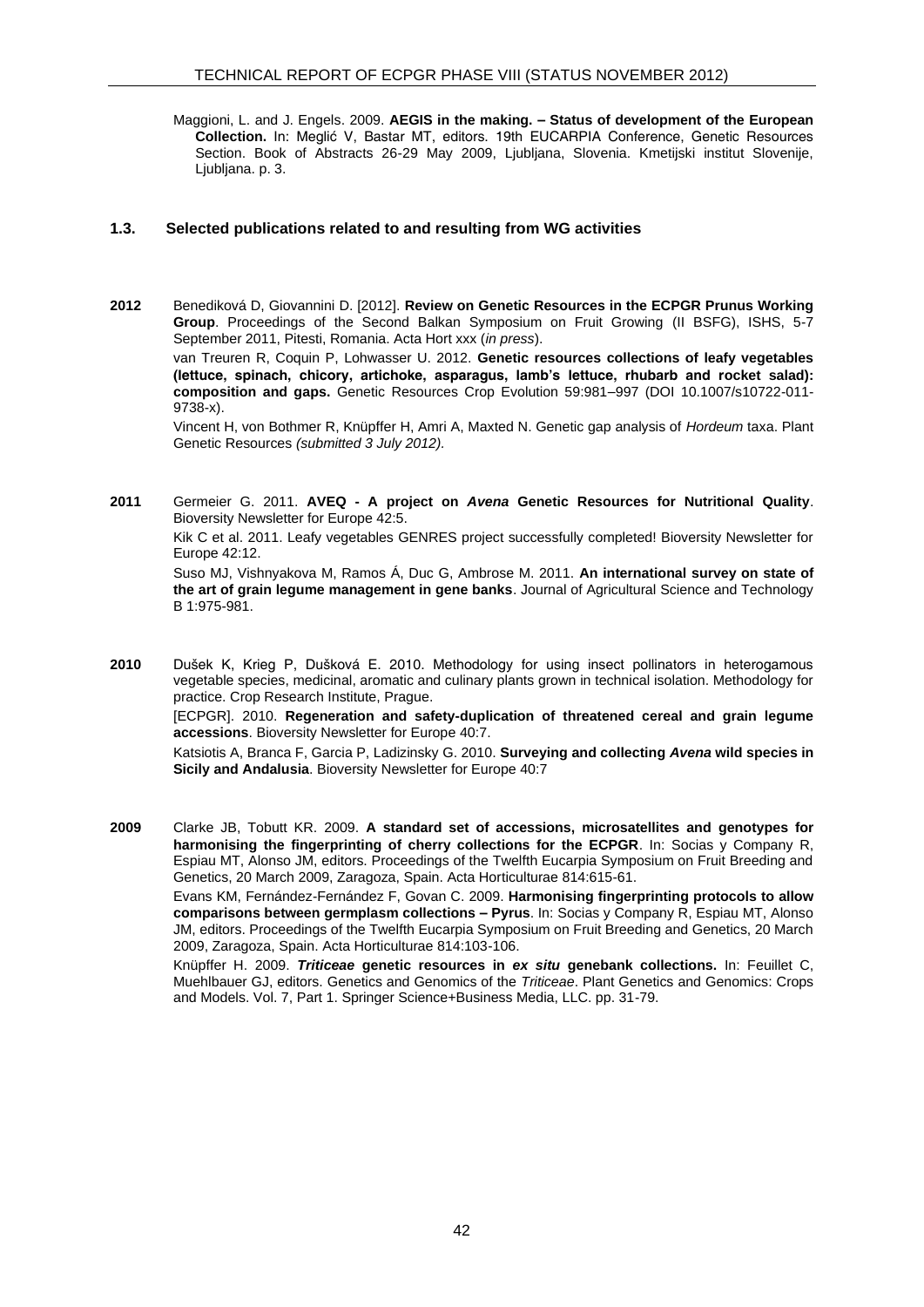Maggioni, L. and J. Engels. 2009. **AEGIS in the making. – Status of development of the European Collection.** In: Meglić V, Bastar MT, editors. 19th EUCARPIA Conference, Genetic Resources Section. Book of Abstracts 26-29 May 2009, Ljubljana, Slovenia. Kmetijski institut Slovenije, Ljubljana. p. 3.

#### <span id="page-43-0"></span>**1.3. Selected publications related to and resulting from WG activities**

**2012** Benediková D, Giovannini D. [2012]. **Review on Genetic Resources in the ECPGR Prunus Working Group**. Proceedings of the Second Balkan Symposium on Fruit Growing (II BSFG), ISHS, 5-7 September 2011, Pitesti, Romania. Acta Hort xxx (*in press*). van Treuren R, Coquin P, Lohwasser U. 2012. **Genetic resources collections of leafy vegetables (lettuce, spinach, chicory, artichoke, asparagus, lamb's lettuce, rhubarb and rocket salad): composition and gaps.** Genetic Resources Crop Evolution 59:981–997 (DOI 10.1007/s10722-011-

9738-x). Vincent H, von Bothmer R, Knüpffer H, Amri A, Maxted N. Genetic gap analysis of *Hordeum* taxa. Plant Genetic Resources *(submitted 3 July 2012).*

**2011** Germeier G. 2011. **AVEQ - A project on** *Avena* **Genetic Resources for Nutritional Quality**. Bioversity Newsletter for Europe 42:5.

[Kik C et al. 2011. Leafy vegetables GENRES project successfully completed! Bioversity Newsletter for](http://www.ecpgr.cgiar.org/fileadmin/www.ecpgr.cgiar.org/NEWSLETTEWR/NewsLetter%20n34%2017.pdf)  [Europe 42:12.](http://www.ecpgr.cgiar.org/fileadmin/www.ecpgr.cgiar.org/NEWSLETTEWR/NewsLetter%20n34%2017.pdf) 

Suso MJ, Vishnyakova M, Ramos Á, Duc G, Ambrose M. 2011. **An international survey on state of the art of grain legume management in gene banks**. Journal of Agricultural Science and Technology B 1:975-981.

**2010** Dušek K, Krieg P, Dušková E. 2010. Methodology for using insect pollinators in heterogamous vegetable species, medicinal, aromatic and culinary plants grown in technical isolation. Methodology for practice. Crop Research Institute, Prague.

[ECPGR]. 2010. **Regeneration and safety-duplication of threatened cereal and grain legume accessions**. Bioversity Newsletter for Europe 40:7.

Katsiotis A, Branca F, Garcia P, Ladizinsky G. 2010. **Surveying and collecting** *Avena* **wild species in Sicily and Andalusia**. Bioversity Newsletter for Europe 40:7

**2009** Clarke JB, Tobutt KR. 2009. **A standard set of accessions, microsatellites and genotypes for harmonising the fingerprinting of cherry collections for the ECPGR**. In: Socias y Company R, Espiau MT, Alonso JM, editors. Proceedings of the Twelfth Eucarpia Symposium on Fruit Breeding and Genetics, 20 March 2009, Zaragoza, Spain. Acta Horticulturae 814:615-61.

Evans KM, Fernández-Fernández F, Govan C. 2009. **[Harmonising fingerprinting protocols to allow](http://www.actahort.org/books/814/814_10.htm)  [comparisons between germplasm collections –](http://www.actahort.org/books/814/814_10.htm) Pyrus**. In: Socias y Company R, Espiau MT, Alonso JM, editors. Proceedings of the Twelfth Eucarpia Symposium on Fruit Breeding and Genetics, 20 March 2009, Zaragoza, Spain. Acta Horticulturae 814:103-106.

Knüpffer H. 2009. *Triticeae* **genetic resources in** *ex situ* **genebank collections.** In: Feuillet C, Muehlbauer GJ, editors. Genetics and Genomics of the *Triticeae*. Plant Genetics and Genomics: Crops and Models. Vol. 7, Part 1. Springer Science+Business Media, LLC. pp. 31-79.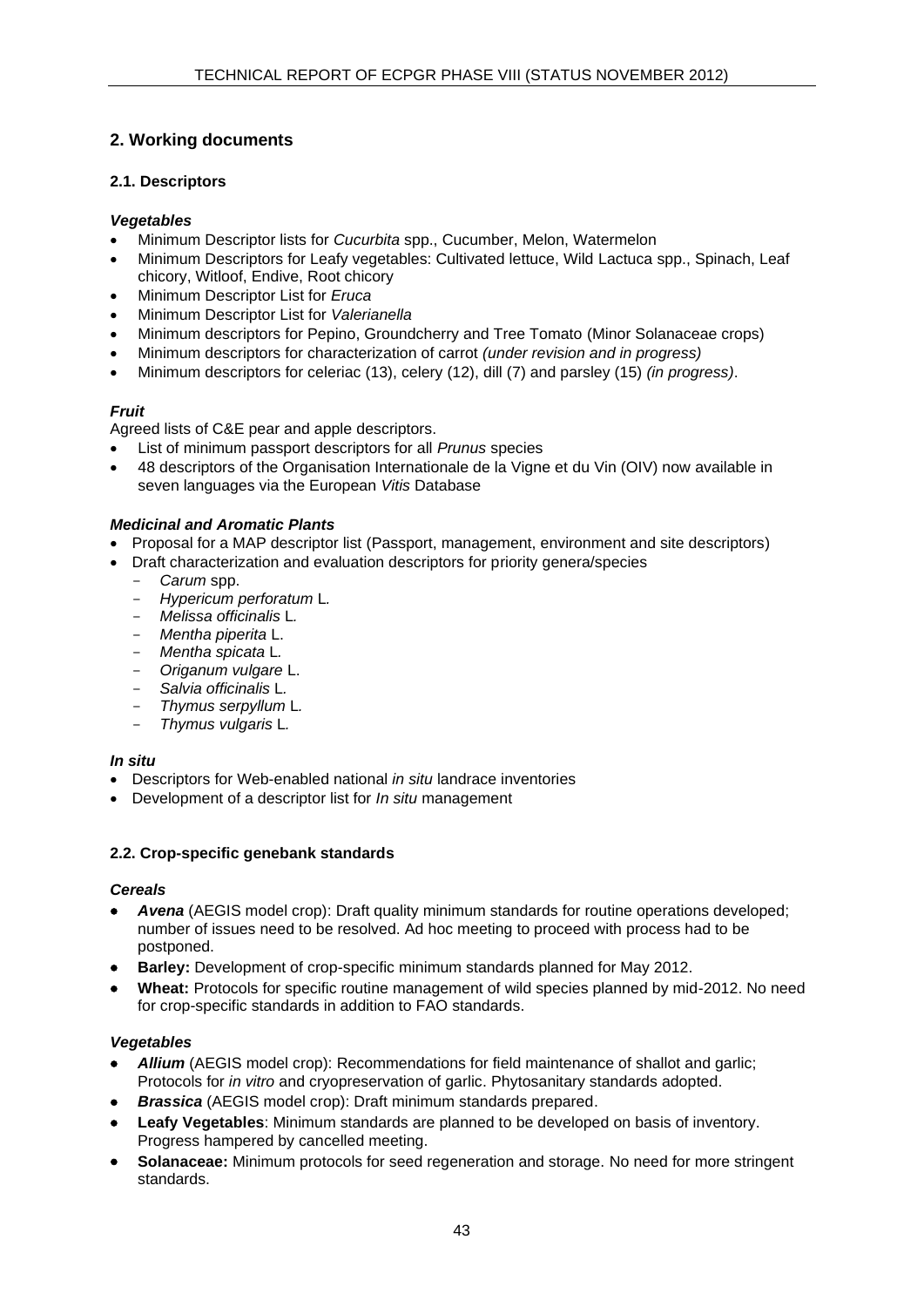# <span id="page-44-0"></span>**2. Working documents**

# <span id="page-44-1"></span>**2.1. Descriptors**

# *Vegetables*

- Minimum Descriptor lists for *Cucurbita* spp., Cucumber, Melon, Watermelon
- Minimum Descriptors for Leafy vegetables: Cultivated lettuce, Wild Lactuca spp., Spinach, Leaf chicory, Witloof, Endive, Root chicory
- Minimum Descriptor List for *Eruca*
- Minimum Descriptor List for *Valerianella*
- Minimum descriptors for Pepino, Groundcherry and Tree Tomato (Minor Solanaceae crops)
- Minimum descriptors for characterization of carrot *(under revision and in progress)*
- Minimum descriptors for celeriac (13), celery (12), dill (7) and parsley (15) *(in progress)*.

# *Fruit*

Agreed lists of C&E pear and apple descriptors.

- List of minimum passport descriptors for all *Prunus* species
- 48 descriptors of the Organisation Internationale de la Vigne et du Vin (OIV) now available in seven languages via the European *Vitis* Database

# *Medicinal and Aromatic Plants*

- Proposal for a MAP descriptor list (Passport, management, environment and site descriptors)
- Draft characterization and evaluation descriptors for priority genera/species
	- *[Carum](http://www.ecpgr.cgiar.org/fileadmin/www.ecpgr.cgiar.org/NW_and_WG_UPLOADS/MAP_Descriptors/Carum_spp_DRAFT_DESCRIPTOR_LIST_FINAL.pdf)* spp.
	- *[Hypericum perforatum](http://www.ecpgr.cgiar.org/fileadmin/www.ecpgr.cgiar.org/NW_and_WG_UPLOADS/MAP_Descriptors/Hypericum_perforatum_DRAFT_DESCRIPTOR_LIST_FINAL.pdf)* L*.*
	- *[Melissa officinalis](http://www.ecpgr.cgiar.org/fileadmin/www.ecpgr.cgiar.org/NW_and_WG_UPLOADS/MAP_Descriptors/Melissa_officinalis_DRAFT_DESCRIPTOR_LIST_FINAL.pdf)* L*.*
	- *[Mentha piperita](http://www.ecpgr.cgiar.org/fileadmin/www.ecpgr.cgiar.org/NW_and_WG_UPLOADS/MAP_Descriptors/Mentha_piperita_DRAFT_DESCRIPTOR_LIST_FINAL.pdf)* L.
	- *[Mentha spicata](http://www.ecpgr.cgiar.org/fileadmin/www.ecpgr.cgiar.org/NW_and_WG_UPLOADS/MAP_Descriptors/Mentha_spiccata_DRAFT_DESCRIPTOR_LIST_FINAL.pdf)* L*.*
	- *[Origanum vulgare](http://www.ecpgr.cgiar.org/fileadmin/www.ecpgr.cgiar.org/NW_and_WG_UPLOADS/MAP_Descriptors/DRAFT_DESCRIPTOR_LIST_Origanum_vulgare_FINAL.pdf)* L.
	- *[Salvia officinalis](http://www.ecpgr.cgiar.org/fileadmin/www.ecpgr.cgiar.org/NW_and_WG_UPLOADS/MAP_Descriptors/Salvia-officinalis_DRAFT_DESCRIPTOR_LIST_FINAL.pdf)* L*.*
	- *[Thymus serpyllum](http://www.ecpgr.cgiar.org/fileadmin/www.ecpgr.cgiar.org/NW_and_WG_UPLOADS/MAP_Descriptors/Thymus_serpyllum_DRAFT_DESCRIPTOR_LIST_FINAL.pdf)* L*.*
	- *[Thymus vulgaris](http://www.ecpgr.cgiar.org/fileadmin/www.ecpgr.cgiar.org/NW_and_WG_UPLOADS/MAP_Descriptors/Thymus_vulgaris_DRAFT_DESCRIPTOR_LIST_FINAL.pdf)* L*.*

# *In situ*

- Descriptors for Web-enabled national *in situ* landrace inventories
- Development of a descriptor list for *In situ* management

# <span id="page-44-2"></span>**2.2. Crop-specific genebank standards**

# *Cereals*

- *Avena* (AEGIS model crop): Draft quality minimum standards for routine operations developed; number of issues need to be resolved. Ad hoc meeting to proceed with process had to be postponed.
- **Barley:** Development of crop-specific minimum standards planned for May 2012.
- **Wheat:** Protocols for specific routine management of wild species planned by mid-2012. No need for crop-specific standards in addition to FAO standards.

# *Vegetables*

- *Allium* (AEGIS model crop): Recommendations for field maintenance of shallot and garlic: Protocols for *in vitro* and cryopreservation of garlic. Phytosanitary standards adopted.
- *Brassica* (AEGIS model crop): Draft minimum standards prepared.
- **Leafy Vegetables**: Minimum standards are planned to be developed on basis of inventory. Progress hampered by cancelled meeting.
- **Solanaceae:** Minimum protocols for seed regeneration and storage. No need for more stringent standards.